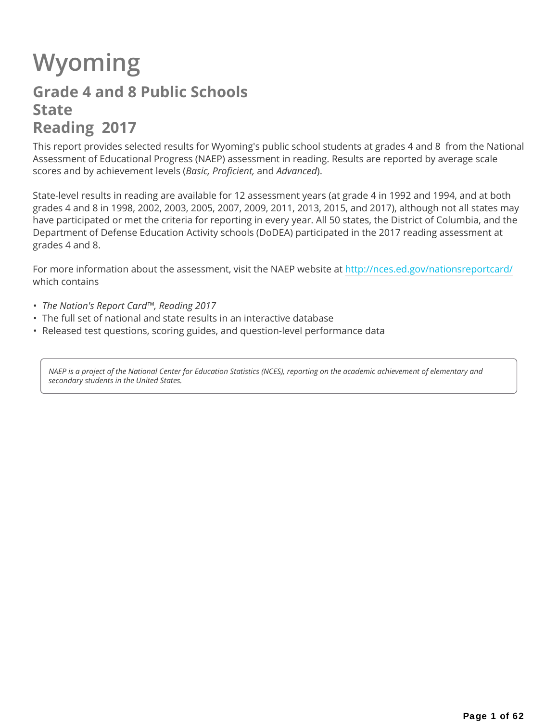# **Wyoming Grade 4 and 8 Public Schools State Reading 2017**

This report provides selected results for Wyoming's public school students at grades 4 and 8 from the National Assessment of Educational Progress (NAEP) assessment in reading. Results are reported by average scale scores and by achievement levels (*Basic, Proficient,* and *Advanced*).

State-level results in reading are available for 12 assessment years (at grade 4 in 1992 and 1994, and at both grades 4 and 8 in 1998, 2002, 2003, 2005, 2007, 2009, 2011, 2013, 2015, and 2017), although not all states may have participated or met the criteria for reporting in every year. All 50 states, the District of Columbia, and the Department of Defense Education Activity schools (DoDEA) participated in the 2017 reading assessment at grades 4 and 8.

For more information about the assessment, visit the NAEP website at http://nces.ed.gov/nationsreportcard/ which contains

- *The Nation's Report Card™, Reading 2017*
- The full set of national and state results in an interactive database
- Released test questions, scoring guides, and question-level performance data

*NAEP is a project of the National Center for Education Statistics (NCES), reporting on the academic achievement of elementary and secondary students in the United States.*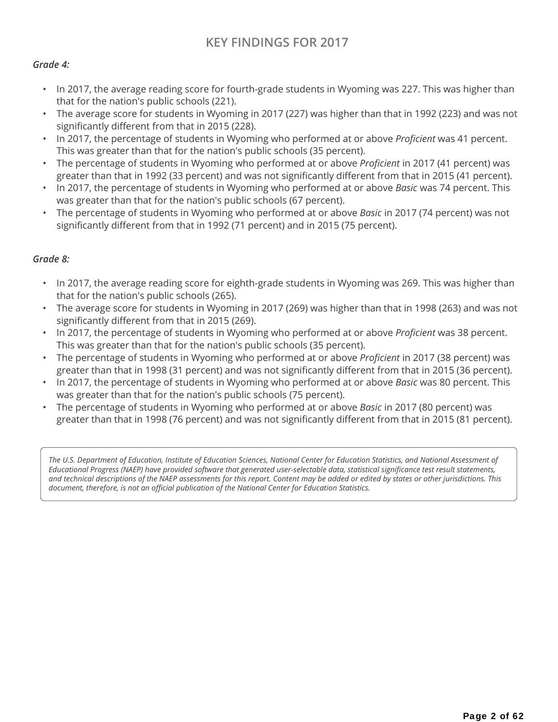### **KEY FINDINGS FOR 2017**

#### *Grade 4:*

- In 2017, the average reading score for fourth-grade students in Wyoming was 227. This was higher than that for the nation's public schools (221).
- The average score for students in Wyoming in 2017 (227) was higher than that in 1992 (223) and was not significantly different from that in 2015 (228).
- In 2017, the percentage of students in Wyoming who performed at or above *Proficient* was 41 percent. This was greater than that for the nation's public schools (35 percent).
- The percentage of students in Wyoming who performed at or above *Proficient* in 2017 (41 percent) was greater than that in 1992 (33 percent) and was not significantly different from that in 2015 (41 percent).
- In 2017, the percentage of students in Wyoming who performed at or above *Basic* was 74 percent. This was greater than that for the nation's public schools (67 percent).
- The percentage of students in Wyoming who performed at or above *Basic* in 2017 (74 percent) was not significantly different from that in 1992 (71 percent) and in 2015 (75 percent).

#### *Grade 8:*

- In 2017, the average reading score for eighth-grade students in Wyoming was 269. This was higher than that for the nation's public schools (265).
- The average score for students in Wyoming in 2017 (269) was higher than that in 1998 (263) and was not significantly different from that in 2015 (269).
- In 2017, the percentage of students in Wyoming who performed at or above *Proficient* was 38 percent. This was greater than that for the nation's public schools (35 percent).
- The percentage of students in Wyoming who performed at or above *Proficient* in 2017 (38 percent) was greater than that in 1998 (31 percent) and was not significantly different from that in 2015 (36 percent).
- In 2017, the percentage of students in Wyoming who performed at or above *Basic* was 80 percent. This was greater than that for the nation's public schools (75 percent).
- The percentage of students in Wyoming who performed at or above *Basic* in 2017 (80 percent) was greater than that in 1998 (76 percent) and was not significantly different from that in 2015 (81 percent).

The U.S. Department of Education, Institute of Education Sciences, National Center for Education Statistics, and National Assessment of *Educational Progress (NAEP) have provided software that generated user-selectable data, statistical significance test result statements, and technical descriptions of the NAEP assessments for this report. Content may be added or edited by states or other jurisdictions. This document, therefore, is not an official publication of the National Center for Education Statistics.*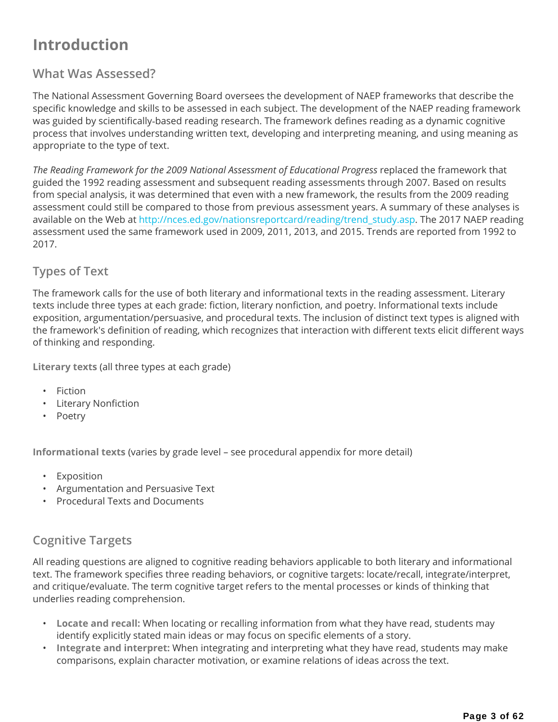# **Introduction**

### **What Was Assessed?**

The National Assessment Governing Board oversees the development of NAEP frameworks that describe the specific knowledge and skills to be assessed in each subject. The development of the NAEP reading framework was guided by scientifically‐based reading research. The framework defines reading as a dynamic cognitive process that involves understanding written text, developing and interpreting meaning, and using meaning as appropriate to the type of text.

*The Reading Framework for the 2009 National Assessment of Educational Progress* replaced the framework that guided the 1992 reading assessment and subsequent reading assessments through 2007. Based on results from special analysis, it was determined that even with a new framework, the results from the 2009 reading assessment could still be compared to those from previous assessment years. A summary of these analyses is available on the Web at http://nces.ed.gov/nationsreportcard/reading/trend\_study.asp. The 2017 NAEP reading assessment used the same framework used in 2009, 2011, 2013, and 2015. Trends are reported from 1992 to 2017.

### **Types of Text**

The framework calls for the use of both literary and informational texts in the reading assessment. Literary texts include three types at each grade: fiction, literary nonfiction, and poetry. Informational texts include exposition, argumentation/persuasive, and procedural texts. The inclusion of distinct text types is aligned with the framework's definition of reading, which recognizes that interaction with different texts elicit different ways of thinking and responding.

**Literary texts** (all three types at each grade)

- Fiction
- Literary Nonfiction
- Poetry

**Informational texts** (varies by grade level – see procedural appendix for more detail)

- Exposition
- Argumentation and Persuasive Text
- Procedural Texts and Documents

## **Cognitive Targets**

All reading questions are aligned to cognitive reading behaviors applicable to both literary and informational text. The framework specifies three reading behaviors, or cognitive targets: locate/recall, integrate/interpret, and critique/evaluate. The term cognitive target refers to the mental processes or kinds of thinking that underlies reading comprehension.

- **Locate and recall:** When locating or recalling information from what they have read, students may identify explicitly stated main ideas or may focus on specific elements of a story.
- **Integrate and interpret:** When integrating and interpreting what they have read, students may make comparisons, explain character motivation, or examine relations of ideas across the text.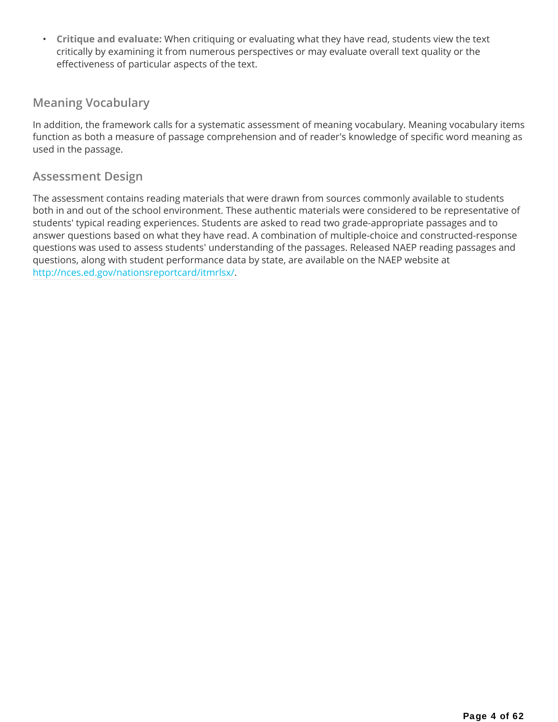• **Critique and evaluate:** When critiquing or evaluating what they have read, students view the text critically by examining it from numerous perspectives or may evaluate overall text quality or the effectiveness of particular aspects of the text.

### **Meaning Vocabulary**

In addition, the framework calls for a systematic assessment of meaning vocabulary. Meaning vocabulary items function as both a measure of passage comprehension and of reader's knowledge of specific word meaning as used in the passage.

### **Assessment Design**

The assessment contains reading materials that were drawn from sources commonly available to students both in and out of the school environment. These authentic materials were considered to be representative of students' typical reading experiences. Students are asked to read two grade-appropriate passages and to answer questions based on what they have read. A combination of multiple-choice and constructed-response questions was used to assess students' understanding of the passages. Released NAEP reading passages and questions, along with student performance data by state, are available on the NAEP website at http://nces.ed.gov/nationsreportcard/itmrlsx/.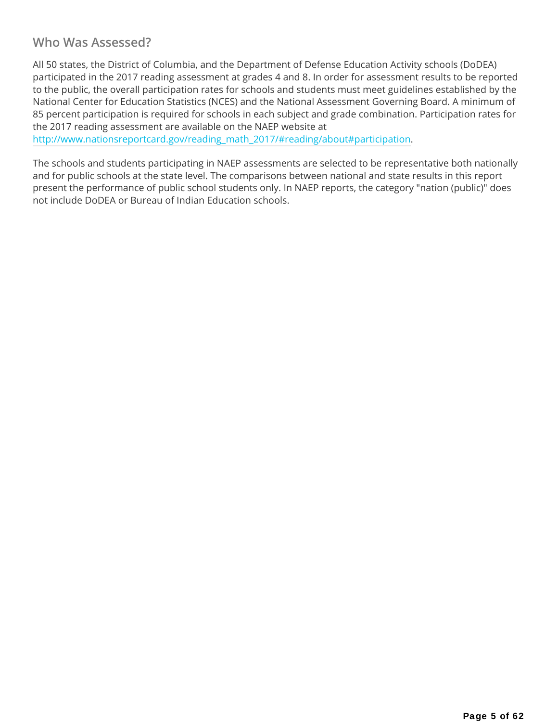### **Who Was Assessed?**

All 50 states, the District of Columbia, and the Department of Defense Education Activity schools (DoDEA) participated in the 2017 reading assessment at grades 4 and 8. In order for assessment results to be reported to the public, the overall participation rates for schools and students must meet guidelines established by the National Center for Education Statistics (NCES) and the National Assessment Governing Board. A minimum of 85 percent participation is required for schools in each subject and grade combination. Participation rates for the 2017 reading assessment are available on the NAEP website at

http://www.nationsreportcard.gov/reading\_math\_2017/#reading/about#participation.

The schools and students participating in NAEP assessments are selected to be representative both nationally and for public schools at the state level. The comparisons between national and state results in this report present the performance of public school students only. In NAEP reports, the category "nation (public)" does not include DoDEA or Bureau of Indian Education schools.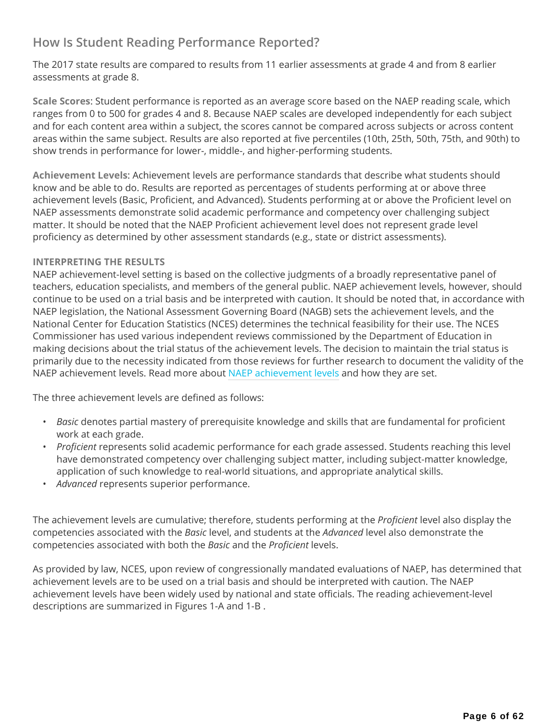## **How Is Student Reading Performance Reported?**

The 2017 state results are compared to results from 11 earlier assessments at grade 4 and from 8 earlier assessments at grade 8.

**Scale Scores**: Student performance is reported as an average score based on the NAEP reading scale, which ranges from 0 to 500 for grades 4 and 8. Because NAEP scales are developed independently for each subject and for each content area within a subject, the scores cannot be compared across subjects or across content areas within the same subject. Results are also reported at five percentiles (10th, 25th, 50th, 75th, and 90th) to show trends in performance for lower-, middle-, and higher-performing students.

**Achievement Levels**: Achievement levels are performance standards that describe what students should know and be able to do. Results are reported as percentages of students performing at or above three achievement levels (Basic, Proficient, and Advanced). Students performing at or above the Proficient level on NAEP assessments demonstrate solid academic performance and competency over challenging subject matter. It should be noted that the NAEP Proficient achievement level does not represent grade level proficiency as determined by other assessment standards (e.g., state or district assessments).

#### **INTERPRETING THE RESULTS**

NAEP achievement-level setting is based on the collective judgments of a broadly representative panel of teachers, education specialists, and members of the general public. NAEP achievement levels, however, should continue to be used on a trial basis and be interpreted with caution. It should be noted that, in accordance with NAEP legislation, the National Assessment Governing Board (NAGB) sets the achievement levels, and the National Center for Education Statistics (NCES) determines the technical feasibility for their use. The NCES Commissioner has used various independent reviews commissioned by the Department of Education in making decisions about the trial status of the achievement levels. The decision to maintain the trial status is primarily due to the necessity indicated from those reviews for further research to document the validity of the NAEP achievement levels. Read more about NAEP achievement levels and how they are set.

The three achievement levels are defined as follows:

- *Basic* denotes partial mastery of prerequisite knowledge and skills that are fundamental for proficient work at each grade.
- *Proficient* represents solid academic performance for each grade assessed. Students reaching this level have demonstrated competency over challenging subject matter, including subject-matter knowledge, application of such knowledge to real-world situations, and appropriate analytical skills.
- *Advanced* represents superior performance.

The achievement levels are cumulative; therefore, students performing at the *Proficient* level also display the competencies associated with the *Basic* level, and students at the *Advanced* level also demonstrate the competencies associated with both the *Basic* and the *Proficient* levels.

As provided by law, NCES, upon review of congressionally mandated evaluations of NAEP, has determined that achievement levels are to be used on a trial basis and should be interpreted with caution. The NAEP achievement levels have been widely used by national and state officials. The reading achievement-level descriptions are summarized in Figures 1-A and 1-B .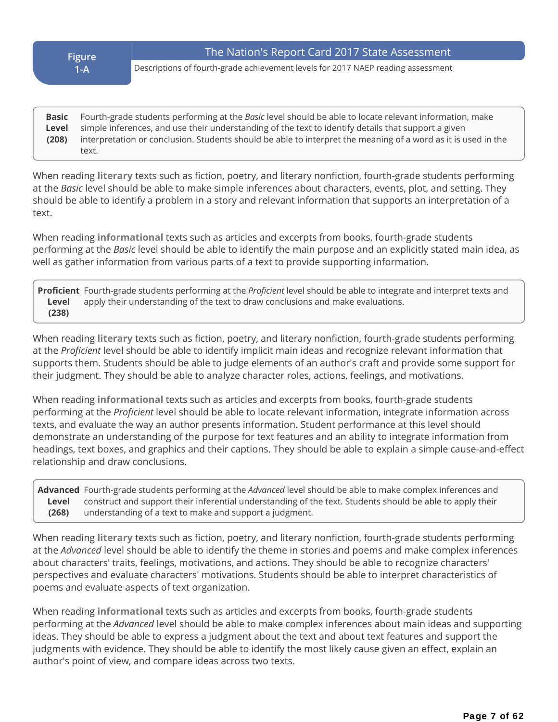**Figure 1-A** 

The Nation's Report Card 2017 State Assessment

Descriptions of fourth-grade achievement levels for 2017 NAEP reading assessment

**Basic Level (208)** Fourth-grade students performing at the *Basic* level should be able to locate relevant information, make simple inferences, and use their understanding of the text to identify details that support a given interpretation or conclusion. Students should be able to interpret the meaning of a word as it is used in the text.

When reading **literary** texts such as fiction, poetry, and literary nonfiction, fourth-grade students performing at the *Basic* level should be able to make simple inferences about characters, events, plot, and setting. They should be able to identify a problem in a story and relevant information that supports an interpretation of a text.

When reading **informational** texts such as articles and excerpts from books, fourth-grade students performing at the *Basic* level should be able to identify the main purpose and an explicitly stated main idea, as well as gather information from various parts of a text to provide supporting information.

**Proficient** Fourth-grade students performing at the *Proficient* level should be able to integrate and interpret texts and **Level (238)** apply their understanding of the text to draw conclusions and make evaluations.

When reading **literary** texts such as fiction, poetry, and literary nonfiction, fourth-grade students performing at the *Proficient* level should be able to identify implicit main ideas and recognize relevant information that supports them. Students should be able to judge elements of an author's craft and provide some support for their judgment. They should be able to analyze character roles, actions, feelings, and motivations.

When reading **informational** texts such as articles and excerpts from books, fourth-grade students performing at the *Proficient* level should be able to locate relevant information, integrate information across texts, and evaluate the way an author presents information. Student performance at this level should demonstrate an understanding of the purpose for text features and an ability to integrate information from headings, text boxes, and graphics and their captions. They should be able to explain a simple cause-and-effect relationship and draw conclusions.

**Advanced** Fourth-grade students performing at the *Advanced* level should be able to make complex inferences and **Level (268)** construct and support their inferential understanding of the text. Students should be able to apply their understanding of a text to make and support a judgment.

When reading **literary** texts such as fiction, poetry, and literary nonfiction, fourth-grade students performing at the *Advanced* level should be able to identify the theme in stories and poems and make complex inferences about characters' traits, feelings, motivations, and actions. They should be able to recognize characters' perspectives and evaluate characters' motivations. Students should be able to interpret characteristics of poems and evaluate aspects of text organization.

When reading **informational** texts such as articles and excerpts from books, fourth-grade students performing at the *Advanced* level should be able to make complex inferences about main ideas and supporting ideas. They should be able to express a judgment about the text and about text features and support the judgments with evidence. They should be able to identify the most likely cause given an effect, explain an author's point of view, and compare ideas across two texts.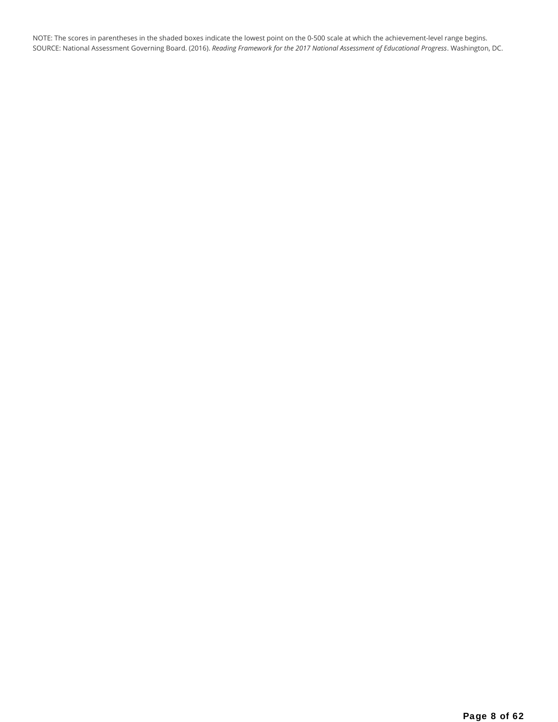NOTE: The scores in parentheses in the shaded boxes indicate the lowest point on the 0-500 scale at which the achievement-level range begins. SOURCE: National Assessment Governing Board. (2016). *Reading Framework for the 2017 National Assessment of Educational Progress*. Washington, DC.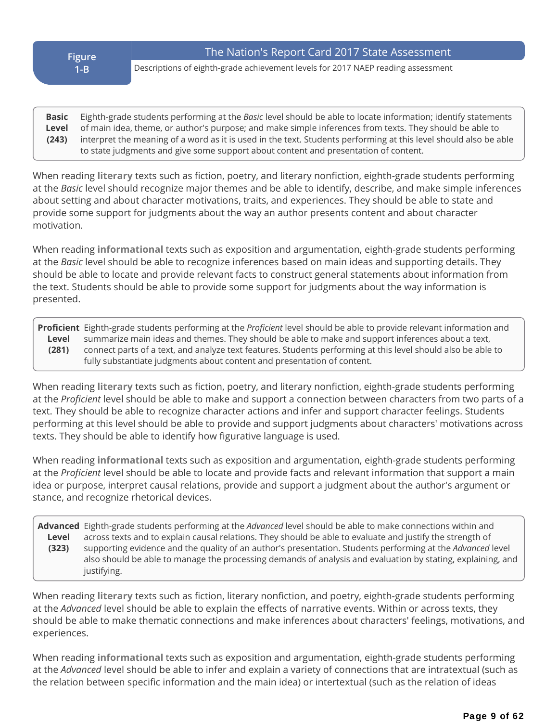**Figure 1-B** 

The Nation's Report Card 2017 State Assessment

Descriptions of eighth-grade achievement levels for 2017 NAEP reading assessment

**Basic Level (243)** Eighth-grade students performing at the *Basic* level should be able to locate information; identify statements of main idea, theme, or author's purpose; and make simple inferences from texts. They should be able to interpret the meaning of a word as it is used in the text. Students performing at this level should also be able to state judgments and give some support about content and presentation of content.

When reading **literary** texts such as fiction, poetry, and literary nonfiction, eighth-grade students performing at the *Basic* level should recognize major themes and be able to identify, describe, and make simple inferences about setting and about character motivations, traits, and experiences. They should be able to state and provide some support for judgments about the way an author presents content and about character motivation.

When reading **informational** texts such as exposition and argumentation, eighth-grade students performing at the *Basic* level should be able to recognize inferences based on main ideas and supporting details. They should be able to locate and provide relevant facts to construct general statements about information from the text. Students should be able to provide some support for judgments about the way information is presented.

**Proficient** Eighth-grade students performing at the *Proficient* level should be able to provide relevant information and **Level (281)** summarize main ideas and themes. They should be able to make and support inferences about a text, connect parts of a text, and analyze text features. Students performing at this level should also be able to fully substantiate judgments about content and presentation of content.

When reading **literary** texts such as fiction, poetry, and literary nonfiction, eighth-grade students performing at the *Proficient* level should be able to make and support a connection between characters from two parts of a text. They should be able to recognize character actions and infer and support character feelings. Students performing at this level should be able to provide and support judgments about characters' motivations across texts. They should be able to identify how figurative language is used.

When reading **informational** texts such as exposition and argumentation, eighth-grade students performing at the *Proficient* level should be able to locate and provide facts and relevant information that support a main idea or purpose, interpret causal relations, provide and support a judgment about the author's argument or stance, and recognize rhetorical devices.

**Advanced** Eighth-grade students performing at the *Advanced* level should be able to make connections within and **Level (323)** across texts and to explain causal relations. They should be able to evaluate and justify the strength of supporting evidence and the quality of an author's presentation. Students performing at the *Advanced* level also should be able to manage the processing demands of analysis and evaluation by stating, explaining, and justifying.

When reading **literary** texts such as fiction, literary nonfiction, and poetry, eighth-grade students performing at the *Advanced* level should be able to explain the effects of narrative events. Within or across texts, they should be able to make thematic connections and make inferences about characters' feelings, motivations, and experiences.

When reading **informational** texts such as exposition and argumentation, eighth-grade students performing at the *Advanced* level should be able to infer and explain a variety of connections that are intratextual (such as the relation between specific information and the main idea) or intertextual (such as the relation of ideas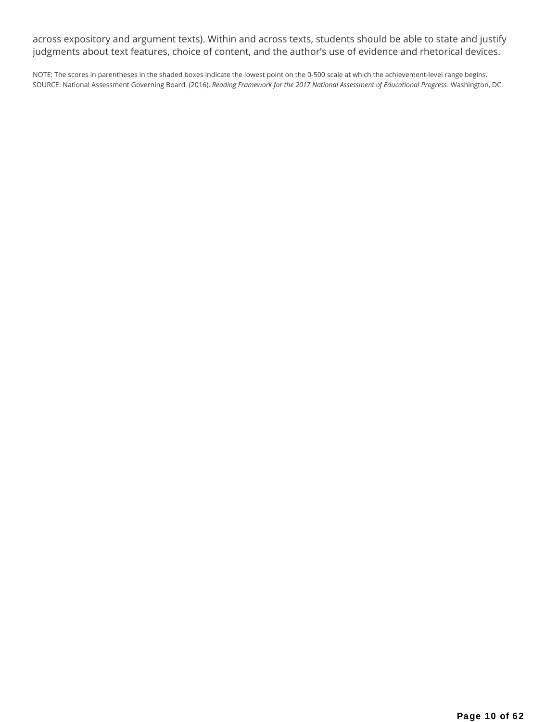across expository and argument texts). Within and across texts, students should be able to state and justify judgments about text features, choice of content, and the author's use of evidence and rhetorical devices.

NOTE: The scores in parentheses in the shaded boxes indicate the lowest point on the 0-500 scale at which the achievement-level range begins. SOURCE: National Assessment Governing Board. (2016). *Reading Framework for the 2017 National Assessment of Educational Progress*. Washington, DC.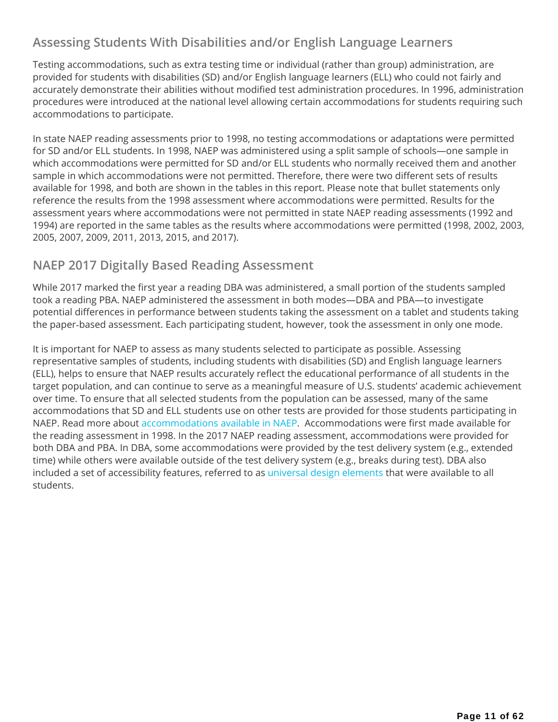## **Assessing Students With Disabilities and/or English Language Learners**

Testing accommodations, such as extra testing time or individual (rather than group) administration, are provided for students with disabilities (SD) and/or English language learners (ELL) who could not fairly and accurately demonstrate their abilities without modified test administration procedures. In 1996, administration procedures were introduced at the national level allowing certain accommodations for students requiring such accommodations to participate.

In state NAEP reading assessments prior to 1998, no testing accommodations or adaptations were permitted for SD and/or ELL students. In 1998, NAEP was administered using a split sample of schools—one sample in which accommodations were permitted for SD and/or ELL students who normally received them and another sample in which accommodations were not permitted. Therefore, there were two different sets of results available for 1998, and both are shown in the tables in this report. Please note that bullet statements only reference the results from the 1998 assessment where accommodations were permitted. Results for the assessment years where accommodations were not permitted in state NAEP reading assessments (1992 and 1994) are reported in the same tables as the results where accommodations were permitted (1998, 2002, 2003, 2005, 2007, 2009, 2011, 2013, 2015, and 2017).

### **NAEP 2017 Digitally Based Reading Assessment**

While 2017 marked the first year a reading DBA was administered, a small portion of the students sampled took a reading PBA. NAEP administered the assessment in both modes—DBA and PBA—to investigate potential differences in performance between students taking the assessment on a tablet and students taking the paper‐based assessment. Each participating student, however, took the assessment in only one mode.

It is important for NAEP to assess as many students selected to participate as possible. Assessing representative samples of students, including students with disabilities (SD) and English language learners (ELL), helps to ensure that NAEP results accurately reflect the educational performance of all students in the target population, and can continue to serve as a meaningful measure of U.S. students' academic achievement over time. To ensure that all selected students from the population can be assessed, many of the same accommodations that SD and ELL students use on other tests are provided for those students participating in NAEP. Read more about accommodations available in NAEP. Accommodations were first made available for the reading assessment in 1998. In the 2017 NAEP reading assessment, accommodations were provided for both DBA and PBA. In DBA, some accommodations were provided by the test delivery system (e.g., extended time) while others were available outside of the test delivery system (e.g., breaks during test). DBA also included a set of accessibility features, referred to as universal design elements that were available to all students.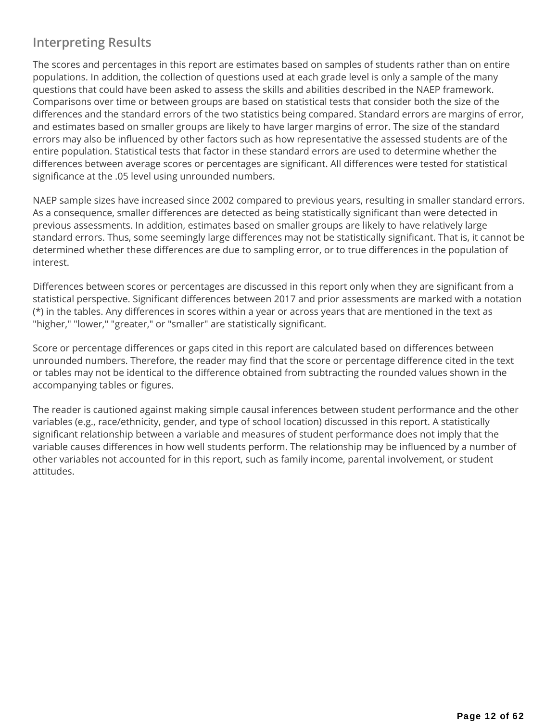## **Interpreting Results**

The scores and percentages in this report are estimates based on samples of students rather than on entire populations. In addition, the collection of questions used at each grade level is only a sample of the many questions that could have been asked to assess the skills and abilities described in the NAEP framework. Comparisons over time or between groups are based on statistical tests that consider both the size of the differences and the standard errors of the two statistics being compared. Standard errors are margins of error, and estimates based on smaller groups are likely to have larger margins of error. The size of the standard errors may also be influenced by other factors such as how representative the assessed students are of the entire population. Statistical tests that factor in these standard errors are used to determine whether the differences between average scores or percentages are significant. All differences were tested for statistical significance at the .05 level using unrounded numbers.

NAEP sample sizes have increased since 2002 compared to previous years, resulting in smaller standard errors. As a consequence, smaller differences are detected as being statistically significant than were detected in previous assessments. In addition, estimates based on smaller groups are likely to have relatively large standard errors. Thus, some seemingly large differences may not be statistically significant. That is, it cannot be determined whether these differences are due to sampling error, or to true differences in the population of interest.

Differences between scores or percentages are discussed in this report only when they are significant from a statistical perspective. Significant differences between 2017 and prior assessments are marked with a notation (\*) in the tables. Any differences in scores within a year or across years that are mentioned in the text as "higher," "lower," "greater," or "smaller" are statistically significant.

Score or percentage differences or gaps cited in this report are calculated based on differences between unrounded numbers. Therefore, the reader may find that the score or percentage difference cited in the text or tables may not be identical to the difference obtained from subtracting the rounded values shown in the accompanying tables or figures.

The reader is cautioned against making simple causal inferences between student performance and the other variables (e.g., race/ethnicity, gender, and type of school location) discussed in this report. A statistically significant relationship between a variable and measures of student performance does not imply that the variable causes differences in how well students perform. The relationship may be influenced by a number of other variables not accounted for in this report, such as family income, parental involvement, or student attitudes.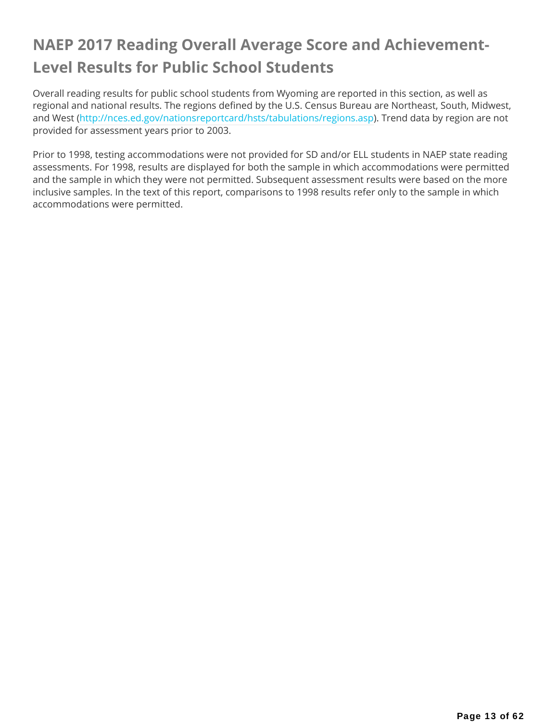# **NAEP 2017 Reading Overall Average Score and Achievement-Level Results for Public School Students**

Overall reading results for public school students from Wyoming are reported in this section, as well as regional and national results. The regions defined by the U.S. Census Bureau are Northeast, South, Midwest, and West (http://nces.ed.gov/nationsreportcard/hsts/tabulations/regions.asp). Trend data by region are not provided for assessment years prior to 2003.

Prior to 1998, testing accommodations were not provided for SD and/or ELL students in NAEP state reading assessments. For 1998, results are displayed for both the sample in which accommodations were permitted and the sample in which they were not permitted. Subsequent assessment results were based on the more inclusive samples. In the text of this report, comparisons to 1998 results refer only to the sample in which accommodations were permitted.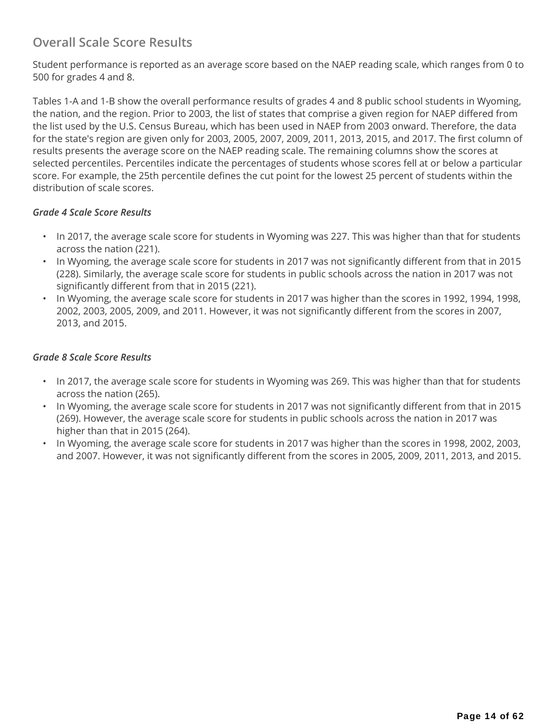## **Overall Scale Score Results**

Student performance is reported as an average score based on the NAEP reading scale, which ranges from 0 to 500 for grades 4 and 8.

Tables 1-A and 1-B show the overall performance results of grades 4 and 8 public school students in Wyoming, the nation, and the region. Prior to 2003, the list of states that comprise a given region for NAEP differed from the list used by the U.S. Census Bureau, which has been used in NAEP from 2003 onward. Therefore, the data for the state's region are given only for 2003, 2005, 2007, 2009, 2011, 2013, 2015, and 2017. The first column of results presents the average score on the NAEP reading scale. The remaining columns show the scores at selected percentiles. Percentiles indicate the percentages of students whose scores fell at or below a particular score. For example, the 25th percentile defines the cut point for the lowest 25 percent of students within the distribution of scale scores.

#### *Grade 4 Scale Score Results*

- In 2017, the average scale score for students in Wyoming was 227. This was higher than that for students across the nation (221).
- In Wyoming, the average scale score for students in 2017 was not significantly different from that in 2015 (228). Similarly, the average scale score for students in public schools across the nation in 2017 was not significantly different from that in 2015 (221).
- In Wyoming, the average scale score for students in 2017 was higher than the scores in 1992, 1994, 1998, 2002, 2003, 2005, 2009, and 2011. However, it was not significantly different from the scores in 2007, 2013, and 2015.

#### *Grade 8 Scale Score Results*

- In 2017, the average scale score for students in Wyoming was 269. This was higher than that for students across the nation (265).
- In Wyoming, the average scale score for students in 2017 was not significantly different from that in 2015 (269). However, the average scale score for students in public schools across the nation in 2017 was higher than that in 2015 (264).
- In Wyoming, the average scale score for students in 2017 was higher than the scores in 1998, 2002, 2003, and 2007. However, it was not significantly different from the scores in 2005, 2009, 2011, 2013, and 2015.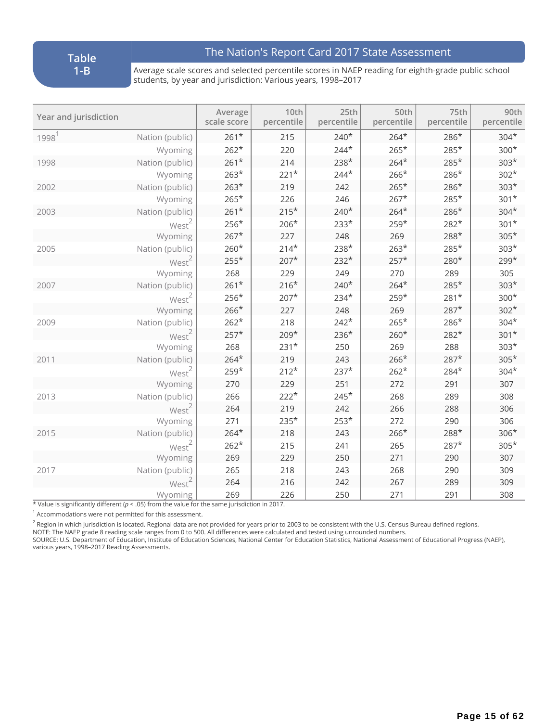**Table 1-B**

### The Nation's Report Card 2017 State Assessment

Average scale scores and selected percentile scores in NAEP reading for eighth-grade public school students, by year and jurisdiction: Various years, 1998–2017

| Year and jurisdiction |                   | Average<br>scale score | 10th<br>percentile | 25th<br>percentile | 50th<br>percentile | 75th<br>percentile | 90th<br>percentile |
|-----------------------|-------------------|------------------------|--------------------|--------------------|--------------------|--------------------|--------------------|
| 1998 <sup>1</sup>     | Nation (public)   | $261*$                 | 215                | $240*$             | $264*$             | $286*$             | $304*$             |
|                       | Wyoming           | $262*$                 | 220                | $244*$             | $265*$             | 285*               | $300*$             |
| 1998                  | Nation (public)   | $261*$                 | 214                | $238*$             | $264*$             | $285*$             | $303*$             |
|                       | Wyoming           | $263*$                 | $221*$             | $244*$             | $266*$             | 286*               | $302*$             |
| 2002                  | Nation (public)   | $263*$                 | 219                | 242                | $265*$             | 286*               | $303*$             |
|                       | Wyoming           | $265*$                 | 226                | 246                | $267*$             | $285*$             | $301*$             |
| 2003                  | Nation (public)   | $261*$                 | $215*$             | $240*$             | $264*$             | 286*               | $304*$             |
|                       | West <sup>2</sup> | $256*$                 | $206*$             | $233*$             | 259*               | $282*$             | $301*$             |
|                       | Wyoming           | $267*$                 | 227                | 248                | 269                | 288*               | $305*$             |
| 2005                  | Nation (public)   | $260*$                 | $214*$             | 238*               | $263*$             | $285*$             | $303*$             |
|                       | West <sup>2</sup> | $255*$                 | $207*$             | $232*$             | $257*$             | 280*               | 299*               |
|                       | Wyoming           | 268                    | 229                | 249                | 270                | 289                | 305                |
| 2007                  | Nation (public)   | $261*$                 | $216*$             | $240*$             | $264*$             | 285*               | $303*$             |
|                       | West <sup>2</sup> | $256*$                 | $207*$             | $234*$             | $259*$             | $281*$             | $300*$             |
|                       | Wyoming           | $266*$                 | 227                | 248                | 269                | $287*$             | $302*$             |
| 2009                  | Nation (public)   | $262*$                 | 218                | $242*$             | $265*$             | $286*$             | $304*$             |
|                       | West <sup>2</sup> | $257*$                 | $209*$             | $236*$             | $260*$             | 282*               | $301*$             |
|                       | Wyoming           | 268                    | $231*$             | 250                | 269                | 288                | $303*$             |
| 2011                  | Nation (public)   | $264*$                 | 219                | 243                | $266*$             | $287*$             | $305*$             |
|                       | West <sup>2</sup> | 259*                   | $212*$             | $237*$             | $262*$             | $284*$             | $304*$             |
|                       | Wyoming           | 270                    | 229                | 251                | 272                | 291                | 307                |
| 2013                  | Nation (public)   | 266                    | $222*$             | $245*$             | 268                | 289                | 308                |
|                       | West <sup>2</sup> | 264                    | 219                | 242                | 266                | 288                | 306                |
|                       | Wyoming           | 271                    | $235*$             | $253*$             | 272                | 290                | 306                |
| 2015                  | Nation (public)   | $264*$                 | 218                | 243                | 266*               | 288*               | $306*$             |
|                       | West <sup>2</sup> | $262*$                 | 215                | 241                | 265                | $287*$             | $305*$             |
|                       | Wyoming           | 269                    | 229                | 250                | 271                | 290                | 307                |
| 2017                  | Nation (public)   | 265                    | 218                | 243                | 268                | 290                | 309                |
|                       | West <sup>2</sup> | 264                    | 216                | 242                | 267                | 289                | 309                |
|                       | Wyoming           | 269                    | 226                | 250                | 271                | 291                | 308                |

\* Value is significantly different (*p* < .05) from the value for the same jurisdiction in 2017.

 $1$  Accommodations were not permitted for this assessment.

 $^2$  Region in which jurisdiction is located. Regional data are not provided for years prior to 2003 to be consistent with the U.S. Census Bureau defined regions.

NOTE: The NAEP grade 8 reading scale ranges from 0 to 500. All differences were calculated and tested using unrounded numbers.

SOURCE: U.S. Department of Education, Institute of Education Sciences, National Center for Education Statistics, National Assessment of Educational Progress (NAEP), various years, 1998–2017 Reading Assessments.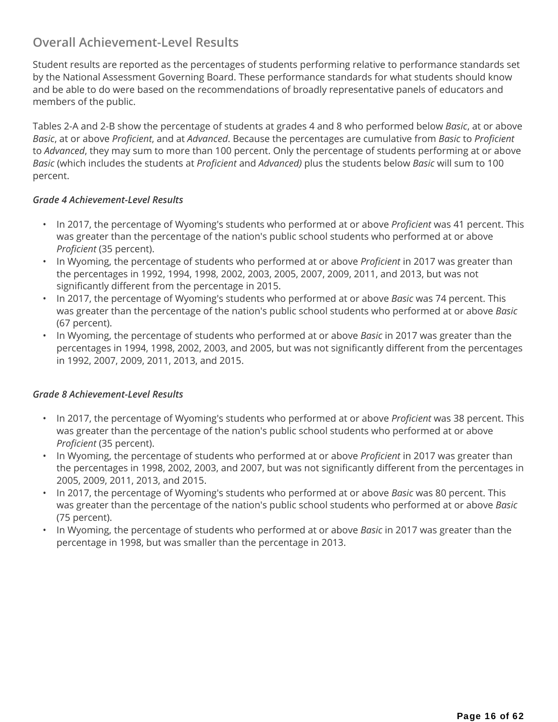### **Overall Achievement-Level Results**

Student results are reported as the percentages of students performing relative to performance standards set by the National Assessment Governing Board. These performance standards for what students should know and be able to do were based on the recommendations of broadly representative panels of educators and members of the public.

Tables 2-A and 2-B show the percentage of students at grades 4 and 8 who performed below *Basic*, at or above *Basic*, at or above *Proficient*, and at *Advanced*. Because the percentages are cumulative from *Basic* to *Proficient* to *Advanced*, they may sum to more than 100 percent. Only the percentage of students performing at or above *Basic* (which includes the students at *Proficient* and *Advanced)* plus the students below *Basic* will sum to 100 percent.

#### *Grade 4 Achievement-Level Results*

- In 2017, the percentage of Wyoming's students who performed at or above *Proficient* was 41 percent. This was greater than the percentage of the nation's public school students who performed at or above *Proficient* (35 percent).
- In Wyoming, the percentage of students who performed at or above *Proficient* in 2017 was greater than the percentages in 1992, 1994, 1998, 2002, 2003, 2005, 2007, 2009, 2011, and 2013, but was not significantly different from the percentage in 2015.
- In 2017, the percentage of Wyoming's students who performed at or above *Basic* was 74 percent. This was greater than the percentage of the nation's public school students who performed at or above *Basic* (67 percent).
- In Wyoming, the percentage of students who performed at or above *Basic* in 2017 was greater than the percentages in 1994, 1998, 2002, 2003, and 2005, but was not significantly different from the percentages in 1992, 2007, 2009, 2011, 2013, and 2015.

#### *Grade 8 Achievement-Level Results*

- In 2017, the percentage of Wyoming's students who performed at or above *Proficient* was 38 percent. This was greater than the percentage of the nation's public school students who performed at or above *Proficient* (35 percent).
- In Wyoming, the percentage of students who performed at or above *Proficient* in 2017 was greater than the percentages in 1998, 2002, 2003, and 2007, but was not significantly different from the percentages in 2005, 2009, 2011, 2013, and 2015.
- In 2017, the percentage of Wyoming's students who performed at or above *Basic* was 80 percent. This was greater than the percentage of the nation's public school students who performed at or above *Basic* (75 percent).
- In Wyoming, the percentage of students who performed at or above *Basic* in 2017 was greater than the percentage in 1998, but was smaller than the percentage in 2013.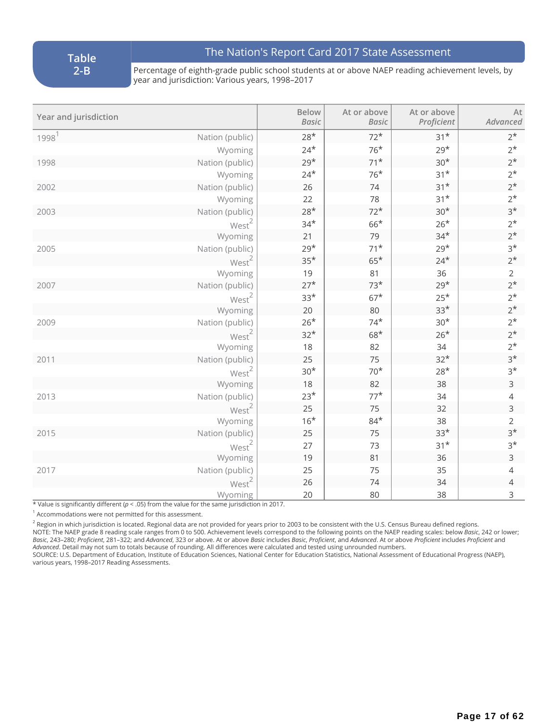**Table 2-B**

### The Nation's Report Card 2017 State Assessment

Percentage of eighth-grade public school students at or above NAEP reading achievement levels, by year and jurisdiction: Various years, 1998–2017

| Year and jurisdiction |                   | <b>Below</b><br><b>Basic</b> | At or above<br><b>Basic</b> | At or above<br>Proficient | At<br>Advanced |
|-----------------------|-------------------|------------------------------|-----------------------------|---------------------------|----------------|
| 1998 <sup>1</sup>     | Nation (public)   | $28*$                        | $72*$                       | $31*$                     | $2^*$          |
|                       | Wyoming           | $24*$                        | $76*$                       | $29*$                     | $2^*$          |
| 1998                  | Nation (public)   | $29*$                        | $71*$                       | $30*$                     | $2^*$          |
|                       | Wyoming           | $24*$                        | $76*$                       | $31*$                     | $2^*$          |
| 2002                  | Nation (public)   | 26                           | 74                          | $31*$                     | $2^{\star}$    |
|                       | Wyoming           | 22                           | 78                          | $31*$                     | $2^*$          |
| 2003                  | Nation (public)   | $28*$                        | $72*$                       | $30*$                     | $3*$           |
|                       | West <sup>2</sup> | $34*$                        | $66*$                       | $26*$                     | $2^{\star}$    |
|                       | Wyoming           | 21                           | 79                          | $34*$                     | $2^{\star}$    |
| 2005                  | Nation (public)   | $29*$                        | $71*$                       | $29*$                     | $3*$           |
|                       | West <sup>2</sup> | $35*$                        | $65*$                       | $24*$                     | $2^{\star}$    |
|                       | Wyoming           | 19                           | 81                          | 36                        | $\overline{2}$ |
| 2007                  | Nation (public)   | $27*$                        | $73*$                       | $29*$                     | $2^{\star}$    |
|                       | West <sup>2</sup> | $33*$                        | $67*$                       | $25*$                     | $2^*$          |
|                       | Wyoming           | 20                           | 80                          | $33*$                     | $2^{\star}$    |
| 2009                  | Nation (public)   | $26*$                        | $74*$                       | $30*$                     | $2^*$          |
|                       | West <sup>2</sup> | $32*$                        | $68*$                       | $26*$                     | $2^{\star}$    |
|                       | Wyoming           | 18                           | 82                          | 34                        | $2^*$          |
| 2011                  | Nation (public)   | 25                           | 75                          | $32*$                     | $3*$           |
|                       | West <sup>2</sup> | $30*$                        | $70*$                       | $28*$                     | $3*$           |
|                       | Wyoming           | 18                           | 82                          | 38                        | 3              |
| 2013                  | Nation (public)   | $23*$                        | $77*$                       | 34                        | 4              |
|                       | West <sup>2</sup> | 25                           | 75                          | 32                        | 3              |
|                       | Wyoming           | $16*$                        | $84*$                       | 38                        | $\overline{2}$ |
| 2015                  | Nation (public)   | 25                           | 75                          | $33*$                     | $3*$           |
|                       | West <sup>2</sup> | 27                           | 73                          | $31*$                     | $3*$           |
|                       | Wyoming           | 19                           | 81                          | 36                        | 3              |
| 2017                  | Nation (public)   | 25                           | 75                          | 35                        | 4              |
|                       | West <sup>2</sup> | 26                           | 74                          | 34                        | $\overline{4}$ |
|                       | Wyoming           | 20                           | 80                          | 38                        | 3              |

\* Value is significantly different (*p* < .05) from the value for the same jurisdiction in 2017.

 $1$  Accommodations were not permitted for this assessment.

 $^2$  Region in which jurisdiction is located. Regional data are not provided for years prior to 2003 to be consistent with the U.S. Census Bureau defined regions. NOTE: The NAEP grade 8 reading scale ranges from 0 to 500. Achievement levels correspond to the following points on the NAEP reading scales: below *Basic*, 242 or lower; Basic, 243-280; Proficient, 281-322; and Advanced, 323 or above. At or above Basic includes Basic, Proficient, and Advanced. At or above Proficient includes Proficient and *Advanced*. Detail may not sum to totals because of rounding. All differences were calculated and tested using unrounded numbers.

SOURCE: U.S. Department of Education, Institute of Education Sciences, National Center for Education Statistics, National Assessment of Educational Progress (NAEP), various years, 1998–2017 Reading Assessments.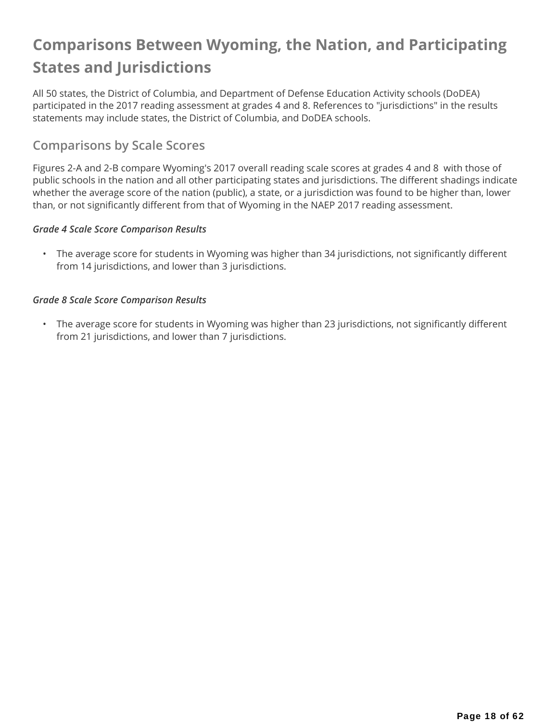# **Comparisons Between Wyoming, the Nation, and Participating States and Jurisdictions**

All 50 states, the District of Columbia, and Department of Defense Education Activity schools (DoDEA) participated in the 2017 reading assessment at grades 4 and 8. References to "jurisdictions" in the results statements may include states, the District of Columbia, and DoDEA schools.

## **Comparisons by Scale Scores**

Figures 2-A and 2-B compare Wyoming's 2017 overall reading scale scores at grades 4 and 8 with those of public schools in the nation and all other participating states and jurisdictions. The different shadings indicate whether the average score of the nation (public), a state, or a jurisdiction was found to be higher than, lower than, or not significantly different from that of Wyoming in the NAEP 2017 reading assessment.

#### *Grade 4 Scale Score Comparison Results*

• The average score for students in Wyoming was higher than 34 jurisdictions, not significantly different from 14 jurisdictions, and lower than 3 jurisdictions.

#### *Grade 8 Scale Score Comparison Results*

• The average score for students in Wyoming was higher than 23 jurisdictions, not significantly different from 21 jurisdictions, and lower than 7 jurisdictions.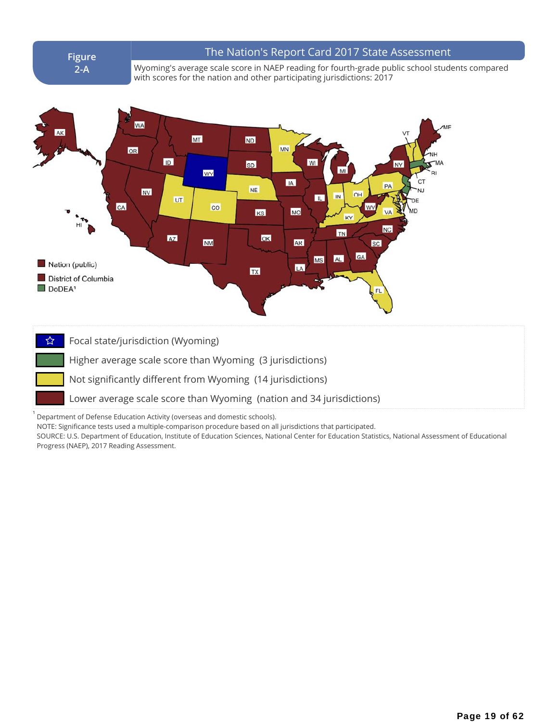**Figure 2-A**

### The Nation's Report Card 2017 State Assessment

Wyoming's average scale score in NAEP reading for fourth-grade public school students compared with scores for the nation and other participating jurisdictions: 2017



☆ Focal state/jurisdiction (Wyoming)

1

Higher average scale score than Wyoming (3 jurisdictions)

Not significantly different from Wyoming (14 jurisdictions)

Lower average scale score than Wyoming (nation and 34 jurisdictions)

Department of Defense Education Activity (overseas and domestic schools).

NOTE: Significance tests used a multiple-comparison procedure based on all jurisdictions that participated.

SOURCE: U.S. Department of Education, Institute of Education Sciences, National Center for Education Statistics, National Assessment of Educational Progress (NAEP), 2017 Reading Assessment.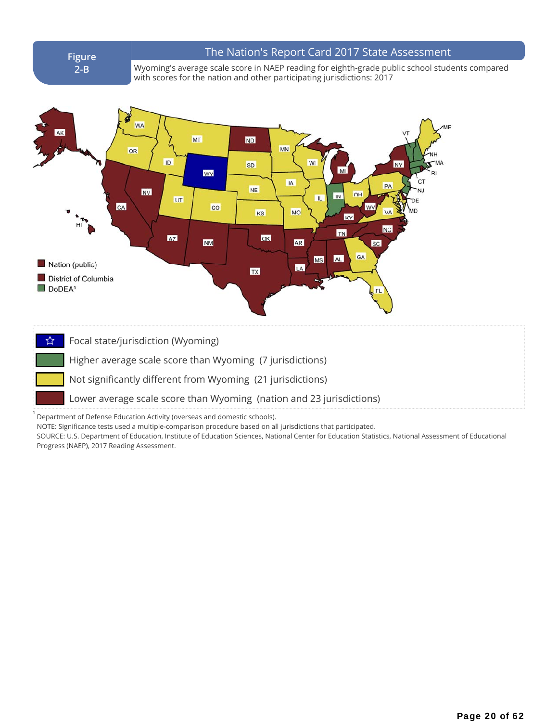**Figure 2-B**

### The Nation's Report Card 2017 State Assessment

Wyoming's average scale score in NAEP reading for eighth-grade public school students compared with scores for the nation and other participating jurisdictions: 2017



☆ Focal state/jurisdiction (Wyoming)

1

Higher average scale score than Wyoming (7 jurisdictions)

Not significantly different from Wyoming (21 jurisdictions)

Lower average scale score than Wyoming (nation and 23 jurisdictions)

Department of Defense Education Activity (overseas and domestic schools).

NOTE: Significance tests used a multiple-comparison procedure based on all jurisdictions that participated.

SOURCE: U.S. Department of Education, Institute of Education Sciences, National Center for Education Statistics, National Assessment of Educational Progress (NAEP), 2017 Reading Assessment.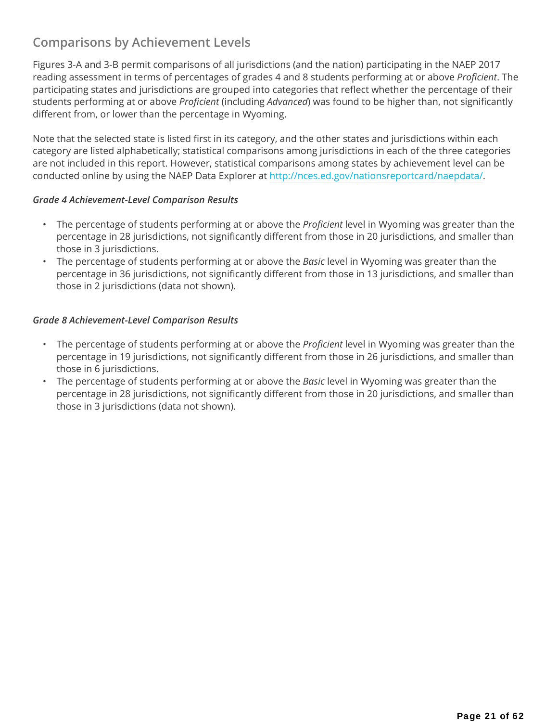## **Comparisons by Achievement Levels**

Figures 3-A and 3-B permit comparisons of all jurisdictions (and the nation) participating in the NAEP 2017 reading assessment in terms of percentages of grades 4 and 8 students performing at or above *Proficient*. The participating states and jurisdictions are grouped into categories that reflect whether the percentage of their students performing at or above *Proficient* (including *Advanced*) was found to be higher than, not significantly different from, or lower than the percentage in Wyoming.

Note that the selected state is listed first in its category, and the other states and jurisdictions within each category are listed alphabetically; statistical comparisons among jurisdictions in each of the three categories are not included in this report. However, statistical comparisons among states by achievement level can be conducted online by using the NAEP Data Explorer at http://nces.ed.gov/nationsreportcard/naepdata/.

#### *Grade 4 Achievement-Level Comparison Results*

- The percentage of students performing at or above the *Proficient* level in Wyoming was greater than the percentage in 28 jurisdictions, not significantly different from those in 20 jurisdictions, and smaller than those in 3 jurisdictions.
- The percentage of students performing at or above the *Basic* level in Wyoming was greater than the percentage in 36 jurisdictions, not significantly different from those in 13 jurisdictions, and smaller than those in 2 jurisdictions (data not shown).

#### *Grade 8 Achievement-Level Comparison Results*

- The percentage of students performing at or above the *Proficient* level in Wyoming was greater than the percentage in 19 jurisdictions, not significantly different from those in 26 jurisdictions, and smaller than those in 6 jurisdictions.
- The percentage of students performing at or above the *Basic* level in Wyoming was greater than the percentage in 28 jurisdictions, not significantly different from those in 20 jurisdictions, and smaller than those in 3 jurisdictions (data not shown).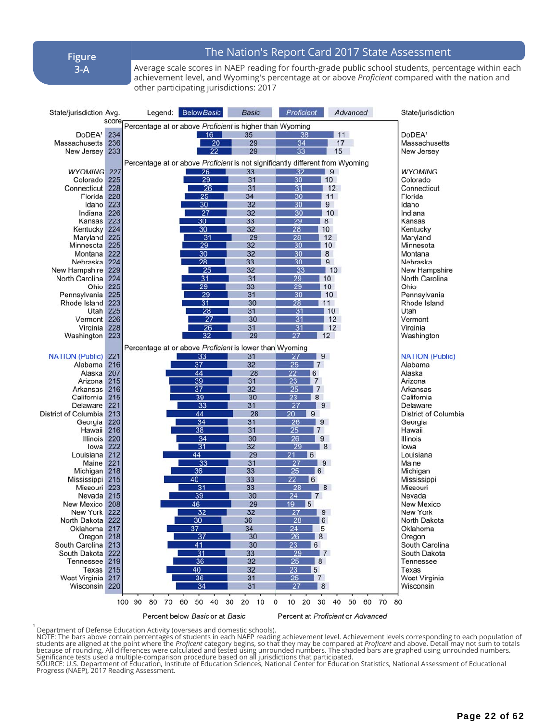#### **Figure 3-A**

### The Nation's Report Card 2017 State Assessment

Average scale scores in NAEP reading for fourth-grade public school students, percentage within each achievement level, and Wyoming's percentage at or above *Proficient* compared with the nation and other participating jurisdictions: 2017

| State/jurisdiction Avg. |            |                                                                               | Legend: Below Basic             | <b>Basic</b>   | Proficient                        | Advanced                          | State/jurisdiction      |
|-------------------------|------------|-------------------------------------------------------------------------------|---------------------------------|----------------|-----------------------------------|-----------------------------------|-------------------------|
|                         |            | Percentage at or above Proficient is higher than Wyoming                      |                                 |                |                                   |                                   |                         |
| DoDEA <sup>1</sup>      | 234        |                                                                               | 16                              | 35             | 38                                | 11                                | DoDEA <sup>1</sup>      |
| <b>Massachusetts</b>    | 236        |                                                                               | 20                              | 29             | 34                                | 17                                | Massachusetts           |
| New Jersey              | 233        |                                                                               | $\overline{22}$                 | 29             | 33                                | 15                                | New Jersey              |
|                         |            | Percentage at or above Proficient is not significantly different from Wyoming |                                 |                |                                   |                                   |                         |
| <b>WYOMING 227</b>      |            |                                                                               | 26                              | 33             | 32                                | 9                                 | <b>WYOMING</b>          |
| Colorado                | 225        |                                                                               | 29                              | 31             | 30                                | 10                                | Colorado                |
| Connecticut             | 228        |                                                                               | 26                              | 31             | 31                                | 12                                | Connecticut             |
| Florida                 | 228        |                                                                               | 25                              | 34             | 30                                | 11                                | Florida                 |
| Idaho                   | 223        |                                                                               | 30                              | 32             | 30<br>9                           |                                   | Idaho                   |
| Indiana                 | 226        |                                                                               | $\overline{27}$                 | 32             | 30                                | 10                                | Indiana                 |
| Kansas                  | 223        |                                                                               | 30                              | 33             | 29<br>8                           |                                   | Kansas                  |
| Kentucky                | 224<br>225 |                                                                               | 30<br>31                        | 32<br>29       | 28<br>10<br>$\overline{28}$<br>12 |                                   | Kentucky                |
| Maryland<br>Minnesota   | 225        |                                                                               | 29                              | 32             | 30                                | 10                                | Maryland<br>Minnesota   |
| Montana                 | 222        |                                                                               | 30                              | 32             | 30<br>8                           |                                   | Montana                 |
| Nebraska                | 224        |                                                                               | 28                              | 33             | 30<br>9                           |                                   | Nebraska                |
| New Hampshire           | 229        |                                                                               | 25                              | 32             | 33                                | 10                                | New Hampshire           |
| North Carolina          | 224        |                                                                               | 31                              | 31             | 29<br>10                          |                                   | North Carolina          |
| Ohio                    | 225        |                                                                               | 29                              | 33             | 29<br>10                          |                                   | Ohio                    |
| Pennsylvania            | 225        |                                                                               | 29                              | 31             | 30                                | 10                                | Pennsylvania            |
| Rhode Island            | 223        |                                                                               | 31                              | 30             | $\overline{28}$<br>11             |                                   | Rhode Island            |
| Utah                    | 225        |                                                                               | 28                              | 31             | 31                                | 10                                | Utah                    |
| Vermont                 | 226<br>228 |                                                                               | $\overline{27}$<br>26           | 30<br>31       | 31<br>31                          | 12<br>12                          | Vermont<br>Virginia     |
| Virginia<br>Washington  | 223        |                                                                               | 32                              | 29             | 27<br>12                          |                                   | Washington              |
|                         |            |                                                                               |                                 |                |                                   |                                   |                         |
|                         |            | Percentage at or above Proficient is lower than Wyoming                       |                                 |                |                                   |                                   |                         |
| <b>NATION (Public)</b>  | 221<br>216 |                                                                               | 33<br>37                        | 31<br>32       | 27<br>$\blacksquare$<br>25<br> 7  |                                   | <b>NATION (Public)</b>  |
| Alabama<br>Alaska       | 207        |                                                                               | 44                              | 28             | 22<br>$6\phantom{1}$              |                                   | Alabama<br>Alaska       |
| Arizona                 | 215        |                                                                               | 39                              | 31             | 23<br>$\overline{7}$              |                                   | Arizona                 |
| Arkansas                | 216        |                                                                               | 37                              | 32             | 25<br>$\overline{7}$              |                                   | Arkansas                |
| California              | 215        |                                                                               | 39                              | 30             | 23<br>8                           |                                   | California              |
| <b>Delaware</b>         | 221        |                                                                               | 33                              | 31             | 27<br>$\vert$ 9                   |                                   | Delaware                |
| District of Columbia    | 213        |                                                                               | 44                              | 28             | 20<br>9                           |                                   | District of Columbia    |
| Georgia                 | 220        |                                                                               | 34                              | 31             | 26<br>9                           |                                   | Georgia                 |
| Hawaii                  | 216        |                                                                               | 38                              | 31             | 25<br>7                           |                                   | Hawaii                  |
| <b>Illinois</b>         | 220<br>222 |                                                                               | 34<br>31                        | 30<br>32       | 26<br>9<br>29<br>$\vert 8 \vert$  |                                   | <b>Illinois</b><br>lowa |
| lowa<br>Louisiana       | 212        |                                                                               | 44                              | 29             | $\overline{21}$<br>6              |                                   | Louisiana               |
| Maine                   | 221        |                                                                               | 33                              | 31             | 27<br>$\vert 9 \vert$             |                                   | Maine                   |
| Michigan                | 218        |                                                                               | 36                              | 33             | 25<br>6                           |                                   | Michigan                |
| Mississippi             | 215        |                                                                               | 40                              | 33             | 22<br>6                           |                                   | Mississippi             |
| <b>Missouri</b>         | 223        |                                                                               | 31                              | 33             | 28<br>8                           |                                   | Missouri                |
| Nevada                  | 215        |                                                                               | 39                              | 30             | 24<br> 7                          |                                   | Nevada                  |
| New Mexico 208          |            |                                                                               | 46                              | 29             | 19<br>5                           |                                   | <b>New Mexico</b>       |
| New York                | 222        |                                                                               | 32                              | 32             | 27<br>9                           |                                   | New York                |
| North Dakota 222        |            |                                                                               | 30<br>37                        | 36<br>34       | $6\phantom{.}6$<br>28<br>24       |                                   | North Dakota            |
| Oklahoma<br>Oregon 218  | 217        |                                                                               | $\overline{37}$                 | 30             | 5<br>26<br>8                      |                                   | Oklahoma<br>Oregon      |
| South Carolina 213      |            |                                                                               | 41                              | 30             | 23<br>6                           |                                   | South Carolina          |
| South Dakota 222        |            |                                                                               | 31                              | 33             | 29<br>$\blacksquare$              |                                   | South Dakota            |
| Tennessee 219           |            |                                                                               | 36                              | 32             | 25<br>8                           |                                   | Tennessee               |
| Texas 215               |            |                                                                               | 40                              | 32             | 23<br>5                           |                                   | Texas                   |
| West Virginia 217       |            |                                                                               | 36                              | 31             | 25<br>$7\phantom{.0}$             |                                   | West Virginia           |
| Wisconsin 220           |            |                                                                               | 34                              | 31             | 27<br> 8                          |                                   | Wisconsin               |
|                         |            | 100 90 80 70 60                                                               | 50 40                           | 30<br>20<br>10 | 30<br>0<br>10<br>20               | 50 60 70 80<br>40                 |                         |
|                         |            |                                                                               |                                 |                |                                   |                                   |                         |
|                         |            |                                                                               | Percent below Basic or at Basic |                |                                   | Percent at Proficient or Advanced |                         |

Department of Defense Education Activity (overseas and domestic schools).<br>NOTE: The bars above contain percentages of students in each NAEP reading achievement level. Achievement levels corresponding to each population of<br> Significance tests used a multiple-comparison procedure based on all jurisdictions that participated.<br>SOURCE: U.S. Department of Education, Institute of Education Sciences, National Center for Education Statistics, Nationa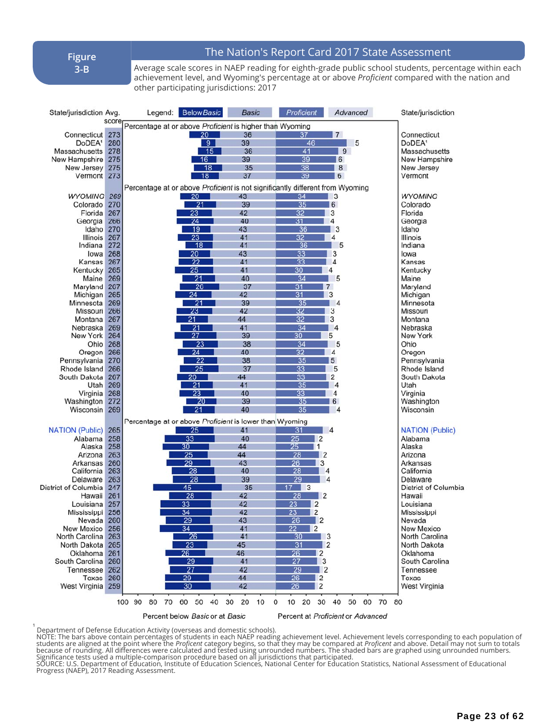**Figure 3-B**

### The Nation's Report Card 2017 State Assessment

Average scale scores in NAEP reading for eighth-grade public school students, percentage within each achievement level, and Wyoming's percentage at or above *Proficient* compared with the nation and other participating jurisdictions: 2017

| State/jurisdiction Avg.          |            |                                                          | Legend: Below Basic             | <b>Basic</b>   | Proficient                                                                    | Advanced                          | State/jurisdiction               |
|----------------------------------|------------|----------------------------------------------------------|---------------------------------|----------------|-------------------------------------------------------------------------------|-----------------------------------|----------------------------------|
|                                  | score      | Percentage at or above Proficient is higher than Wyoming |                                 |                |                                                                               |                                   |                                  |
| Connecticut 273                  |            |                                                          | 20                              | 36             | 37                                                                            | $\overline{7}$                    | Connecticut                      |
| DoDEA <sup>1</sup>               | 280        |                                                          | 9                               | 39             | 46                                                                            | 5                                 | DoDEA <sup>1</sup>               |
| Massachusetts                    | 278        |                                                          | 15                              | 36             | 41                                                                            | $\overline{9}$                    | Massachusetts                    |
| New Hampshire 275                |            |                                                          | 16                              | 39             | 39                                                                            | 6                                 | New Hampshire                    |
| New Jersey                       | 275        |                                                          | 18                              | 35             | 38                                                                            | 8                                 | New Jersey                       |
| Vermont 273                      |            |                                                          | 18                              | 37             | 39                                                                            | $6\phantom{1}$                    | Vermont                          |
|                                  |            |                                                          |                                 |                | Percentage at or above Proficient is not significantly different from Wyoming |                                   |                                  |
| <b>WYOMING</b>                   | 269        |                                                          | 20                              | 43             | 34                                                                            | 3                                 | <b>WYOMING</b>                   |
| Colorado                         | 270        |                                                          | 21                              | 39             | 35                                                                            | 6                                 | Colorado                         |
| Florida                          | 267        |                                                          | 23                              | 42             | 32                                                                            | 3                                 | Florida                          |
| Georgia                          | 266        |                                                          | 24                              | 40             | 31                                                                            | 4                                 | Georgia                          |
| Idaho                            | 270        |                                                          | 19                              | 43             | 36                                                                            | 3                                 | Idaho                            |
| <b>Illinois</b>                  | 267        |                                                          | 23                              | 41             | 32                                                                            | 4                                 | <b>Illinois</b>                  |
| Indiana                          | 272        |                                                          | 18                              | 41             | 36                                                                            | 5                                 | Indiana                          |
| lowa                             | 268        |                                                          | $\overline{20}$                 | 43             | 33                                                                            | 3                                 | lowa                             |
| Kansas                           | 267        |                                                          | 22                              | 41             | 33                                                                            | 4                                 | Kansas                           |
| Kentucky                         | 265        |                                                          | 25                              | 41             | 30                                                                            | $\overline{4}$                    | Kentucky                         |
| Maine<br>Maryland                | 269<br>267 |                                                          | 21<br>26                        | 40<br>37       | 34<br>$\overline{31}$<br>$\overline{7}$                                       | 5                                 | Maine<br>Maryland                |
| Michigan                         | 265        |                                                          | 24                              | 42             | 31                                                                            | 3                                 | Michigan                         |
| Minnesota                        | 269        |                                                          | 21                              | 39             | 35                                                                            | $\overline{4}$                    | Minnesota                        |
| Missouri                         | 266        |                                                          | 23                              | 42             | 32                                                                            | 3                                 | Missouri                         |
| <b>Montana</b>                   | 267        |                                                          | 21                              | 44             | 32                                                                            | 3                                 | Montana                          |
| Nebraska                         | 269        |                                                          | 21                              | 41             | 34                                                                            | $\overline{4}$                    | Nebraska                         |
| New York                         | 264        |                                                          | 27                              | 39             | 30                                                                            | 5                                 | New York                         |
| Ohio                             | 268        |                                                          | 23                              | 38             | 34                                                                            | 5                                 | Ohio                             |
| Oregon                           | 266        |                                                          | $\overline{24}$                 | 40             | 32                                                                            | 4                                 | Oregon                           |
| Pennsylvania                     | 270        |                                                          | 22                              | 38             | 35                                                                            | 5                                 | Pennsylvania                     |
| Rhode Island                     | 266        |                                                          | 25                              | 37             | 33                                                                            | 5                                 | Rhode Island                     |
| South Dakota                     | 267        |                                                          | $\overline{20}$                 | 44             | 33                                                                            | 2                                 | South Dakota                     |
| Utah                             | 269        |                                                          | 21                              | 41             | 35                                                                            | $\overline{4}$                    | Utah                             |
| Virginia                         | 268        |                                                          | 23                              | 40             | 33                                                                            | 4                                 | Virginia                         |
| Washington                       | 272        |                                                          | 20                              | 39             | 35                                                                            | 6                                 | Washington                       |
| Wisconsin 269                    |            |                                                          | $\overline{21}$                 | 40             | 35                                                                            | 4                                 | Wisconsin                        |
|                                  |            | Percentage at or above Proficient is lower than Wyoming  |                                 |                |                                                                               |                                   |                                  |
| <b>NATION (Public)</b>           | 265        |                                                          | 25                              | 41             | 31                                                                            | $\overline{4}$                    | <b>NATION (Public)</b>           |
| Alabama                          | 258        |                                                          | 33                              | 40             | 25<br>$\overline{2}$                                                          |                                   | Alabama                          |
| Alaska                           | 258        |                                                          | 30                              | 44             | $\overline{25}$<br>1                                                          |                                   | Alaska                           |
| Arizona                          | 263        |                                                          | $\overline{25}$                 | 44             | 28<br>$\overline{2}$                                                          |                                   | Arizona                          |
| Arkansas                         | 260        |                                                          | 29                              | 43             | 26<br>3                                                                       |                                   | Arkansas                         |
| California                       | 263        |                                                          | 28<br>28                        | 40<br>39       | 28<br>4<br>29<br>$\overline{4}$                                               |                                   | California                       |
| Delaware<br>District of Columbia | 263<br>247 |                                                          | 45                              | 35             | 17<br>3                                                                       |                                   | Delaware<br>District of Columbia |
| Hawaii                           | 261        |                                                          | 28                              | 42             | 28<br>2                                                                       |                                   | Hawaii                           |
| Louisiana <sup>257</sup>         |            |                                                          | 33                              | 42             | 23<br>$\overline{2}$                                                          |                                   | Louisiana                        |
| Mississippi 256                  |            |                                                          | 34                              | 42             | 23<br>2                                                                       |                                   | Mississippi                      |
| Nevada 260                       |            |                                                          | 29                              | 43             | 2<br>26                                                                       |                                   | Nevada                           |
| New Mexico                       | 256        |                                                          | 34                              | 41             | $\overline{22}$<br>$\overline{2}$                                             |                                   | New Mexico                       |
| North Carolina                   | 263        |                                                          | 26                              | 41             | 3<br>30                                                                       |                                   | North Carolina                   |
| North Dakota 265                 |            |                                                          | 23                              | 45             | 31<br>2                                                                       |                                   | North Dakota                     |
| Oklahoma 261                     |            |                                                          | 26                              | 46             | 26<br>$\overline{2}$                                                          |                                   | Oklahoma                         |
| South Carolina 260               |            |                                                          | 29                              | 41             | 3<br>27                                                                       |                                   | South Carolina                   |
| Tennessee 262                    |            |                                                          | 27                              | 42             | 29<br>$\overline{2}$                                                          |                                   | Tennessee                        |
| Texas                            | 260        |                                                          | 29                              | 44             | 26<br>2                                                                       |                                   | Texas                            |
| West Virginia 259                |            |                                                          | 30                              | 42             | 26<br>2                                                                       |                                   | West Virginia                    |
|                                  |            | 100 90<br>80 70                                          | 60<br>50 40                     | 30<br>20<br>10 | 30<br>10 20<br>0                                                              | 40 50 60 70 80                    |                                  |
|                                  |            |                                                          |                                 |                |                                                                               |                                   |                                  |
|                                  |            |                                                          | Percent below Basic or at Basic |                |                                                                               | Percent at Proficient or Advanced |                                  |

Department of Defense Education Activity (overseas and domestic schools).<br>NOTE: The bars above contain percentages of students in each NAEP reading achievement level. Achievement levels corresponding to each population of<br> Significance tests used a multiple-comparison procedure based on all jurisdictions that participated.<br>SOURCE: U.S. Department of Education, Institute of Education Sciences, National Center for Education Statistics, Nationa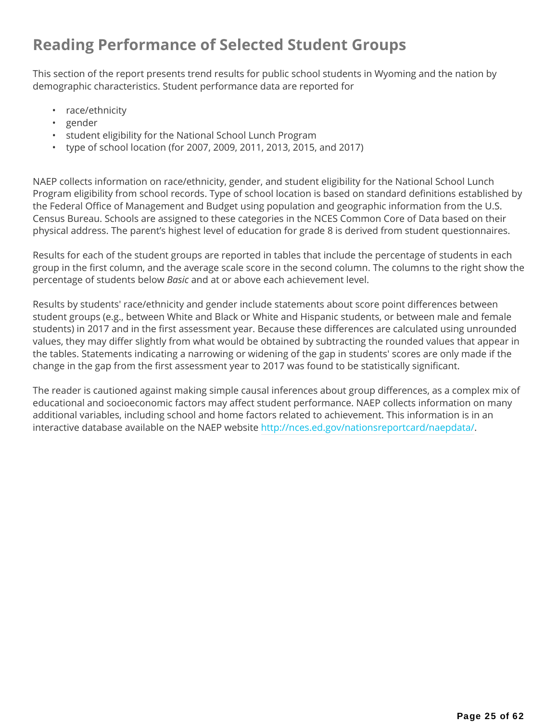# **Reading Performance of Selected Student Groups**

This section of the report presents trend results for public school students in Wyoming and the nation by demographic characteristics. Student performance data are reported for

- race/ethnicity
- gender
- student eligibility for the National School Lunch Program
- type of school location (for 2007, 2009, 2011, 2013, 2015, and 2017)

NAEP collects information on race/ethnicity, gender, and student eligibility for the National School Lunch Program eligibility from school records. Type of school location is based on standard definitions established by the Federal Office of Management and Budget using population and geographic information from the U.S. Census Bureau. Schools are assigned to these categories in the NCES Common Core of Data based on their physical address. The parent's highest level of education for grade 8 is derived from student questionnaires.

Results for each of the student groups are reported in tables that include the percentage of students in each group in the first column, and the average scale score in the second column. The columns to the right show the percentage of students below *Basic* and at or above each achievement level.

Results by students' race/ethnicity and gender include statements about score point differences between student groups (e.g., between White and Black or White and Hispanic students, or between male and female students) in 2017 and in the first assessment year. Because these differences are calculated using unrounded values, they may differ slightly from what would be obtained by subtracting the rounded values that appear in the tables. Statements indicating a narrowing or widening of the gap in students' scores are only made if the change in the gap from the first assessment year to 2017 was found to be statistically significant.

The reader is cautioned against making simple causal inferences about group differences, as a complex mix of educational and socioeconomic factors may affect student performance. NAEP collects information on many additional variables, including school and home factors related to achievement. This information is in an interactive database available on the NAEP website http://nces.ed.gov/nationsreportcard/naepdata/.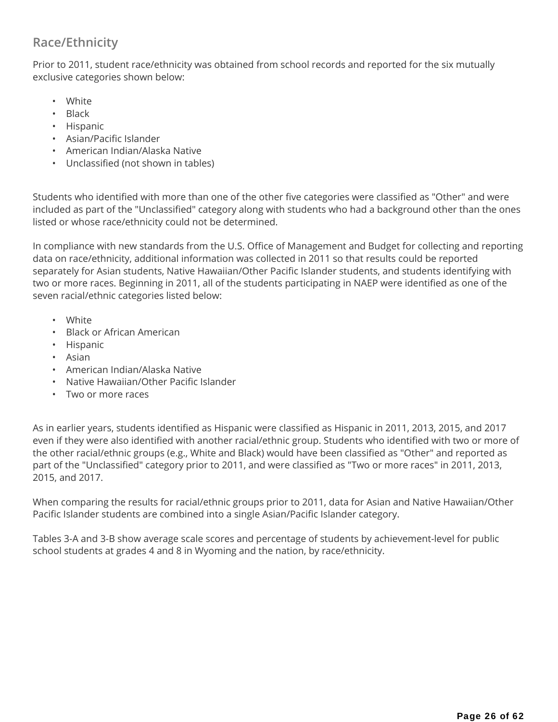## **Race/Ethnicity**

Prior to 2011, student race/ethnicity was obtained from school records and reported for the six mutually exclusive categories shown below:

- White
- Black
- Hispanic
- Asian/Pacific Islander
- American Indian/Alaska Native
- Unclassified (not shown in tables)

Students who identified with more than one of the other five categories were classified as "Other" and were included as part of the "Unclassified" category along with students who had a background other than the ones listed or whose race/ethnicity could not be determined.

In compliance with new standards from the U.S. Office of Management and Budget for collecting and reporting data on race/ethnicity, additional information was collected in 2011 so that results could be reported separately for Asian students, Native Hawaiian/Other Pacific Islander students, and students identifying with two or more races. Beginning in 2011, all of the students participating in NAEP were identified as one of the seven racial/ethnic categories listed below:

- White
- Black or African American
- Hispanic
- Asian
- American Indian/Alaska Native
- Native Hawaiian/Other Pacific Islander
- Two or more races

As in earlier years, students identified as Hispanic were classified as Hispanic in 2011, 2013, 2015, and 2017 even if they were also identified with another racial/ethnic group. Students who identified with two or more of the other racial/ethnic groups (e.g., White and Black) would have been classified as "Other" and reported as part of the "Unclassified" category prior to 2011, and were classified as "Two or more races" in 2011, 2013, 2015, and 2017.

When comparing the results for racial/ethnic groups prior to 2011, data for Asian and Native Hawaiian/Other Pacific Islander students are combined into a single Asian/Pacific Islander category.

Tables 3-A and 3-B show average scale scores and percentage of students by achievement-level for public school students at grades 4 and 8 in Wyoming and the nation, by race/ethnicity.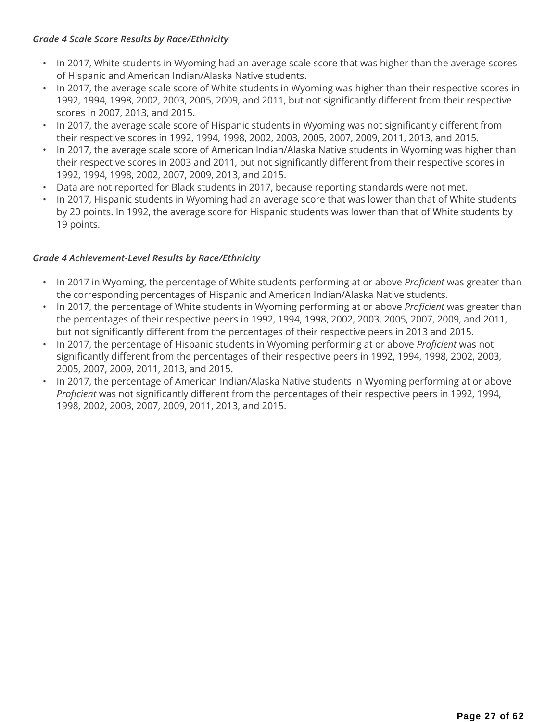#### *Grade 4 Scale Score Results by Race/Ethnicity*

- In 2017, White students in Wyoming had an average scale score that was higher than the average scores of Hispanic and American Indian/Alaska Native students.
- In 2017, the average scale score of White students in Wyoming was higher than their respective scores in 1992, 1994, 1998, 2002, 2003, 2005, 2009, and 2011, but not significantly different from their respective scores in 2007, 2013, and 2015.
- In 2017, the average scale score of Hispanic students in Wyoming was not significantly different from their respective scores in 1992, 1994, 1998, 2002, 2003, 2005, 2007, 2009, 2011, 2013, and 2015.
- In 2017, the average scale score of American Indian/Alaska Native students in Wyoming was higher than their respective scores in 2003 and 2011, but not significantly different from their respective scores in 1992, 1994, 1998, 2002, 2007, 2009, 2013, and 2015.
- Data are not reported for Black students in 2017, because reporting standards were not met.
- In 2017, Hispanic students in Wyoming had an average score that was lower than that of White students by 20 points. In 1992, the average score for Hispanic students was lower than that of White students by 19 points.

#### *Grade 4 Achievement-Level Results by Race/Ethnicity*

- In 2017 in Wyoming, the percentage of White students performing at or above *Proficient* was greater than the corresponding percentages of Hispanic and American Indian/Alaska Native students.
- In 2017, the percentage of White students in Wyoming performing at or above *Proficient* was greater than the percentages of their respective peers in 1992, 1994, 1998, 2002, 2003, 2005, 2007, 2009, and 2011, but not significantly different from the percentages of their respective peers in 2013 and 2015.
- In 2017, the percentage of Hispanic students in Wyoming performing at or above *Proficient* was not significantly different from the percentages of their respective peers in 1992, 1994, 1998, 2002, 2003, 2005, 2007, 2009, 2011, 2013, and 2015.
- In 2017, the percentage of American Indian/Alaska Native students in Wyoming performing at or above *Proficient* was not significantly different from the percentages of their respective peers in 1992, 1994, 1998, 2002, 2003, 2007, 2009, 2011, 2013, and 2015.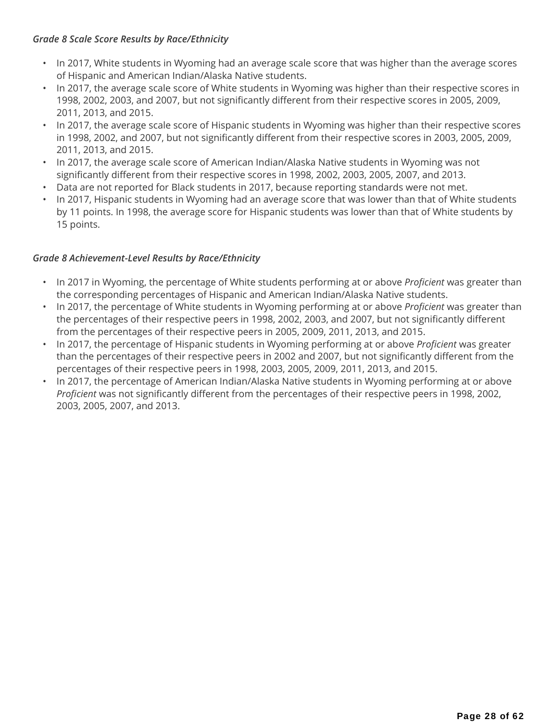#### *Grade 8 Scale Score Results by Race/Ethnicity*

- In 2017, White students in Wyoming had an average scale score that was higher than the average scores of Hispanic and American Indian/Alaska Native students.
- In 2017, the average scale score of White students in Wyoming was higher than their respective scores in 1998, 2002, 2003, and 2007, but not significantly different from their respective scores in 2005, 2009, 2011, 2013, and 2015.
- In 2017, the average scale score of Hispanic students in Wyoming was higher than their respective scores in 1998, 2002, and 2007, but not significantly different from their respective scores in 2003, 2005, 2009, 2011, 2013, and 2015.
- In 2017, the average scale score of American Indian/Alaska Native students in Wyoming was not significantly different from their respective scores in 1998, 2002, 2003, 2005, 2007, and 2013.
- Data are not reported for Black students in 2017, because reporting standards were not met.
- In 2017, Hispanic students in Wyoming had an average score that was lower than that of White students by 11 points. In 1998, the average score for Hispanic students was lower than that of White students by 15 points.

#### *Grade 8 Achievement-Level Results by Race/Ethnicity*

- In 2017 in Wyoming, the percentage of White students performing at or above *Proficient* was greater than the corresponding percentages of Hispanic and American Indian/Alaska Native students.
- In 2017, the percentage of White students in Wyoming performing at or above *Proficient* was greater than the percentages of their respective peers in 1998, 2002, 2003, and 2007, but not significantly different from the percentages of their respective peers in 2005, 2009, 2011, 2013, and 2015.
- In 2017, the percentage of Hispanic students in Wyoming performing at or above *Proficient* was greater than the percentages of their respective peers in 2002 and 2007, but not significantly different from the percentages of their respective peers in 1998, 2003, 2005, 2009, 2011, 2013, and 2015.
- In 2017, the percentage of American Indian/Alaska Native students in Wyoming performing at or above *Proficient* was not significantly different from the percentages of their respective peers in 1998, 2002, 2003, 2005, 2007, and 2013.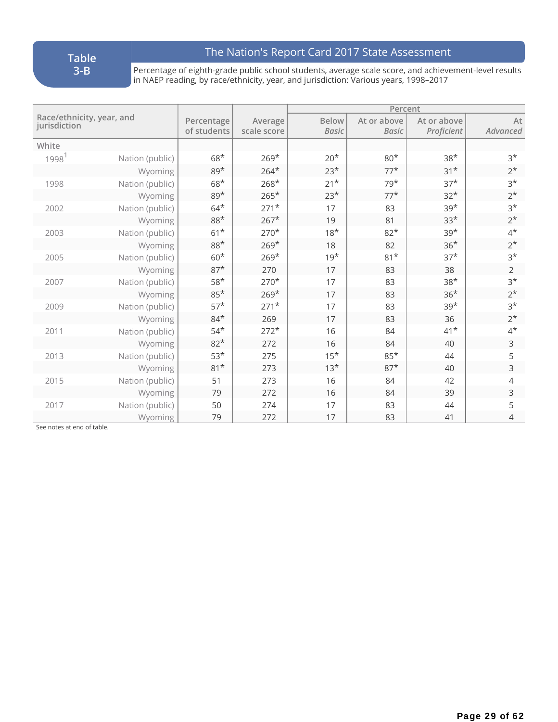## The Nation's Report Card 2017 State Assessment

Percentage of eighth-grade public school students, average scale score, and achievement-level results in NAEP reading, by race/ethnicity, year, and jurisdiction: Various years, 1998–2017

|                                           |                 |             |             |              | Percent     |             |                |
|-------------------------------------------|-----------------|-------------|-------------|--------------|-------------|-------------|----------------|
| Race/ethnicity, year, and<br>jurisdiction |                 | Percentage  | Average     | <b>Below</b> | At or above | At or above | At             |
|                                           |                 | of students | scale score | <b>Basic</b> | Basic       | Proficient  | Advanced       |
| White                                     |                 |             |             |              |             |             |                |
| 1998 <sup>1</sup>                         | Nation (public) | $68*$       | $269*$      | $20*$        | $80*$       | $38*$       | $3*$           |
|                                           | Wyoming         | $89*$       | $264*$      | $23*$        | $77*$       | $31*$       | $2^*$          |
| 1998                                      | Nation (public) | $68*$       | $268*$      | $21*$        | $79*$       | $37*$       | $3*$           |
|                                           | Wyoming         | $89*$       | $265*$      | $23*$        | $77*$       | $32*$       | $2^*$          |
| 2002                                      | Nation (public) | $64*$       | $271*$      | 17           | 83          | $39*$       | $3*$           |
|                                           | Wyoming         | $88*$       | $267*$      | 19           | 81          | $33*$       | $2^*$          |
| 2003                                      | Nation (public) | $61*$       | $270*$      | $18*$        | $82*$       | $39*$       | $4^{\star}$    |
|                                           | Wyoming         | $88*$       | $269*$      | 18           | 82          | $36*$       | $2^*$          |
| 2005                                      | Nation (public) | $60*$       | $269*$      | $19*$        | $81*$       | $37*$       | $3*$           |
|                                           | Wyoming         | $87*$       | 270         | 17           | 83          | 38          | $\overline{2}$ |
| 2007                                      | Nation (public) | $58*$       | $270*$      | 17           | 83          | $38*$       | $3*$           |
|                                           | Wyoming         | $85*$       | $269*$      | 17           | 83          | $36*$       | $2^*$          |
| 2009                                      | Nation (public) | $57*$       | $271*$      | 17           | 83          | $39*$       | $3*$           |
|                                           | Wyoming         | $84*$       | 269         | 17           | 83          | 36          | $2^*$          |
| 2011                                      | Nation (public) | $54*$       | $272*$      | 16           | 84          | $41*$       | $4^{\star}$    |
|                                           | Wyoming         | $82*$       | 272         | 16           | 84          | 40          | $\mathsf{3}$   |
| 2013                                      | Nation (public) | $53*$       | 275         | $15*$        | $85*$       | 44          | 5              |
|                                           | Wyoming         | $81*$       | 273         | $13*$        | $87*$       | 40          | 3              |
| 2015                                      | Nation (public) | 51          | 273         | 16           | 84          | 42          | 4              |
|                                           | Wyoming         | 79          | 272         | 16           | 84          | 39          | $\mathsf 3$    |
| 2017                                      | Nation (public) | 50          | 274         | 17           | 83          | 44          | 5              |
|                                           | Wyoming         | 79          | 272         | 17           | 83          | 41          | 4              |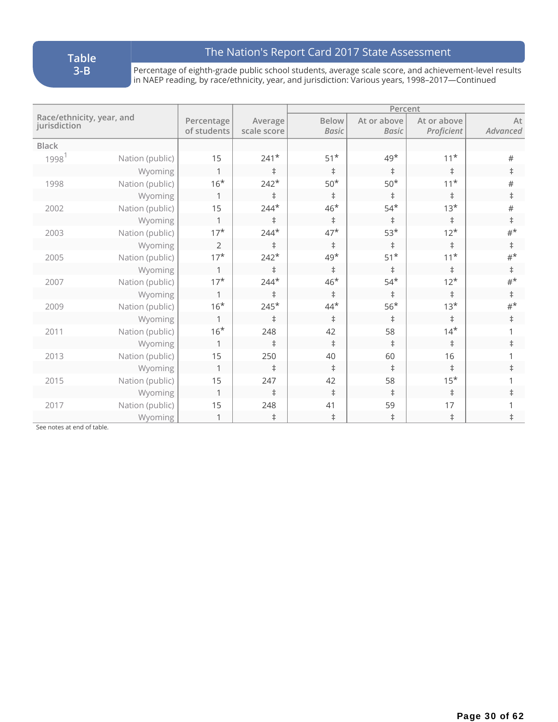## The Nation's Report Card 2017 State Assessment

Percentage of eighth-grade public school students, average scale score, and achievement-level results in NAEP reading, by race/ethnicity, year, and jurisdiction: Various years, 1998–2017—Continued

|                                           |                 |              |             |              | Percent      |             |               |
|-------------------------------------------|-----------------|--------------|-------------|--------------|--------------|-------------|---------------|
| Race/ethnicity, year, and<br>jurisdiction |                 | Percentage   | Average     | <b>Below</b> | At or above  | At or above | $\mathsf{At}$ |
|                                           |                 | of students  | scale score | <b>Basic</b> | <b>Basic</b> | Proficient  | Advanced      |
| <b>Black</b>                              |                 |              |             |              |              |             |               |
| 1998 <sup>1</sup>                         | Nation (public) | 15           | $241*$      | $51*$        | $49*$        | $11*$       | $\#$          |
|                                           | Wyoming         | 1            | $\ddagger$  | $\ddagger$   | $\ddagger$   | $\ddagger$  | $\ddagger$    |
| 1998                                      | Nation (public) | $16*$        | $242*$      | $50*$        | $50*$        | $11*$       | $\#$          |
|                                           | Wyoming         | $\mathbf{1}$ | $\ddagger$  | $\ddagger$   | $\ddagger$   | $\ddagger$  | $\ddagger$    |
| 2002                                      | Nation (public) | 15           | $244*$      | $46*$        | $54*$        | $13*$       | $\#$          |
|                                           | Wyoming         | 1            | $\pm$       | $\ddagger$   | $\pm$        | $\pm$       | $\ddagger$    |
| 2003                                      | Nation (public) | $17*$        | $244*$      | $47*$        | $53*$        | $12*$       | $#^{\star}$   |
|                                           | Wyoming         | 2            | $\ddagger$  | $\ddagger$   | $\ddagger$   | $\ddagger$  | $\ddagger$    |
| 2005                                      | Nation (public) | $17*$        | $242*$      | $49*$        | $51*$        | $11*$       | $#^{\star}$   |
|                                           | Wyoming         | 1            | $\ddagger$  | $\ddagger$   | $\ddagger$   | $\ddagger$  | $\ddagger$    |
| 2007                                      | Nation (public) | $17*$        | $244*$      | $46*$        | $54*$        | $12*$       | $\#^{\star}$  |
|                                           | Wyoming         | $\mathbf{1}$ | $\ddagger$  | $\ddagger$   | $\ddagger$   | $\ddagger$  | $\ddagger$    |
| 2009                                      | Nation (public) | $16*$        | $245*$      | $44*$        | $56*$        | $13*$       | $\#^{\star}$  |
|                                           | Wyoming         | 1            | $\ddagger$  | $\ddagger$   | $\ddagger$   | $\ddagger$  | $\ddagger$    |
| 2011                                      | Nation (public) | $16*$        | 248         | 42           | 58           | $14*$       | 1             |
|                                           | Wyoming         | 1            | $\ddagger$  | $\ddagger$   | $\ddagger$   | $\ddagger$  | $\ddagger$    |
| 2013                                      | Nation (public) | 15           | 250         | 40           | 60           | 16          | 1             |
|                                           | Wyoming         | $\mathbf{1}$ | $\ddagger$  | $\ddagger$   | $\ddagger$   | $\ddagger$  | $\ddagger$    |
| 2015                                      | Nation (public) | 15           | 247         | 42           | 58           | $15*$       |               |
|                                           | Wyoming         | $\mathbf{1}$ | $\ddagger$  | $\ddagger$   | $\ddagger$   | $\ddagger$  | $\ddagger$    |
| 2017                                      | Nation (public) | 15           | 248         | 41           | 59           | 17          |               |
|                                           | Wyoming         | 1            | $\ddagger$  | $\ddagger$   | $^\ddag$     | $\ddagger$  | $\ddagger$    |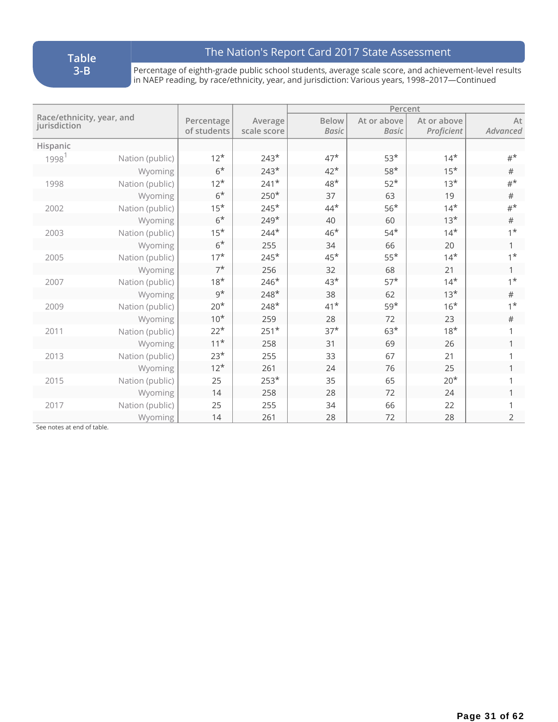## The Nation's Report Card 2017 State Assessment

Percentage of eighth-grade public school students, average scale score, and achievement-level results in NAEP reading, by race/ethnicity, year, and jurisdiction: Various years, 1998–2017—Continued

|                                           |                 |                           |                        |                              | Percent              |                           |                |
|-------------------------------------------|-----------------|---------------------------|------------------------|------------------------------|----------------------|---------------------------|----------------|
| Race/ethnicity, year, and<br>jurisdiction |                 | Percentage<br>of students | Average<br>scale score | <b>Below</b><br><b>Basic</b> | At or above<br>Basic | At or above<br>Proficient | At<br>Advanced |
| Hispanic                                  |                 |                           |                        |                              |                      |                           |                |
| 1998 <sup>1</sup>                         | Nation (public) | $12*$                     | $243*$                 | $47*$                        | $53*$                | $14*$                     | $#^{\star}$    |
|                                           | Wyoming         | $6*$                      | $243*$                 | $42*$                        | $58*$                | $15*$                     | $\#$           |
| 1998                                      | Nation (public) | $12*$                     | $241*$                 | $48*$                        | $52*$                | $13*$                     | $\#^{\star}$   |
|                                           | Wyoming         | $6*$                      | $250*$                 | 37                           | 63                   | 19                        | $\#$           |
| 2002                                      | Nation (public) | $15*$                     | $245*$                 | $44*$                        | $56*$                | $14*$                     | $#^{\star}$    |
|                                           | Wyoming         | $6*$                      | $249*$                 | 40                           | 60                   | $13*$                     | $\#$           |
| 2003                                      | Nation (public) | $15*$                     | $244*$                 | $46*$                        | $54*$                | $14*$                     | $1^*$          |
|                                           | Wyoming         | $6*$                      | 255                    | 34                           | 66                   | 20                        |                |
| 2005                                      | Nation (public) | $17*$                     | $245*$                 | $45*$                        | $55*$                | $14*$                     | $1^*$          |
|                                           | Wyoming         | $7^{\star}$               | 256                    | 32                           | 68                   | 21                        | 1              |
| 2007                                      | Nation (public) | $18*$                     | $246*$                 | $43*$                        | $57*$                | $14*$                     | $1^*$          |
|                                           | Wyoming         | $9^{\star}$               | $248*$                 | 38                           | 62                   | $13*$                     | $\#$           |
| 2009                                      | Nation (public) | $20*$                     | $248*$                 | $41*$                        | $59*$                | $16*$                     | $1^*$          |
|                                           | Wyoming         | $10^{*}$                  | 259                    | 28                           | 72                   | 23                        | $\#$           |
| 2011                                      | Nation (public) | $22*$                     | $251*$                 | $37*$                        | $63*$                | $18*$                     | 1              |
|                                           | Wyoming         | $11*$                     | 258                    | 31                           | 69                   | 26                        |                |
| 2013                                      | Nation (public) | $23*$                     | 255                    | 33                           | 67                   | 21                        |                |
|                                           | Wyoming         | $12*$                     | 261                    | 24                           | 76                   | 25                        | 1              |
| 2015                                      | Nation (public) | 25                        | $253*$                 | 35                           | 65                   | $20*$                     |                |
|                                           | Wyoming         | 14                        | 258                    | 28                           | 72                   | 24                        | 1              |
| 2017                                      | Nation (public) | 25                        | 255                    | 34                           | 66                   | 22                        |                |
|                                           | Wyoming         | 14                        | 261                    | 28                           | 72                   | 28                        | $\overline{2}$ |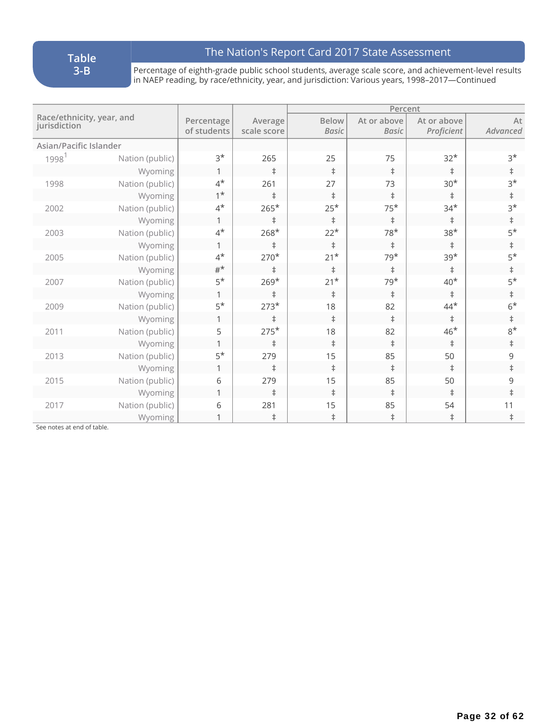## The Nation's Report Card 2017 State Assessment

Percentage of eighth-grade public school students, average scale score, and achievement-level results in NAEP reading, by race/ethnicity, year, and jurisdiction: Various years, 1998–2017—Continued

|                                           |                 |             |             |              | Percent      |             |               |
|-------------------------------------------|-----------------|-------------|-------------|--------------|--------------|-------------|---------------|
| Race/ethnicity, year, and<br>jurisdiction |                 | Percentage  | Average     | <b>Below</b> | At or above  | At or above | $\mathsf{At}$ |
|                                           |                 | of students | scale score | <b>Basic</b> | <b>Basic</b> | Proficient  | Advanced      |
| Asian/Pacific Islander                    |                 |             |             |              |              |             |               |
| 1998 <sup>1</sup>                         | Nation (public) | $3*$        | 265         | 25           | 75           | $32*$       | $3*$          |
|                                           | Wyoming         |             | $\ddagger$  | $\ddagger$   | $\ddagger$   | $\ddagger$  | $\ddagger$    |
| 1998                                      | Nation (public) | $4^*$       | 261         | 27           | 73           | $30*$       | $3*$          |
|                                           | Wyoming         | $1^*$       | $\ddagger$  | $\ddagger$   | $\ddagger$   | $\ddagger$  | $\ddagger$    |
| 2002                                      | Nation (public) | $4^*$       | $265*$      | $25*$        | $75*$        | $34*$       | $3*$          |
|                                           | Wyoming         | 1           | $\ddagger$  | $\ddagger$   | $\ddagger$   | $\ddagger$  | $\ddagger$    |
| 2003                                      | Nation (public) | $4^*$       | $268*$      | $22*$        | $78*$        | $38*$       | $5*$          |
|                                           | Wyoming         |             | $\ddagger$  | $\ddagger$   | $\ddagger$   | $\ddagger$  | $\ddagger$    |
| 2005                                      | Nation (public) | $4^*$       | $270*$      | $21*$        | $79*$        | $39*$       | $5*$          |
|                                           | Wyoming         | $#^{\star}$ | $\ddagger$  | $\ddagger$   | $\ddagger$   | $\ddagger$  | $\ddagger$    |
| 2007                                      | Nation (public) | $5*$        | $269*$      | $21*$        | $79*$        | $40*$       | $5*$          |
|                                           | Wyoming         | 1           | $\ddagger$  | $\ddagger$   | $\ddagger$   | $\ddagger$  | $\ddagger$    |
| 2009                                      | Nation (public) | $5*$        | $273*$      | 18           | 82           | $44*$       | $6*$          |
|                                           | Wyoming         | 1           | $\ddagger$  | $\ddagger$   | $\ddagger$   | $\ddagger$  | $\ddagger$    |
| 2011                                      | Nation (public) | 5           | $275*$      | 18           | 82           | $46*$       | $8*$          |
|                                           | Wyoming         |             | $\ddagger$  | $\ddagger$   | $\ddagger$   | $\ddagger$  | $\ddagger$    |
| 2013                                      | Nation (public) | $5*$        | 279         | 15           | 85           | 50          | $\mathsf 9$   |
|                                           | Wyoming         | 1           | $\ddagger$  | $\ddagger$   | $\ddagger$   | $\ddagger$  | $\ddagger$    |
| 2015                                      | Nation (public) | 6           | 279         | 15           | 85           | 50          | 9             |
|                                           | Wyoming         | 1           | $\ddagger$  | $\ddagger$   | $\ddagger$   | $\ddagger$  | $\ddagger$    |
| 2017                                      | Nation (public) | 6           | 281         | 15           | 85           | 54          | 11            |
|                                           | Wyoming         | 1           | $\ddagger$  | $\ddagger$   | $\ddagger$   | $\ddagger$  | $\ddagger$    |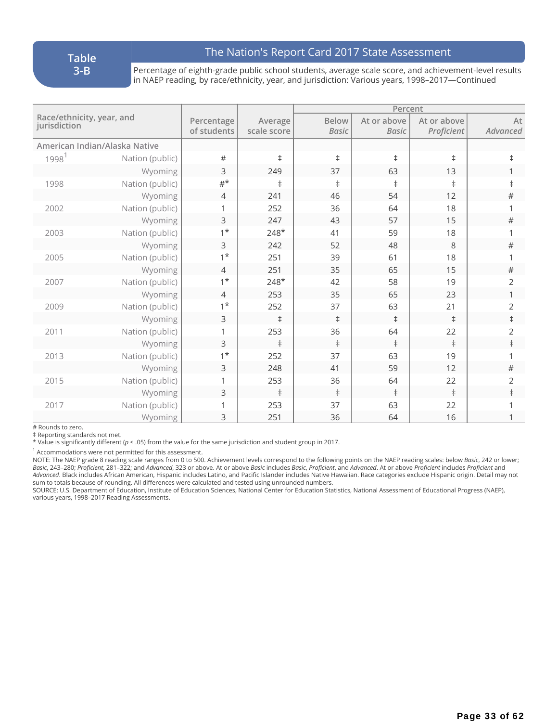### The Nation's Report Card 2017 State Assessment

Percentage of eighth-grade public school students, average scale score, and achievement-level results in NAEP reading, by race/ethnicity, year, and jurisdiction: Various years, 1998–2017—Continued

|                                           |                               |                           |                        |                              | Percent                     |                           |                |
|-------------------------------------------|-------------------------------|---------------------------|------------------------|------------------------------|-----------------------------|---------------------------|----------------|
| Race/ethnicity, year, and<br>jurisdiction |                               | Percentage<br>of students | Average<br>scale score | <b>Below</b><br><b>Basic</b> | At or above<br><b>Basic</b> | At or above<br>Proficient | At<br>Advanced |
|                                           | American Indian/Alaska Native |                           |                        |                              |                             |                           |                |
| 1998 <sup>1</sup>                         | Nation (public)               | $\#$                      | $\ddagger$             | $\ddagger$                   | $\ddagger$                  | $\ddagger$                | $\ddagger$     |
|                                           | Wyoming                       | 3                         | 249                    | 37                           | 63                          | 13                        | 1              |
| 1998                                      | Nation (public)               | $#^{\star}$               | $\ddagger$             | $\ddagger$                   | $\ddagger$                  | $\ddagger$                | $\ddagger$     |
|                                           | Wyoming                       | $\overline{4}$            | 241                    | 46                           | 54                          | 12                        | $\#$           |
| 2002                                      | Nation (public)               | 1                         | 252                    | 36                           | 64                          | 18                        |                |
|                                           | Wyoming                       | 3                         | 247                    | 43                           | 57                          | 15                        | $\#$           |
| 2003                                      | Nation (public)               | $1^*$                     | $248*$                 | 41                           | 59                          | 18                        |                |
|                                           | Wyoming                       | 3                         | 242                    | 52                           | 48                          | 8                         | $\#$           |
| 2005                                      | Nation (public)               | $1^*$                     | 251                    | 39                           | 61                          | 18                        | 1              |
|                                           | Wyoming                       | $\overline{4}$            | 251                    | 35                           | 65                          | 15                        | $\#$           |
| 2007                                      | Nation (public)               | $1^*$                     | $248*$                 | 42                           | 58                          | 19                        | $\overline{2}$ |
|                                           | Wyoming                       | $\overline{4}$            | 253                    | 35                           | 65                          | 23                        | 1              |
| 2009                                      | Nation (public)               | $1^*$                     | 252                    | 37                           | 63                          | 21                        | 2              |
|                                           | Wyoming                       | 3                         | $\ddagger$             | $\ddagger$                   | $\ddagger$                  | $\ddagger$                | $\ddagger$     |
| 2011                                      | Nation (public)               |                           | 253                    | 36                           | 64                          | 22                        | 2              |
|                                           | Wyoming                       | 3                         | $\ddagger$             | $\ddagger$                   | $\ddagger$                  | $\ddagger$                | $\ddagger$     |
| 2013                                      | Nation (public)               | $1^*$                     | 252                    | 37                           | 63                          | 19                        |                |
|                                           | Wyoming                       | 3                         | 248                    | 41                           | 59                          | 12                        | $\#$           |
| 2015                                      | Nation (public)               |                           | 253                    | 36                           | 64                          | 22                        | $\overline{2}$ |
|                                           | Wyoming                       | 3                         | $\ddagger$             | $\ddagger$                   | $\ddagger$                  | $\ddagger$                | $\ddagger$     |
| 2017                                      | Nation (public)               |                           | 253                    | 37                           | 63                          | 22                        |                |
|                                           | Wyoming                       | 3                         | 251                    | 36                           | 64                          | 16                        |                |

# Rounds to zero.

‡ Reporting standards not met.

\* Value is significantly different (*p* < .05) from the value for the same jurisdiction and student group in 2017.

 $1$  Accommodations were not permitted for this assessment.

NOTE: The NAEP grade 8 reading scale ranges from 0 to 500. Achievement levels correspond to the following points on the NAEP reading scales: below *Basic*, 242 or lower; Basic, 243-280; Proficient, 281-322; and Advanced, 323 or above. At or above Basic includes Basic, Proficient, and Advanced. At or above Proficient includes Proficient and *Advanced*. Black includes African American, Hispanic includes Latino, and Pacific Islander includes Native Hawaiian. Race categories exclude Hispanic origin. Detail may not sum to totals because of rounding. All differences were calculated and tested using unrounded numbers.

SOURCE: U.S. Department of Education, Institute of Education Sciences, National Center for Education Statistics, National Assessment of Educational Progress (NAEP), various years, 1998–2017 Reading Assessments.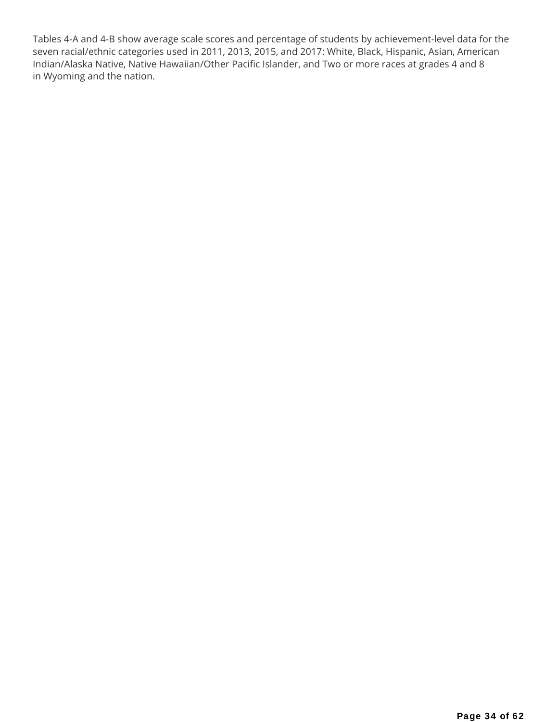Tables 4-A and 4-B show average scale scores and percentage of students by achievement-level data for the seven racial/ethnic categories used in 2011, 2013, 2015, and 2017: White, Black, Hispanic, Asian, American Indian/Alaska Native, Native Hawaiian/Other Pacific Islander, and Two or more races at grades 4 and 8 in Wyoming and the nation.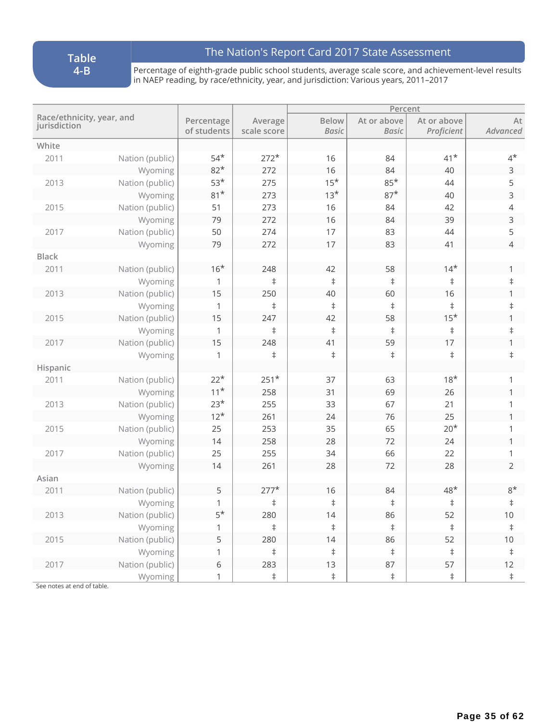**Table 4-B**

## The Nation's Report Card 2017 State Assessment

Percentage of eighth-grade public school students, average scale score, and achievement-level results in NAEP reading, by race/ethnicity, year, and jurisdiction: Various years, 2011–2017

|                                           |                 |                           |                        |                              | Percent                     |                           |                |
|-------------------------------------------|-----------------|---------------------------|------------------------|------------------------------|-----------------------------|---------------------------|----------------|
| Race/ethnicity, year, and<br>jurisdiction |                 | Percentage<br>of students | Average<br>scale score | <b>Below</b><br><b>Basic</b> | At or above<br><b>Basic</b> | At or above<br>Proficient | At<br>Advanced |
| White                                     |                 |                           |                        |                              |                             |                           |                |
| 2011                                      | Nation (public) | $54*$                     | $272*$                 | 16                           | 84                          | $41*$                     | $4^{\star}$    |
|                                           | Wyoming         | $82*$                     | 272                    | 16                           | 84                          | 40                        | $\mathsf{3}$   |
| 2013                                      | Nation (public) | $53*$                     | 275                    | $15*$                        | $85*$                       | 44                        | 5              |
|                                           | Wyoming         | $81*$                     | 273                    | $13*$                        | $87*$                       | 40                        | 3              |
| 2015                                      | Nation (public) | 51                        | 273                    | 16                           | 84                          | 42                        | 4              |
|                                           | Wyoming         | 79                        | 272                    | 16                           | 84                          | 39                        | 3              |
| 2017                                      | Nation (public) | 50                        | 274                    | 17                           | 83                          | 44                        | 5              |
|                                           | Wyoming         | 79                        | 272                    | 17                           | 83                          | 41                        | $\overline{4}$ |
| <b>Black</b>                              |                 |                           |                        |                              |                             |                           |                |
| 2011                                      | Nation (public) | $16*$                     | 248                    | 42                           | 58                          | $14*$                     |                |
|                                           | Wyoming         | 1                         | $\ddagger$             | $\ddagger$                   | $\ddagger$                  | $\ddagger$                | $\ddagger$     |
| 2013                                      | Nation (public) | 15                        | 250                    | 40                           | 60                          | 16                        | 1              |
|                                           | Wyoming         | 1                         | $\ddagger$             | $\ddagger$                   | $\ddagger$                  | $\ddagger$                | $\ddagger$     |
| 2015                                      | Nation (public) | 15                        | 247                    | 42                           | 58                          | $15*$                     | 1              |
|                                           | Wyoming         | 1                         | $\ddagger$             | $\ddagger$                   | $\ddagger$                  | $\ddagger$                | $\ddagger$     |
| 2017                                      | Nation (public) | 15                        | 248                    | 41                           | 59                          | 17                        | 1              |
|                                           | Wyoming         | 1                         | $\ddagger$             | $\ddagger$                   | $\ddagger$                  | $\ddagger$                | $\ddagger$     |
| Hispanic                                  |                 |                           |                        |                              |                             |                           |                |
| 2011                                      | Nation (public) | $22*$                     | $251*$                 | 37                           | 63                          | $18*$                     | 1              |
|                                           | Wyoming         | $11*$                     | 258                    | 31                           | 69                          | 26                        |                |
| 2013                                      | Nation (public) | $23*$                     | 255                    | 33                           | 67                          | 21                        | 1              |
|                                           | Wyoming         | $12*$                     | 261                    | 24                           | 76                          | 25                        | 1              |
| 2015                                      | Nation (public) | 25                        | 253                    | 35                           | 65                          | $20*$                     | 1              |
|                                           | Wyoming         | 14                        | 258                    | 28                           | 72                          | 24                        |                |
| 2017                                      | Nation (public) | 25                        | 255                    | 34                           | 66                          | 22                        | 1              |
|                                           | Wyoming         | 14                        | 261                    | 28                           | 72                          | 28                        | $\overline{2}$ |
| Asian                                     |                 |                           |                        |                              |                             |                           |                |
| 2011                                      | Nation (public) | 5                         | $277*$                 | 16                           | 84                          | $48*$                     | $8*$           |
|                                           | Wyoming         | 1                         | $\ddagger$             | $\ddagger$                   | $\ddagger$                  | $\ddagger$                | $\ddagger$     |
| 2013                                      | Nation (public) | $5^*$                     | 280                    | 14                           | 86                          | 52                        | $10$           |
|                                           | Wyoming         | 1                         | $\ddagger$             | $\ddagger$                   | $\ddagger$                  | $\ddagger$                | $\ddagger$     |
| 2015                                      | Nation (public) | 5                         | 280                    | 14                           | 86                          | 52                        | $10$           |
|                                           | Wyoming         | 1                         | $\ddagger$             | $\ddagger$                   | $\ddagger$                  | $\ddagger$                | $\ddagger$     |
| 2017                                      | Nation (public) | 6                         | 283                    | 13                           | 87                          | 57                        | 12             |
|                                           | Wyoming         | 1                         | $\ddagger$             | $\ddagger$                   | $\ddagger$                  | $\ddagger$                | $\ddagger$     |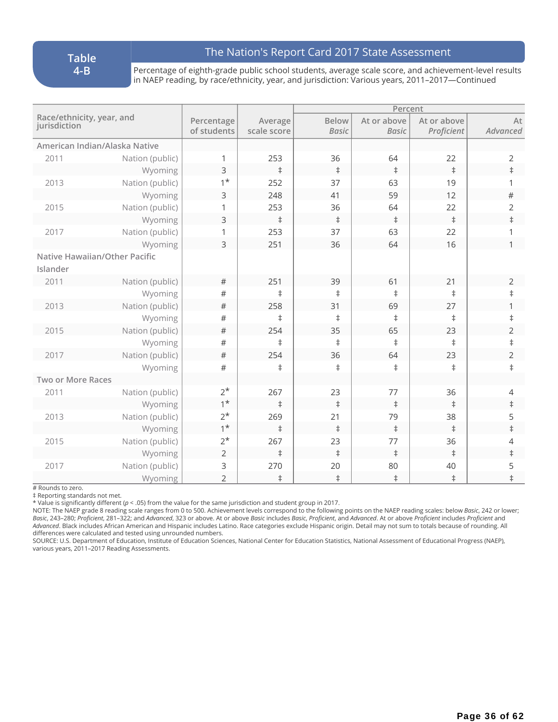**Table 4-B**

### The Nation's Report Card 2017 State Assessment

Percentage of eighth-grade public school students, average scale score, and achievement-level results in NAEP reading, by race/ethnicity, year, and jurisdiction: Various years, 2011–2017—Continued

|                                           |                               |                           |                        |                              | Percent                     |                           |                |
|-------------------------------------------|-------------------------------|---------------------------|------------------------|------------------------------|-----------------------------|---------------------------|----------------|
| Race/ethnicity, year, and<br>jurisdiction |                               | Percentage<br>of students | Average<br>scale score | <b>Below</b><br><b>Basic</b> | At or above<br><b>Basic</b> | At or above<br>Proficient | At<br>Advanced |
|                                           | American Indian/Alaska Native |                           |                        |                              |                             |                           |                |
| 2011                                      | Nation (public)               | 1                         | 253                    | 36                           | 64                          | 22                        | $\overline{2}$ |
|                                           | Wyoming                       | 3                         | $\ddagger$             | $\ddagger$                   | $\ddagger$                  | $\ddagger$                | $\ddagger$     |
| 2013                                      | Nation (public)               | $1^*$                     | 252                    | 37                           | 63                          | 19                        | 1              |
|                                           | Wyoming                       | 3                         | 248                    | 41                           | 59                          | 12                        | $\#$           |
| 2015                                      | Nation (public)               | 1                         | 253                    | 36                           | 64                          | 22                        | 2              |
|                                           | Wyoming                       | 3                         | $\ddagger$             | $\ddagger$                   | $\ddagger$                  | $\ddagger$                | $\ddagger$     |
| 2017                                      | Nation (public)               | 1                         | 253                    | 37                           | 63                          | 22                        | 1              |
|                                           | Wyoming                       | 3                         | 251                    | 36                           | 64                          | 16                        | 1              |
| Native Hawaiian/Other Pacific             |                               |                           |                        |                              |                             |                           |                |
| Islander                                  |                               |                           |                        |                              |                             |                           |                |
| 2011                                      | Nation (public)               | #                         | 251                    | 39                           | 61                          | 21                        | $\overline{2}$ |
|                                           | Wyoming                       | #                         | $\ddagger$             | $\ddagger$                   | $\ddagger$                  | $\ddagger$                | $\ddagger$     |
| 2013                                      | Nation (public)               | $\#$                      | 258                    | 31                           | 69                          | 27                        | 1              |
|                                           | Wyoming                       | $\#$                      | $\ddagger$             | $^\ddag$                     | $\ddagger$                  | $\ddagger$                | $\ddagger$     |
| 2015                                      | Nation (public)               | $\#$                      | 254                    | 35                           | 65                          | 23                        | $\overline{2}$ |
|                                           | Wyoming                       | $\#$                      | $\ddagger$             | $\ddagger$                   | $\ddagger$                  | $\ddagger$                | $\ddagger$     |
| 2017                                      | Nation (public)               | #                         | 254                    | 36                           | 64                          | 23                        | $\overline{2}$ |
|                                           | Wyoming                       | $\#$                      | $\ddagger$             | $\ddagger$                   | $\ddagger$                  | $\ddagger$                | $\ddagger$     |
| Two or More Races                         |                               |                           |                        |                              |                             |                           |                |
| 2011                                      | Nation (public)               | $2^*$                     | 267                    | 23                           | 77                          | 36                        | 4              |
|                                           | Wyoming                       | $1^*$                     | $\ddagger$             | $\ddagger$                   | $\ddagger$                  | $\ddagger$                | $\ddagger$     |
| 2013                                      | Nation (public)               | $2^*$                     | 269                    | 21                           | 79                          | 38                        | 5              |
|                                           | Wyoming                       | $1^*$                     | $\ddagger$             | $\ddagger$                   | $\ddagger$                  | $\ddagger$                | $\ddagger$     |
| 2015                                      | Nation (public)               | $2^*$                     | 267                    | 23                           | 77                          | 36                        | $\overline{4}$ |
|                                           | Wyoming                       | $\overline{2}$            | $\ddagger$             | $\ddagger$                   | $\ddagger$                  | $\ddagger$                | $\ddagger$     |
| 2017                                      | Nation (public)               | 3                         | 270                    | 20                           | 80                          | 40                        | 5              |
|                                           | Wyoming                       | 2                         | $\ddagger$             | $\ddagger$                   | $\ddagger$                  | $\ddagger$                | $\ddagger$     |

# Rounds to zero.

‡ Reporting standards not met.

\* Value is significantly different (*p* < .05) from the value for the same jurisdiction and student group in 2017.

NOTE: The NAEP grade 8 reading scale ranges from 0 to 500. Achievement levels correspond to the following points on the NAEP reading scales: below *Basic*, 242 or lower; *Basic*, 243–280; *Proficient*, 281–322; and *Advanced*, 323 or above. At or above *Basic* includes *Basic, Proficient*, and *Advanced.* At or above *Proficient* includes *Proficient* and *Advanced*. Black includes African American and Hispanic includes Latino. Race categories exclude Hispanic origin. Detail may not sum to totals because of rounding. All differences were calculated and tested using unrounded numbers.

SOURCE: U.S. Department of Education, Institute of Education Sciences, National Center for Education Statistics, National Assessment of Educational Progress (NAEP), various years, 2011–2017 Reading Assessments.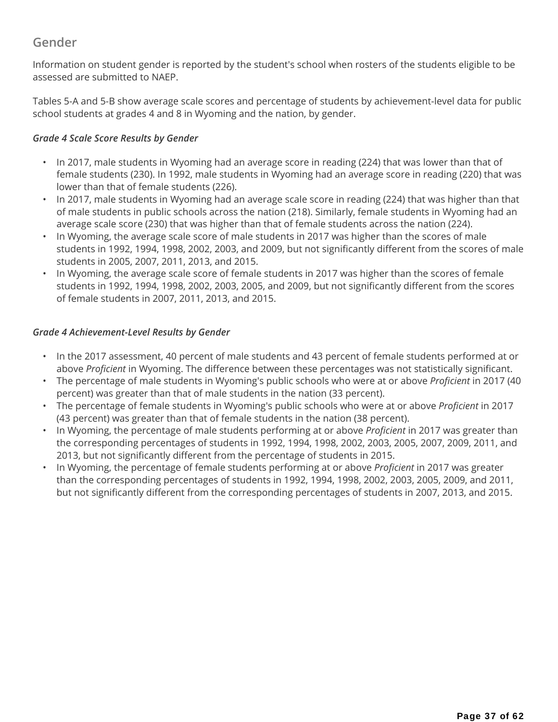## **Gender**

Information on student gender is reported by the student's school when rosters of the students eligible to be assessed are submitted to NAEP.

Tables 5-A and 5-B show average scale scores and percentage of students by achievement-level data for public school students at grades 4 and 8 in Wyoming and the nation, by gender.

### *Grade 4 Scale Score Results by Gender*

- In 2017, male students in Wyoming had an average score in reading (224) that was lower than that of female students (230). In 1992, male students in Wyoming had an average score in reading (220) that was lower than that of female students (226).
- In 2017, male students in Wyoming had an average scale score in reading (224) that was higher than that of male students in public schools across the nation (218). Similarly, female students in Wyoming had an average scale score (230) that was higher than that of female students across the nation (224).
- In Wyoming, the average scale score of male students in 2017 was higher than the scores of male students in 1992, 1994, 1998, 2002, 2003, and 2009, but not significantly different from the scores of male students in 2005, 2007, 2011, 2013, and 2015.
- In Wyoming, the average scale score of female students in 2017 was higher than the scores of female students in 1992, 1994, 1998, 2002, 2003, 2005, and 2009, but not significantly different from the scores of female students in 2007, 2011, 2013, and 2015.

### *Grade 4 Achievement-Level Results by Gender*

- In the 2017 assessment, 40 percent of male students and 43 percent of female students performed at or above *Proficient* in Wyoming. The difference between these percentages was not statistically significant.
- The percentage of male students in Wyoming's public schools who were at or above *Proficient* in 2017 (40 percent) was greater than that of male students in the nation (33 percent).
- The percentage of female students in Wyoming's public schools who were at or above *Proficient* in 2017 (43 percent) was greater than that of female students in the nation (38 percent).
- In Wyoming, the percentage of male students performing at or above *Proficient* in 2017 was greater than the corresponding percentages of students in 1992, 1994, 1998, 2002, 2003, 2005, 2007, 2009, 2011, and 2013, but not significantly different from the percentage of students in 2015.
- In Wyoming, the percentage of female students performing at or above *Proficient* in 2017 was greater than the corresponding percentages of students in 1992, 1994, 1998, 2002, 2003, 2005, 2009, and 2011, but not significantly different from the corresponding percentages of students in 2007, 2013, and 2015.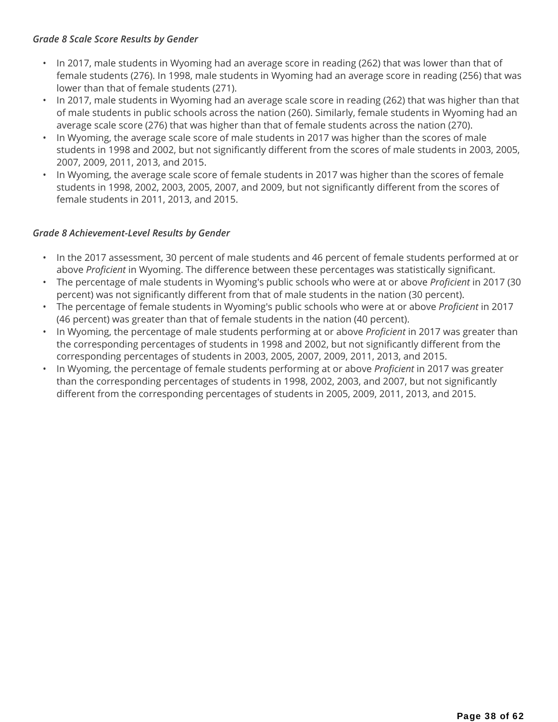#### *Grade 8 Scale Score Results by Gender*

- In 2017, male students in Wyoming had an average score in reading (262) that was lower than that of female students (276). In 1998, male students in Wyoming had an average score in reading (256) that was lower than that of female students (271).
- In 2017, male students in Wyoming had an average scale score in reading (262) that was higher than that of male students in public schools across the nation (260). Similarly, female students in Wyoming had an average scale score (276) that was higher than that of female students across the nation (270).
- In Wyoming, the average scale score of male students in 2017 was higher than the scores of male students in 1998 and 2002, but not significantly different from the scores of male students in 2003, 2005, 2007, 2009, 2011, 2013, and 2015.
- In Wyoming, the average scale score of female students in 2017 was higher than the scores of female students in 1998, 2002, 2003, 2005, 2007, and 2009, but not significantly different from the scores of female students in 2011, 2013, and 2015.

#### *Grade 8 Achievement-Level Results by Gender*

- In the 2017 assessment, 30 percent of male students and 46 percent of female students performed at or above *Proficient* in Wyoming. The difference between these percentages was statistically significant.
- The percentage of male students in Wyoming's public schools who were at or above *Proficient* in 2017 (30 percent) was not significantly different from that of male students in the nation (30 percent).
- The percentage of female students in Wyoming's public schools who were at or above *Proficient* in 2017 (46 percent) was greater than that of female students in the nation (40 percent).
- In Wyoming, the percentage of male students performing at or above *Proficient* in 2017 was greater than the corresponding percentages of students in 1998 and 2002, but not significantly different from the corresponding percentages of students in 2003, 2005, 2007, 2009, 2011, 2013, and 2015.
- In Wyoming, the percentage of female students performing at or above *Proficient* in 2017 was greater than the corresponding percentages of students in 1998, 2002, 2003, and 2007, but not significantly different from the corresponding percentages of students in 2005, 2009, 2011, 2013, and 2015.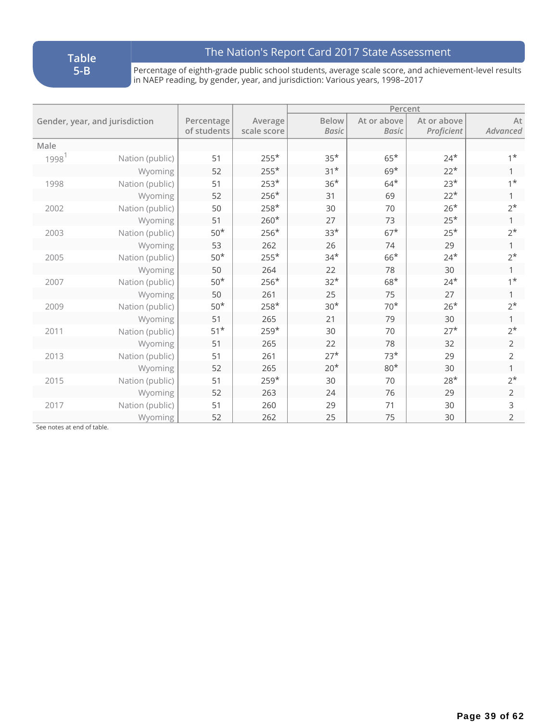**Table 5-B**

## The Nation's Report Card 2017 State Assessment

Percentage of eighth-grade public school students, average scale score, and achievement-level results in NAEP reading, by gender, year, and jurisdiction: Various years, 1998–2017

|                   |                                |             |             |              | Percent      |             |                |
|-------------------|--------------------------------|-------------|-------------|--------------|--------------|-------------|----------------|
|                   | Gender, year, and jurisdiction | Percentage  | Average     | <b>Below</b> | At or above  | At or above | At             |
|                   |                                | of students | scale score | <b>Basic</b> | <b>Basic</b> | Proficient  | Advanced       |
| Male              |                                |             |             |              |              |             |                |
| 1998 <sup>1</sup> | Nation (public)                | 51          | $255*$      | $35*$        | $65*$        | $24*$       | $1^*$          |
|                   | Wyoming                        | 52          | $255*$      | $31*$        | $69*$        | $22*$       |                |
| 1998              | Nation (public)                | 51          | $253*$      | $36*$        | $64*$        | $23*$       | $1^*$          |
|                   | Wyoming                        | 52          | $256*$      | 31           | 69           | $22*$       | 1              |
| 2002              | Nation (public)                | 50          | $258*$      | 30           | 70           | $26*$       | $2^*$          |
|                   | Wyoming                        | 51          | $260*$      | 27           | 73           | $25*$       |                |
| 2003              | Nation (public)                | $50*$       | $256*$      | $33*$        | $67*$        | $25*$       | $2^*$          |
|                   | Wyoming                        | 53          | 262         | 26           | 74           | 29          |                |
| 2005              | Nation (public)                | $50*$       | $255*$      | $34*$        | $66*$        | $24*$       | $2^*$          |
|                   | Wyoming                        | 50          | 264         | 22           | 78           | 30          |                |
| 2007              | Nation (public)                | $50*$       | $256*$      | $32*$        | $68*$        | $24*$       | $1^*$          |
|                   | Wyoming                        | 50          | 261         | 25           | 75           | 27          | 1              |
| 2009              | Nation (public)                | $50*$       | $258*$      | $30*$        | $70*$        | $26*$       | $2^*$          |
|                   | Wyoming                        | 51          | 265         | 21           | 79           | 30          | 1              |
| 2011              | Nation (public)                | $51*$       | $259*$      | 30           | 70           | $27*$       | $2^*$          |
|                   | Wyoming                        | 51          | 265         | 22           | 78           | 32          | $\overline{2}$ |
| 2013              | Nation (public)                | 51          | 261         | $27*$        | $73*$        | 29          | $\overline{2}$ |
|                   | Wyoming                        | 52          | 265         | $20*$        | $80*$        | 30          | 1              |
| 2015              | Nation (public)                | 51          | $259*$      | 30           | 70           | $28*$       | $2^{\star}$    |
|                   | Wyoming                        | 52          | 263         | 24           | 76           | 29          | $\overline{2}$ |
| 2017              | Nation (public)                | 51          | 260         | 29           | 71           | 30          | $\mathsf 3$    |
|                   | Wyoming                        | 52          | 262         | 25           | 75           | 30          | $\overline{2}$ |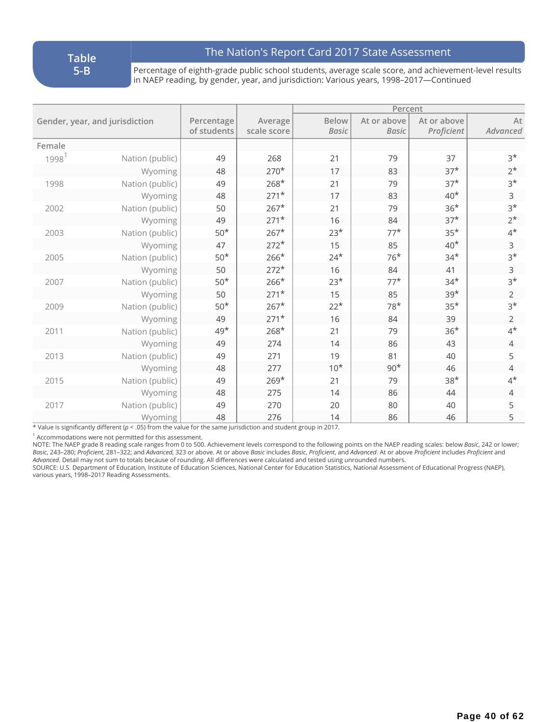**Table 5-B**

### The Nation's Report Card 2017 State Assessment

Percentage of eighth-grade public school students, average scale score, and achievement-level results in NAEP reading, by gender, year, and jurisdiction: Various years, 1998–2017—Continued

|                   |                                |                           |                        |                              | Percent                     |                           |                |
|-------------------|--------------------------------|---------------------------|------------------------|------------------------------|-----------------------------|---------------------------|----------------|
|                   | Gender, year, and jurisdiction | Percentage<br>of students | Average<br>scale score | <b>Below</b><br><b>Basic</b> | At or above<br><b>Basic</b> | At or above<br>Proficient | At<br>Advanced |
| Female            |                                |                           |                        |                              |                             |                           |                |
| 1998 <sup>1</sup> | Nation (public)                | 49                        | 268                    | 21                           | 79                          | 37                        | $3*$           |
|                   | Wyoming                        | 48                        | $270*$                 | 17                           | 83                          | $37*$                     | $2^*$          |
| 1998              | Nation (public)                | 49                        | $268*$                 | 21                           | 79                          | $37*$                     | $3*$           |
|                   | Wyoming                        | 48                        | $271*$                 | 17                           | 83                          | $40*$                     | 3              |
| 2002              | Nation (public)                | 50                        | $267*$                 | 21                           | 79                          | $36*$                     | $3*$           |
|                   | Wyoming                        | 49                        | $271*$                 | 16                           | 84                          | $37*$                     | $2^{\star}$    |
| 2003              | Nation (public)                | $50*$                     | $267*$                 | $23*$                        | $77*$                       | $35*$                     | $4^{\star}$    |
|                   | Wyoming                        | 47                        | $272*$                 | 15                           | 85                          | $40*$                     | $\mathsf{3}$   |
| 2005              | Nation (public)                | $50*$                     | $266*$                 | $24*$                        | $76*$                       | $34*$                     | $3*$           |
|                   | Wyoming                        | 50                        | $272*$                 | 16                           | 84                          | 41                        | 3              |
| 2007              | Nation (public)                | $50*$                     | $266*$                 | $23*$                        | $77*$                       | $34*$                     | $3*$           |
|                   | Wyoming                        | 50                        | $271*$                 | 15                           | 85                          | $39*$                     | $\overline{2}$ |
| 2009              | Nation (public)                | $50*$                     | $267*$                 | $22*$                        | $78*$                       | $35*$                     | $3*$           |
|                   | Wyoming                        | 49                        | $271*$                 | 16                           | 84                          | 39                        | $\overline{2}$ |
| 2011              | Nation (public)                | $49*$                     | $268*$                 | 21                           | 79                          | $36*$                     | $4^{\star}$    |
|                   | Wyoming                        | 49                        | 274                    | 14                           | 86                          | 43                        | $\overline{4}$ |
| 2013              | Nation (public)                | 49                        | 271                    | 19                           | 81                          | 40                        | 5              |
|                   | Wyoming                        | 48                        | 277                    | $10*$                        | $90*$                       | 46                        | $\overline{4}$ |
| 2015              | Nation (public)                | 49                        | $269*$                 | 21                           | 79                          | $38*$                     | $4^*$          |
|                   | Wyoming                        | 48                        | 275                    | 14                           | 86                          | 44                        | 4              |
| 2017              | Nation (public)                | 49                        | 270                    | 20                           | 80                          | 40                        | 5              |
|                   | Wyoming                        | 48                        | 276                    | 14                           | 86                          | 46                        | 5              |

\* Value is significantly different (*p* < .05) from the value for the same jurisdiction and student group in 2017.

 $1$  Accommodations were not permitted for this assessment.

NOTE: The NAEP grade 8 reading scale ranges from 0 to 500. Achievement levels correspond to the following points on the NAEP reading scales: below *Basic*, 242 or lower; Basic, 243-280; Proficient, 281-322; and Advanced, 323 or above. At or above Basic includes Basic, Proficient, and Advanced. At or above Proficient includes Proficient and *Advanced*. Detail may not sum to totals because of rounding. All differences were calculated and tested using unrounded numbers.

SOURCE: U.S. Department of Education, Institute of Education Sciences, National Center for Education Statistics, National Assessment of Educational Progress (NAEP), various years, 1998–2017 Reading Assessments.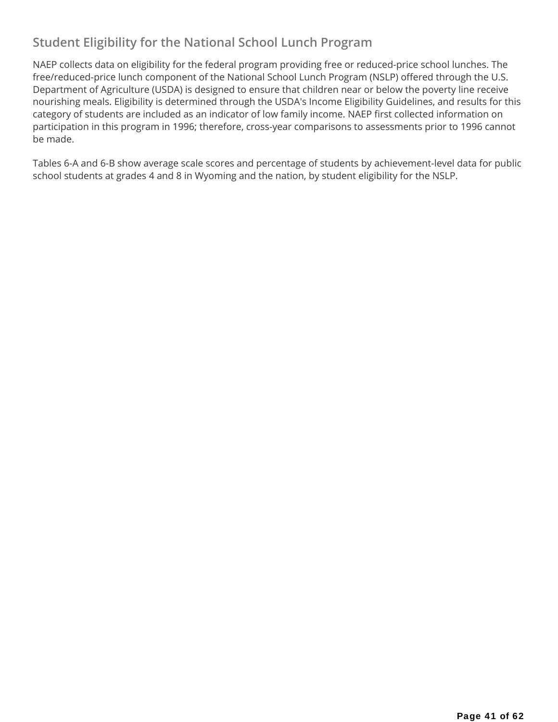## **Student Eligibility for the National School Lunch Program**

NAEP collects data on eligibility for the federal program providing free or reduced-price school lunches. The free/reduced-price lunch component of the National School Lunch Program (NSLP) offered through the U.S. Department of Agriculture (USDA) is designed to ensure that children near or below the poverty line receive nourishing meals. Eligibility is determined through the USDA's Income Eligibility Guidelines, and results for this category of students are included as an indicator of low family income. NAEP first collected information on participation in this program in 1996; therefore, cross-year comparisons to assessments prior to 1996 cannot be made.

Tables 6-A and 6-B show average scale scores and percentage of students by achievement-level data for public school students at grades 4 and 8 in Wyoming and the nation, by student eligibility for the NSLP.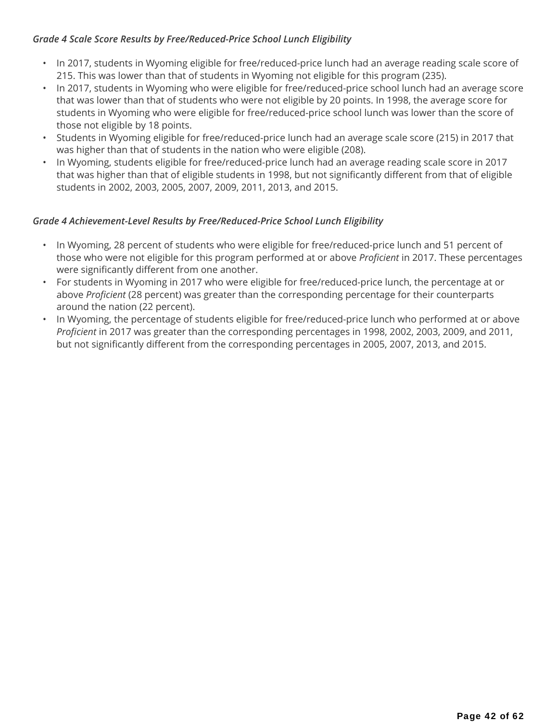#### *Grade 4 Scale Score Results by Free/Reduced-Price School Lunch Eligibility*

- In 2017, students in Wyoming eligible for free/reduced-price lunch had an average reading scale score of 215. This was lower than that of students in Wyoming not eligible for this program (235).
- In 2017, students in Wyoming who were eligible for free/reduced-price school lunch had an average score that was lower than that of students who were not eligible by 20 points. In 1998, the average score for students in Wyoming who were eligible for free/reduced-price school lunch was lower than the score of those not eligible by 18 points.
- Students in Wyoming eligible for free/reduced-price lunch had an average scale score (215) in 2017 that was higher than that of students in the nation who were eligible (208).
- In Wyoming, students eligible for free/reduced-price lunch had an average reading scale score in 2017 that was higher than that of eligible students in 1998, but not significantly different from that of eligible students in 2002, 2003, 2005, 2007, 2009, 2011, 2013, and 2015.

#### *Grade 4 Achievement-Level Results by Free/Reduced-Price School Lunch Eligibility*

- In Wyoming, 28 percent of students who were eligible for free/reduced-price lunch and 51 percent of those who were not eligible for this program performed at or above *Proficient* in 2017. These percentages were significantly different from one another.
- For students in Wyoming in 2017 who were eligible for free/reduced-price lunch, the percentage at or above *Proficient* (28 percent) was greater than the corresponding percentage for their counterparts around the nation (22 percent).
- In Wyoming, the percentage of students eligible for free/reduced-price lunch who performed at or above *Proficient* in 2017 was greater than the corresponding percentages in 1998, 2002, 2003, 2009, and 2011, but not significantly different from the corresponding percentages in 2005, 2007, 2013, and 2015.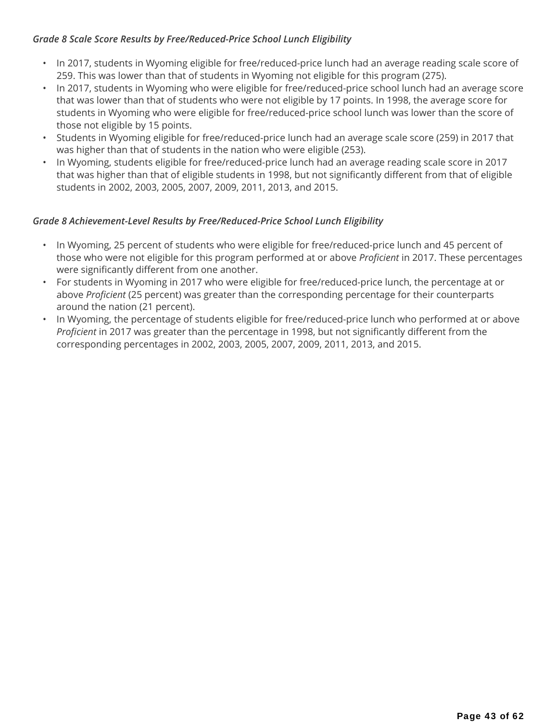#### *Grade 8 Scale Score Results by Free/Reduced-Price School Lunch Eligibility*

- In 2017, students in Wyoming eligible for free/reduced-price lunch had an average reading scale score of 259. This was lower than that of students in Wyoming not eligible for this program (275).
- In 2017, students in Wyoming who were eligible for free/reduced-price school lunch had an average score that was lower than that of students who were not eligible by 17 points. In 1998, the average score for students in Wyoming who were eligible for free/reduced-price school lunch was lower than the score of those not eligible by 15 points.
- Students in Wyoming eligible for free/reduced-price lunch had an average scale score (259) in 2017 that was higher than that of students in the nation who were eligible (253).
- In Wyoming, students eligible for free/reduced-price lunch had an average reading scale score in 2017 that was higher than that of eligible students in 1998, but not significantly different from that of eligible students in 2002, 2003, 2005, 2007, 2009, 2011, 2013, and 2015.

#### *Grade 8 Achievement-Level Results by Free/Reduced-Price School Lunch Eligibility*

- In Wyoming, 25 percent of students who were eligible for free/reduced-price lunch and 45 percent of those who were not eligible for this program performed at or above *Proficient* in 2017. These percentages were significantly different from one another.
- For students in Wyoming in 2017 who were eligible for free/reduced-price lunch, the percentage at or above *Proficient* (25 percent) was greater than the corresponding percentage for their counterparts around the nation (21 percent).
- In Wyoming, the percentage of students eligible for free/reduced-price lunch who performed at or above *Proficient* in 2017 was greater than the percentage in 1998, but not significantly different from the corresponding percentages in 2002, 2003, 2005, 2007, 2009, 2011, 2013, and 2015.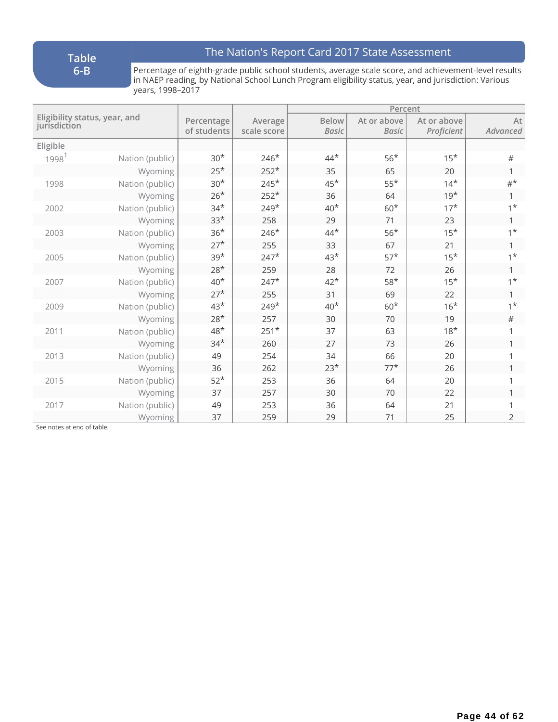**Table 6-B**

## The Nation's Report Card 2017 State Assessment

Percentage of eighth-grade public school students, average scale score, and achievement-level results in NAEP reading, by National School Lunch Program eligibility status, year, and jurisdiction: Various years, 1998–2017

|                                               |                 |                           |                        |                              | Percent                     |                           |                |
|-----------------------------------------------|-----------------|---------------------------|------------------------|------------------------------|-----------------------------|---------------------------|----------------|
| Eligibility status, year, and<br>jurisdiction |                 | Percentage<br>of students | Average<br>scale score | <b>Below</b><br><b>Basic</b> | At or above<br><b>Basic</b> | At or above<br>Proficient | At<br>Advanced |
| Eligible                                      |                 |                           |                        |                              |                             |                           |                |
| 1998 <sup>1</sup>                             | Nation (public) | $30*$                     | $246*$                 | $44*$                        | $56*$                       | $15*$                     | $\#$           |
|                                               | Wyoming         | $25*$                     | $252*$                 | 35                           | 65                          | 20                        | 1              |
| 1998                                          | Nation (public) | $30*$                     | $245*$                 | $45*$                        | $55*$                       | $14*$                     | $#^{\star}$    |
|                                               | Wyoming         | $26*$                     | $252*$                 | 36                           | 64                          | $19*$                     | 1              |
| 2002                                          | Nation (public) | $34*$                     | $249*$                 | $40*$                        | $60*$                       | $17*$                     | $1^*$          |
|                                               | Wyoming         | $33*$                     | 258                    | 29                           | 71                          | 23                        | 1.             |
| 2003                                          | Nation (public) | $36*$                     | $246*$                 | $44*$                        | $56*$                       | $15*$                     | $1^*$          |
|                                               | Wyoming         | $27*$                     | 255                    | 33                           | 67                          | 21                        |                |
| 2005                                          | Nation (public) | $39*$                     | $247*$                 | $43*$                        | $57*$                       | $15*$                     | $1^{\star}$    |
|                                               | Wyoming         | $28*$                     | 259                    | 28                           | 72                          | 26                        |                |
| 2007                                          | Nation (public) | $40*$                     | $247*$                 | $42*$                        | $58*$                       | $15*$                     | $1^{\star}$    |
|                                               | Wyoming         | $27*$                     | 255                    | 31                           | 69                          | 22                        | 1              |
| 2009                                          | Nation (public) | $43*$                     | $249*$                 | $40*$                        | $60*$                       | $16*$                     | $1^*$          |
|                                               | Wyoming         | $28*$                     | 257                    | 30                           | 70                          | 19                        | $\#$           |
| 2011                                          | Nation (public) | $48*$                     | $251*$                 | 37                           | 63                          | $18*$                     |                |
|                                               | Wyoming         | $34*$                     | 260                    | 27                           | 73                          | 26                        |                |
| 2013                                          | Nation (public) | 49                        | 254                    | 34                           | 66                          | 20                        |                |
|                                               | Wyoming         | 36                        | 262                    | $23*$                        | $77*$                       | 26                        | 1              |
| 2015                                          | Nation (public) | $52*$                     | 253                    | 36                           | 64                          | 20                        |                |
|                                               | Wyoming         | 37                        | 257                    | 30                           | 70                          | 22                        | 1              |
| 2017                                          | Nation (public) | 49                        | 253                    | 36                           | 64                          | 21                        | 1              |
|                                               | Wyoming         | 37                        | 259                    | 29                           | 71                          | 25                        | $\overline{2}$ |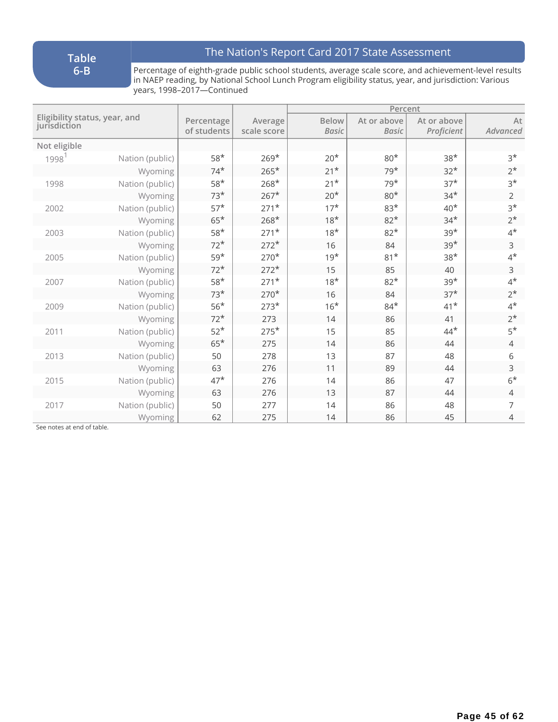**Table 6-B**

## The Nation's Report Card 2017 State Assessment

Percentage of eighth-grade public school students, average scale score, and achievement-level results in NAEP reading, by National School Lunch Program eligibility status, year, and jurisdiction: Various years, 1998–2017—Continued

|                                               |                 |             |             |              |             | Percent           |                |  |  |  |
|-----------------------------------------------|-----------------|-------------|-------------|--------------|-------------|-------------------|----------------|--|--|--|
| Eligibility status, year, and<br>jurisdiction |                 | Percentage  | Average     | <b>Below</b> | At or above | At or above       | At             |  |  |  |
|                                               |                 | of students | scale score | <b>Basic</b> | Basic       | <b>Proficient</b> | Advanced       |  |  |  |
| Not eligible                                  |                 |             |             |              |             |                   |                |  |  |  |
| 1998 <sup>1</sup>                             | Nation (public) | $58*$       | $269*$      | $20*$        | $80*$       | $38*$             | $3*$           |  |  |  |
|                                               | Wyoming         | $74*$       | $265*$      | $21*$        | $79*$       | $32*$             | $2^*$          |  |  |  |
| 1998                                          | Nation (public) | $58*$       | $268*$      | $21*$        | $79*$       | $37*$             | $3*$           |  |  |  |
|                                               | Wyoming         | $73*$       | $267*$      | $20*$        | $80*$       | $34*$             | $\overline{2}$ |  |  |  |
| 2002                                          | Nation (public) | $57*$       | $271*$      | $17*$        | $83*$       | $40*$             | $3*$           |  |  |  |
|                                               | Wyoming         | $65*$       | $268*$      | $18*$        | $82*$       | $34*$             | $2^*$          |  |  |  |
| 2003                                          | Nation (public) | $58*$       | $271*$      | $18*$        | $82*$       | $39*$             | $4^*$          |  |  |  |
|                                               | Wyoming         | $72*$       | $272*$      | 16           | 84          | $39*$             | 3              |  |  |  |
| 2005                                          | Nation (public) | $59*$       | $270*$      | $19*$        | $81*$       | $38*$             | $4^*$          |  |  |  |
|                                               | Wyoming         | $72*$       | $272*$      | 15           | 85          | 40                | 3              |  |  |  |
| 2007                                          | Nation (public) | $58*$       | $271*$      | $18*$        | $82*$       | $39*$             | $4^*$          |  |  |  |
|                                               | Wyoming         | $73*$       | $270*$      | 16           | 84          | $37*$             | $2^*$          |  |  |  |
| 2009                                          | Nation (public) | $56*$       | $273*$      | $16*$        | $84*$       | $41*$             | $4^*$          |  |  |  |
|                                               | Wyoming         | $72*$       | 273         | 14           | 86          | 41                | $2^*$          |  |  |  |
| 2011                                          | Nation (public) | $52*$       | $275*$      | 15           | 85          | $44*$             | $5*$           |  |  |  |
|                                               | Wyoming         | $65*$       | 275         | 14           | 86          | 44                | $\overline{4}$ |  |  |  |
| 2013                                          | Nation (public) | 50          | 278         | 13           | 87          | 48                | 6              |  |  |  |
|                                               | Wyoming         | 63          | 276         | 11           | 89          | 44                | $\mathsf{3}$   |  |  |  |
| 2015                                          | Nation (public) | $47*$       | 276         | 14           | 86          | 47                | $6*$           |  |  |  |
|                                               | Wyoming         | 63          | 276         | 13           | 87          | 44                | $\overline{4}$ |  |  |  |
| 2017                                          | Nation (public) | 50          | 277         | 14           | 86          | 48                | 7              |  |  |  |
|                                               | Wyoming         | 62          | 275         | 14           | 86          | 45                | 4              |  |  |  |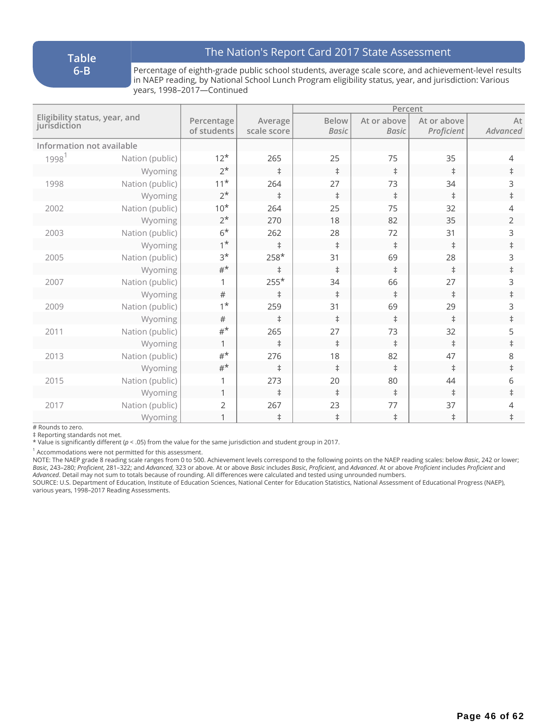**Table 6-B**

### The Nation's Report Card 2017 State Assessment

Percentage of eighth-grade public school students, average scale score, and achievement-level results in NAEP reading, by National School Lunch Program eligibility status, year, and jurisdiction: Various years, 1998–2017—Continued

|                                               |                 |                           |                        |                              | Percent                     |                           |                |
|-----------------------------------------------|-----------------|---------------------------|------------------------|------------------------------|-----------------------------|---------------------------|----------------|
| Eligibility status, year, and<br>jurisdiction |                 | Percentage<br>of students | Average<br>scale score | <b>Below</b><br><b>Basic</b> | At or above<br><b>Basic</b> | At or above<br>Proficient | At<br>Advanced |
| Information not available                     |                 |                           |                        |                              |                             |                           |                |
| 1998 <sup>1</sup>                             | Nation (public) | $12*$                     | 265                    | 25                           | 75                          | 35                        | 4              |
|                                               | Wyoming         | $2^*$                     | $\ddagger$             | $\ddagger$                   | $\ddagger$                  | $\ddagger$                | $\ddagger$     |
| 1998                                          | Nation (public) | $11*$                     | 264                    | 27                           | 73                          | 34                        | 3              |
|                                               | Wyoming         | $2^*$                     | $\ddagger$             | $\ddagger$                   | $\ddagger$                  | $\ddagger$                | $\ddagger$     |
| 2002                                          | Nation (public) | $10*$                     | 264                    | 25                           | 75                          | 32                        | $\overline{4}$ |
|                                               | Wyoming         | $2^*$                     | 270                    | 18                           | 82                          | 35                        | $\overline{2}$ |
| 2003                                          | Nation (public) | $6*$                      | 262                    | 28                           | 72                          | 31                        | 3              |
|                                               | Wyoming         | $1*$                      | $\ddagger$             | $\ddagger$                   | $\ddagger$                  | $\ddagger$                | $\ddagger$     |
| 2005                                          | Nation (public) | $3*$                      | $258*$                 | 31                           | 69                          | 28                        | 3              |
|                                               | Wyoming         | $\#^{\star}$              | $\ddagger$             | $\ddagger$                   | $\ddagger$                  | $\ddagger$                | $\ddagger$     |
| 2007                                          | Nation (public) |                           | $255*$                 | 34                           | 66                          | 27                        | $\mathsf S$    |
|                                               | Wyoming         | #                         | $\ddagger$             | $\ddagger$                   | $\ddagger$                  | $\ddagger$                | $\ddagger$     |
| 2009                                          | Nation (public) | $1^*$                     | 259                    | 31                           | 69                          | 29                        | 3              |
|                                               | Wyoming         | $\#$                      | $\ddagger$             | $\ddagger$                   | $\ddagger$                  | $\ddagger$                | $\ddagger$     |
| 2011                                          | Nation (public) | $#^{\star}$               | 265                    | 27                           | 73                          | 32                        | 5              |
|                                               | Wyoming         |                           | $\ddagger$             | $\ddagger$                   | $\ddagger$                  | $\ddagger$                | $\ddagger$     |
| 2013                                          | Nation (public) | $#^{\star}$               | 276                    | 18                           | 82                          | 47                        | 8              |
|                                               | Wyoming         | $#^{\star}$               | $\ddagger$             | $\ddagger$                   | $\ddagger$                  | $\ddagger$                | $\ddagger$     |
| 2015                                          | Nation (public) |                           | 273                    | 20                           | 80                          | 44                        | 6              |
|                                               | Wyoming         | 1                         | $\ddagger$             | $\ddagger$                   | $\ddagger$                  | $\ddagger$                | $\ddagger$     |
| 2017                                          | Nation (public) | $\overline{2}$            | 267                    | 23                           | 77                          | 37                        | 4              |
|                                               | Wyoming         |                           | $\ddagger$             | $\ddagger$                   | $\ddagger$                  | $\ddagger$                | $\ddagger$     |

# Rounds to zero.

‡ Reporting standards not met.

\* Value is significantly different (*p* < .05) from the value for the same jurisdiction and student group in 2017.

 $1$  Accommodations were not permitted for this assessment.

NOTE: The NAEP grade 8 reading scale ranges from 0 to 500. Achievement levels correspond to the following points on the NAEP reading scales: below *Basic*, 242 or lower; Basic, 243-280; Proficient, 281-322; and Advanced, 323 or above. At or above Basic includes Basic, Proficient, and Advanced. At or above Proficient includes Proficient and *Advanced*. Detail may not sum to totals because of rounding. All differences were calculated and tested using unrounded numbers.

SOURCE: U.S. Department of Education, Institute of Education Sciences, National Center for Education Statistics, National Assessment of Educational Progress (NAEP), various years, 1998–2017 Reading Assessments.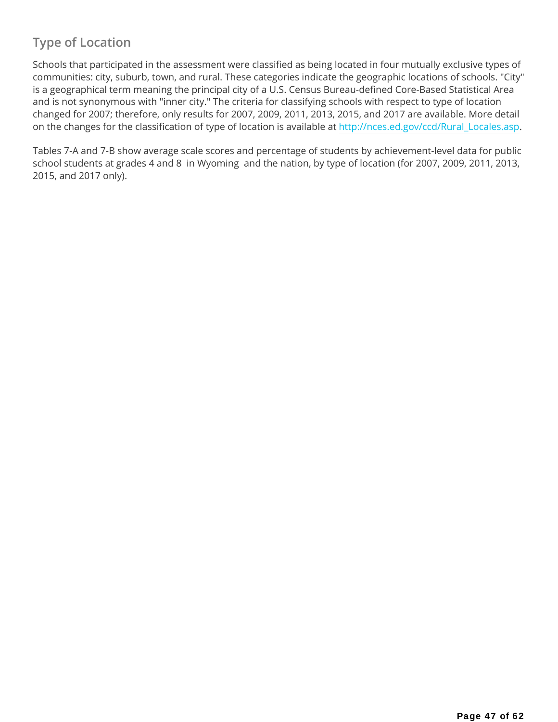## **Type of Location**

Schools that participated in the assessment were classified as being located in four mutually exclusive types of communities: city, suburb, town, and rural. These categories indicate the geographic locations of schools. "City" is a geographical term meaning the principal city of a U.S. Census Bureau-defined Core-Based Statistical Area and is not synonymous with "inner city." The criteria for classifying schools with respect to type of location changed for 2007; therefore, only results for 2007, 2009, 2011, 2013, 2015, and 2017 are available. More detail on the changes for the classification of type of location is available at http://nces.ed.gov/ccd/Rural\_Locales.asp.

Tables 7-A and 7-B show average scale scores and percentage of students by achievement-level data for public school students at grades 4 and 8 in Wyoming and the nation, by type of location (for 2007, 2009, 2011, 2013, 2015, and 2017 only).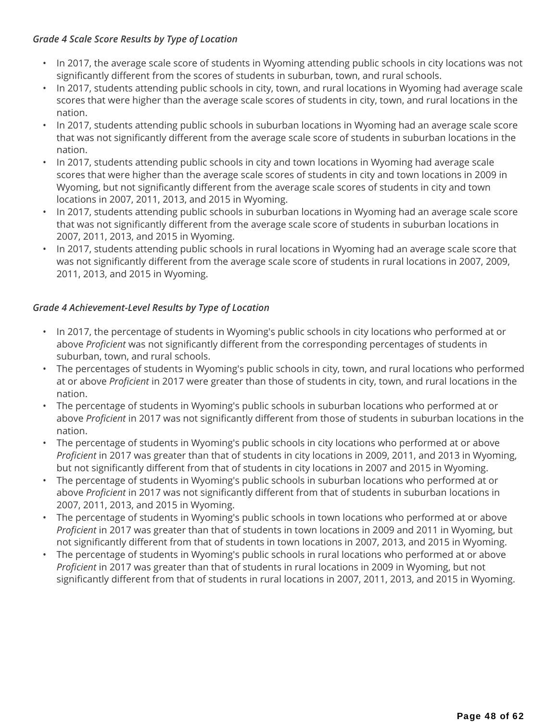#### *Grade 4 Scale Score Results by Type of Location*

- In 2017, the average scale score of students in Wyoming attending public schools in city locations was not significantly different from the scores of students in suburban, town, and rural schools.
- In 2017, students attending public schools in city, town, and rural locations in Wyoming had average scale scores that were higher than the average scale scores of students in city, town, and rural locations in the nation.
- In 2017, students attending public schools in suburban locations in Wyoming had an average scale score that was not significantly different from the average scale score of students in suburban locations in the nation.
- In 2017, students attending public schools in city and town locations in Wyoming had average scale scores that were higher than the average scale scores of students in city and town locations in 2009 in Wyoming, but not significantly different from the average scale scores of students in city and town locations in 2007, 2011, 2013, and 2015 in Wyoming.
- In 2017, students attending public schools in suburban locations in Wyoming had an average scale score that was not significantly different from the average scale score of students in suburban locations in 2007, 2011, 2013, and 2015 in Wyoming.
- In 2017, students attending public schools in rural locations in Wyoming had an average scale score that was not significantly different from the average scale score of students in rural locations in 2007, 2009, 2011, 2013, and 2015 in Wyoming.

#### *Grade 4 Achievement-Level Results by Type of Location*

- In 2017, the percentage of students in Wyoming's public schools in city locations who performed at or above *Proficient* was not significantly different from the corresponding percentages of students in suburban, town, and rural schools.
- The percentages of students in Wyoming's public schools in city, town, and rural locations who performed at or above *Proficient* in 2017 were greater than those of students in city, town, and rural locations in the nation.
- The percentage of students in Wyoming's public schools in suburban locations who performed at or above *Proficient* in 2017 was not significantly different from those of students in suburban locations in the nation.
- The percentage of students in Wyoming's public schools in city locations who performed at or above *Proficient* in 2017 was greater than that of students in city locations in 2009, 2011, and 2013 in Wyoming, but not significantly different from that of students in city locations in 2007 and 2015 in Wyoming.
- The percentage of students in Wyoming's public schools in suburban locations who performed at or above *Proficient* in 2017 was not significantly different from that of students in suburban locations in 2007, 2011, 2013, and 2015 in Wyoming.
- The percentage of students in Wyoming's public schools in town locations who performed at or above *Proficient* in 2017 was greater than that of students in town locations in 2009 and 2011 in Wyoming, but not significantly different from that of students in town locations in 2007, 2013, and 2015 in Wyoming.
- The percentage of students in Wyoming's public schools in rural locations who performed at or above *Proficient* in 2017 was greater than that of students in rural locations in 2009 in Wyoming, but not significantly different from that of students in rural locations in 2007, 2011, 2013, and 2015 in Wyoming.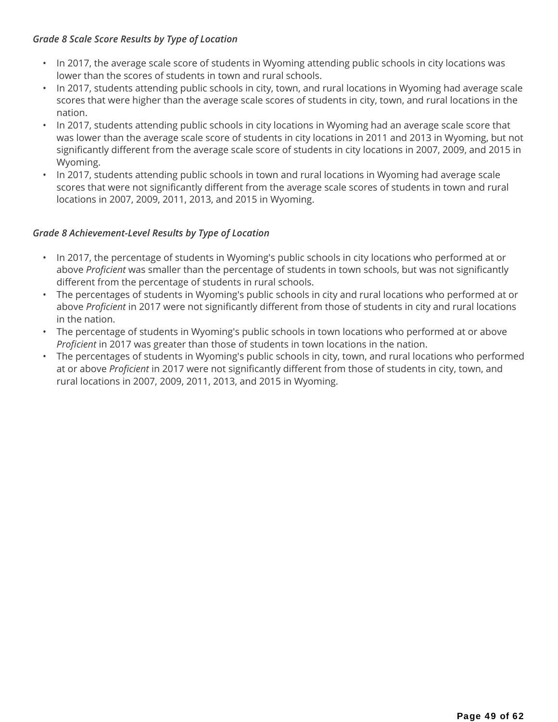#### *Grade 8 Scale Score Results by Type of Location*

- In 2017, the average scale score of students in Wyoming attending public schools in city locations was lower than the scores of students in town and rural schools.
- In 2017, students attending public schools in city, town, and rural locations in Wyoming had average scale scores that were higher than the average scale scores of students in city, town, and rural locations in the nation.
- In 2017, students attending public schools in city locations in Wyoming had an average scale score that was lower than the average scale score of students in city locations in 2011 and 2013 in Wyoming, but not significantly different from the average scale score of students in city locations in 2007, 2009, and 2015 in Wyoming.
- In 2017, students attending public schools in town and rural locations in Wyoming had average scale scores that were not significantly different from the average scale scores of students in town and rural locations in 2007, 2009, 2011, 2013, and 2015 in Wyoming.

#### *Grade 8 Achievement-Level Results by Type of Location*

- In 2017, the percentage of students in Wyoming's public schools in city locations who performed at or above *Proficient* was smaller than the percentage of students in town schools, but was not significantly different from the percentage of students in rural schools.
- The percentages of students in Wyoming's public schools in city and rural locations who performed at or above *Proficient* in 2017 were not significantly different from those of students in city and rural locations in the nation.
- The percentage of students in Wyoming's public schools in town locations who performed at or above *Proficient* in 2017 was greater than those of students in town locations in the nation.
- The percentages of students in Wyoming's public schools in city, town, and rural locations who performed at or above *Proficient* in 2017 were not significantly different from those of students in city, town, and rural locations in 2007, 2009, 2011, 2013, and 2015 in Wyoming.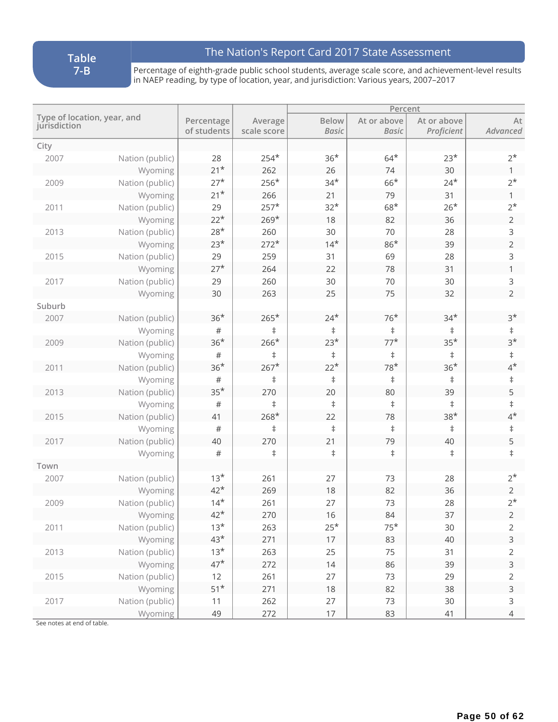**Table 7-B**

## The Nation's Report Card 2017 State Assessment

Percentage of eighth-grade public school students, average scale score, and achievement-level results in NAEP reading, by type of location, year, and jurisdiction: Various years, 2007–2017

|              |                             |                           |                        |                              | Percent                     |                           |                |  |
|--------------|-----------------------------|---------------------------|------------------------|------------------------------|-----------------------------|---------------------------|----------------|--|
| jurisdiction | Type of location, year, and | Percentage<br>of students | Average<br>scale score | <b>Below</b><br><b>Basic</b> | At or above<br><b>Basic</b> | At or above<br>Proficient | At<br>Advanced |  |
| City         |                             |                           |                        |                              |                             |                           |                |  |
| 2007         | Nation (public)             | 28                        | $254*$                 | $36*$                        | $64*$                       | $23*$                     | $2^*$          |  |
|              | Wyoming                     | $21*$                     | 262                    | 26                           | 74                          | 30                        | 1              |  |
| 2009         | Nation (public)             | $27*$                     | $256*$                 | $34*$                        | $66*$                       | $24*$                     | $2^*$          |  |
|              | Wyoming                     | $21*$                     | 266                    | 21                           | 79                          | 31                        | 1              |  |
| 2011         | Nation (public)             | 29                        | $257*$                 | $32*$                        | $68*$                       | $26*$                     | $2^*$          |  |
|              | Wyoming                     | $22*$                     | $269*$                 | 18                           | 82                          | 36                        | $\overline{2}$ |  |
| 2013         | Nation (public)             | $28*$                     | 260                    | 30                           | 70                          | 28                        | 3              |  |
|              | Wyoming                     | $23*$                     | $272*$                 | $14*$                        | $86*$                       | 39                        | $\overline{2}$ |  |
| 2015         | Nation (public)             | 29                        | 259                    | 31                           | 69                          | 28                        | 3              |  |
|              | Wyoming                     | $27*$                     | 264                    | 22                           | 78                          | 31                        | 1              |  |
| 2017         | Nation (public)             | 29                        | 260                    | 30                           | 70                          | 30                        | 3              |  |
|              | Wyoming                     | 30                        | 263                    | 25                           | 75                          | 32                        | $\overline{2}$ |  |
| Suburb       |                             |                           |                        |                              |                             |                           |                |  |
| 2007         | Nation (public)             | $36*$                     | $265*$                 | $24*$                        | $76*$                       | $34*$                     | $3*$           |  |
|              | Wyoming                     | #                         | $\ddagger$             | $\ddagger$                   | $\ddagger$                  | $\ddagger$                | ŧ.             |  |
| 2009         | Nation (public)             | $36*$                     | $266*$                 | $23*$                        | $77*$                       | $35*$                     | $3*$           |  |
|              | Wyoming                     | $\#$                      | $\ddagger$             | $\ddagger$                   | $\ddagger$                  | $\ddagger$                | $\ddagger$     |  |
| 2011         | Nation (public)             | $36*$                     | $267*$                 | $22*$                        | $78*$                       | $36*$                     | $4^{\star}$    |  |
|              | Wyoming                     | $\#$                      | $\ddagger$             | $\ddagger$                   | $\ddagger$                  | $\ddagger$                | $\ddagger$     |  |
| 2013         | Nation (public)             | $35*$                     | 270                    | 20                           | 80                          | 39                        | 5              |  |
|              | Wyoming                     | $\#$                      | $\ddagger$             | $\ddagger$                   | $\ddagger$                  | $\ddagger$                | $\ddagger$     |  |
| 2015         | Nation (public)             | 41                        | $268*$                 | 22                           | 78                          | $38*$                     | $4^*$          |  |
|              | Wyoming                     | #                         | $\ddagger$             | $\ddagger$                   | $\ddagger$                  | $\ddagger$                | $\ddagger$     |  |
| 2017         | Nation (public)             | 40                        | 270                    | 21                           | 79                          | 40                        | 5              |  |
|              | Wyoming                     | $\#$                      | $\ddagger$             | $\ddagger$                   | $\ddagger$                  | $\ddagger$                | $\ddagger$     |  |
| Town         |                             |                           |                        |                              |                             |                           |                |  |
| 2007         | Nation (public)             | $13*$                     | 261                    | 27                           | 73                          | 28                        | $2^*$          |  |
|              | Wyoming                     | $42*$                     | 269                    | 18                           | 82                          | 36                        | $\overline{2}$ |  |
| 2009         | Nation (public)             | $14*$                     | 261                    | 27                           | 73                          | 28                        | $2^*$          |  |
|              | Wyoming                     | $42*$                     | 270                    | 16                           | 84                          | 37                        | 2              |  |
| 2011         | Nation (public)             | $13*$                     | 263                    | $25*$                        | $75*$                       | 30                        | $\overline{2}$ |  |
|              | Wyoming                     | $43*$                     | 271                    | 17                           | 83                          | 40                        | $\mathsf 3$    |  |
| 2013         | Nation (public)             | $13*$                     | 263                    | 25                           | 75                          | 31                        | 2              |  |
|              | Wyoming                     | $47*$                     | 272                    | 14                           | 86                          | 39                        | $\mathsf 3$    |  |
| 2015         | Nation (public)             | 12                        | 261                    | 27                           | 73                          | 29                        | $\overline{2}$ |  |
|              | Wyoming                     | $51*$                     | 271                    | $18$                         | 82                          | 38                        | $\mathsf 3$    |  |
| 2017         | Nation (public)             | 11                        | 262                    | 27                           | 73                          | $30$                      | 3              |  |
|              | Wyoming                     | 49                        | 272                    | 17                           | 83                          | 41                        | $\overline{4}$ |  |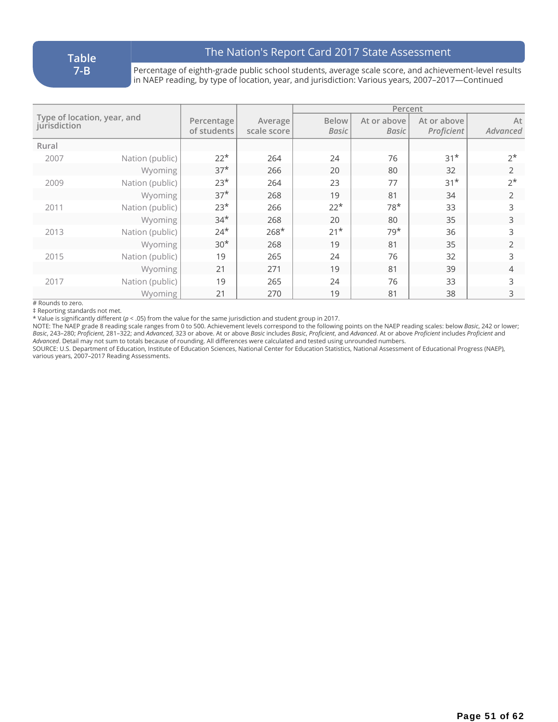**Table 7-B**

### The Nation's Report Card 2017 State Assessment

Percentage of eighth-grade public school students, average scale score, and achievement-level results in NAEP reading, by type of location, year, and jurisdiction: Various years, 2007–2017—Continued

|                                             |                 |             |             |              | Percent     |                   |                |
|---------------------------------------------|-----------------|-------------|-------------|--------------|-------------|-------------------|----------------|
| Type of location, year, and<br>jurisdiction |                 | Percentage  | Average     | <b>Below</b> | At or above | At or above       | At             |
|                                             |                 | of students | scale score | Basic        | Basic       | <b>Proficient</b> | Advanced       |
| Rural                                       |                 |             |             |              |             |                   |                |
| 2007                                        | Nation (public) | $22*$       | 264         | 24           | 76          | $31*$             | $2^{*}$        |
|                                             | Wyoming         | $37*$       | 266         | 20           | 80          | 32                | 2              |
| 2009                                        | Nation (public) | $23*$       | 264         | 23           | 77          | $31*$             | $2^{*}$        |
|                                             | Wyoming         | $37*$       | 268         | 19           | 81          | 34                | $\overline{2}$ |
| 2011                                        | Nation (public) | $23*$       | 266         | $22*$        | $78*$       | 33                | 3              |
|                                             | Wyoming         | $34*$       | 268         | 20           | 80          | 35                | 3              |
| 2013                                        | Nation (public) | $24*$       | $268*$      | $21*$        | $79*$       | 36                | 3              |
|                                             | Wyoming         | $30*$       | 268         | 19           | 81          | 35                | 2              |
| 2015                                        | Nation (public) | 19          | 265         | 24           | 76          | 32                | 3              |
|                                             | Wyoming         | 21          | 271         | 19           | 81          | 39                | 4              |
| 2017                                        | Nation (public) | 19          | 265         | 24           | 76          | 33                | 3              |
|                                             | Wyoming         | 21          | 270         | 19           | 81          | 38                | 3              |

# Rounds to zero.

‡ Reporting standards not met.

\* Value is significantly different (*p* < .05) from the value for the same jurisdiction and student group in 2017.

NOTE: The NAEP grade 8 reading scale ranges from 0 to 500. Achievement levels correspond to the following points on the NAEP reading scales: below *Basic*, 242 or lower; Basic, 243-280; Proficient, 281-322; and Advanced, 323 or above. At or above Basic includes Basic, Proficient, and Advanced. At or above Proficient includes Proficient and *Advanced*. Detail may not sum to totals because of rounding. All differences were calculated and tested using unrounded numbers.

SOURCE: U.S. Department of Education, Institute of Education Sciences, National Center for Education Statistics, National Assessment of Educational Progress (NAEP), various years, 2007–2017 Reading Assessments.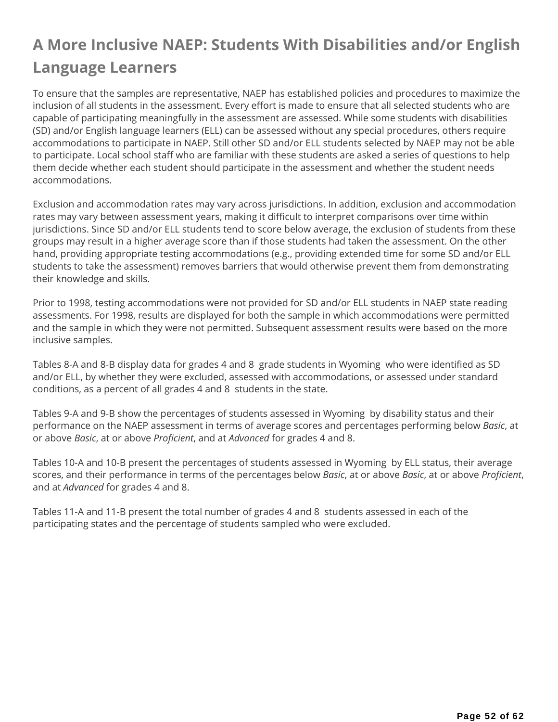# **A More Inclusive NAEP: Students With Disabilities and/or English Language Learners**

To ensure that the samples are representative, NAEP has established policies and procedures to maximize the inclusion of all students in the assessment. Every effort is made to ensure that all selected students who are capable of participating meaningfully in the assessment are assessed. While some students with disabilities (SD) and/or English language learners (ELL) can be assessed without any special procedures, others require accommodations to participate in NAEP. Still other SD and/or ELL students selected by NAEP may not be able to participate. Local school staff who are familiar with these students are asked a series of questions to help them decide whether each student should participate in the assessment and whether the student needs accommodations.

Exclusion and accommodation rates may vary across jurisdictions. In addition, exclusion and accommodation rates may vary between assessment years, making it difficult to interpret comparisons over time within jurisdictions. Since SD and/or ELL students tend to score below average, the exclusion of students from these groups may result in a higher average score than if those students had taken the assessment. On the other hand, providing appropriate testing accommodations (e.g., providing extended time for some SD and/or ELL students to take the assessment) removes barriers that would otherwise prevent them from demonstrating their knowledge and skills.

Prior to 1998, testing accommodations were not provided for SD and/or ELL students in NAEP state reading assessments. For 1998, results are displayed for both the sample in which accommodations were permitted and the sample in which they were not permitted. Subsequent assessment results were based on the more inclusive samples.

Tables 8-A and 8-B display data for grades 4 and 8 grade students in Wyoming who were identified as SD and/or ELL, by whether they were excluded, assessed with accommodations, or assessed under standard conditions, as a percent of all grades 4 and 8 students in the state.

Tables 9-A and 9-B show the percentages of students assessed in Wyoming by disability status and their performance on the NAEP assessment in terms of average scores and percentages performing below *Basic*, at or above *Basic*, at or above *Proficient*, and at *Advanced* for grades 4 and 8.

Tables 10-A and 10-B present the percentages of students assessed in Wyoming by ELL status, their average scores, and their performance in terms of the percentages below *Basic*, at or above *Basic*, at or above *Proficient*, and at *Advanced* for grades 4 and 8.

Tables 11-A and 11-B present the total number of grades 4 and 8 students assessed in each of the participating states and the percentage of students sampled who were excluded.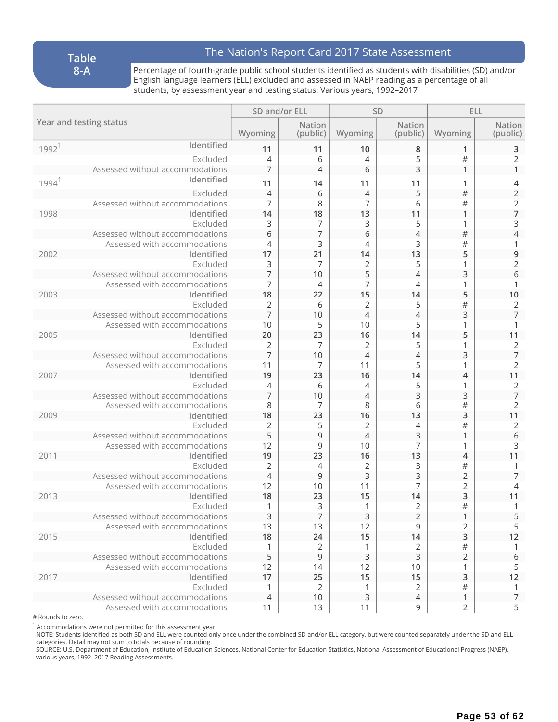#### **Table 8-A**

### The Nation's Report Card 2017 State Assessment

Percentage of fourth-grade public school students identified as students with disabilities (SD) and/or English language learners (ELL) excluded and assessed in NAEP reading as a percentage of all students, by assessment year and testing status: Various years, 1992–2017

|                                                                 |                      | SD and/or ELL             |                | <b>SD</b>          | <b>ELL</b>          |                           |
|-----------------------------------------------------------------|----------------------|---------------------------|----------------|--------------------|---------------------|---------------------------|
| Year and testing status                                         | Wyoming              | <b>Nation</b><br>(public) | Wyoming        | Nation<br>(public) | Wyoming             | <b>Nation</b><br>(public) |
| Identified<br>1992 <sup>1</sup>                                 | 11                   | 11                        | 10             | 8                  | 1                   | 3                         |
| Excluded                                                        | 4                    | 6                         | 4              | 5                  | #                   | 2                         |
| Assessed without accommodations                                 | $\overline{7}$       | $\overline{4}$            | 6              | 3                  | 1                   | $\mathbf{1}$              |
| Identified<br>1994 <sup>1</sup>                                 | 11                   | 14                        | 11             | 11                 | 1                   | 4                         |
| Excluded                                                        | $\overline{4}$       | 6                         | 4              | 5                  | $\#$                | $\overline{2}$            |
| Assessed without accommodations                                 | 7                    | 8                         | 7              | 6                  | #                   | $\overline{2}$            |
| Identified<br>1998                                              | 14                   | 18                        | 13             | 11                 | 1                   | $\overline{7}$            |
| Excluded                                                        | 3                    | 7                         | 3              | 5                  | 1                   | 3                         |
| Assessed without accommodations                                 | 6                    | $\overline{7}$            | 6              | 4                  | #                   | $\overline{4}$            |
| Assessed with accommodations                                    | 4                    | 3                         | 4              | 3                  | $\#$                | 1                         |
| 2002<br>Identified                                              | 17                   | 21                        | 14             | 13                 | 5                   | 9                         |
| Excluded                                                        | 3                    | 7                         | 2              | 5                  | 1                   | $\overline{2}$            |
| Assessed without accommodations                                 | $\overline{7}$       | 10                        | 5              | $\overline{4}$     | 3                   | 6                         |
| Assessed with accommodations                                    | 7                    | $\overline{4}$            | 7              | 4                  | 1                   | 1                         |
| 2003<br>Identified                                              | 18                   | 22                        | 15             | 14                 | 5                   | 10                        |
| Excluded                                                        | 2                    | 6                         | $\overline{2}$ | 5                  | #                   | $\overline{2}$            |
| Assessed without accommodations                                 | $\overline{7}$       | 10                        | $\overline{4}$ | $\overline{4}$     | 3                   | $\overline{7}$            |
| Assessed with accommodations                                    | 10                   | 5                         | 10             | 5                  | 1                   | 1                         |
| 2005<br>Identified                                              | 20                   | 23                        | 16             | 14                 | 5                   | 11                        |
| Excluded                                                        | 2                    | 7                         | $\overline{2}$ | 5                  | 1                   | $\overline{2}$            |
| Assessed without accommodations                                 | $\overline{7}$       | 10                        | $\overline{4}$ | $\overline{4}$     | 3                   | $\overline{7}$            |
| Assessed with accommodations                                    | 11                   | 7                         | 11             | 5                  | 1                   | $\overline{2}$            |
| 2007<br>Identified                                              | 19                   | 23                        | 16             | 14                 | $\overline{4}$      | 11                        |
| Excluded                                                        | $\overline{4}$       | 6                         | $\overline{4}$ | 5                  | 1                   | $\overline{2}$            |
| Assessed without accommodations                                 | 7                    | 10                        | 4              | 3                  | 3                   | $\overline{7}$            |
| Assessed with accommodations                                    | 8                    | 7                         | 8              | 6                  | $\#$                | $\overline{2}$            |
| 2009<br>Identified                                              | 18                   | 23                        | 16             | 13                 | 3                   | 11                        |
| Excluded                                                        | $\overline{2}$       | 5                         | $\overline{2}$ | 4                  | #                   | $\overline{2}$            |
| Assessed without accommodations                                 | 5                    | 9                         | $\overline{4}$ | 3                  | 1                   | 6                         |
| Assessed with accommodations                                    | 12                   | 9                         | 10             | 7                  | 1                   | 3                         |
| 2011<br>Identified                                              | 19                   | 23                        | 16             | 13                 | 4                   | 11                        |
| Excluded                                                        | 2                    | 4                         | 2<br>3         | 3                  | #                   |                           |
| Assessed without accommodations<br>Assessed with accommodations | $\overline{4}$<br>12 | 9                         | 11             | 3<br>7             | $\overline{2}$      | 7                         |
| 2013<br>Identified                                              | 18                   | 10<br>23                  | 15             | 14                 | $\overline{2}$<br>3 | 4<br>11                   |
| Excluded                                                        | 1                    | 3                         | 1              | 2                  | #                   | 1                         |
| Assessed without accommodations                                 | 3                    | 7                         | 3              | 2                  | 1                   | 5                         |
| Assessed with accommodations                                    | 13                   | 13                        | 12             | 9                  | 2                   | 5                         |
| Identified<br>2015                                              | 18                   | 24                        | 15             | 14                 | 3                   | 12                        |
| Excluded                                                        |                      | 2                         |                | 2                  | $\#$                |                           |
| Assessed without accommodations                                 | 5                    | 9                         | $\overline{3}$ | 3                  | $\overline{2}$      | 6                         |
| Assessed with accommodations                                    | 12                   | 14                        | 12             | 10                 | 1                   | 5                         |
| Identified<br>2017                                              | 17                   | 25                        | 15             | 15                 | 3                   | 12                        |
| Excluded                                                        | 1                    | 2                         | 1              | 2                  | #                   |                           |
| Assessed without accommodations                                 | $\overline{4}$       | $10$                      | 3              | 4                  | $\mathbf{1}$        | $\overline{7}$            |
| Assessed with accommodations                                    | 11                   | 13                        | 11             | 9                  | $\overline{2}$      | 5                         |

# Rounds to zero.

 $^{\text{1}}$  Accommodations were not permitted for this assessment year.

NOTE: Students identified as both SD and ELL were counted only once under the combined SD and/or ELL category, but were counted separately under the SD and ELL categories. Detail may not sum to totals because of rounding.

SOURCE: U.S. Department of Education, Institute of Education Sciences, National Center for Education Statistics, National Assessment of Educational Progress (NAEP), various years, 1992–2017 Reading Assessments.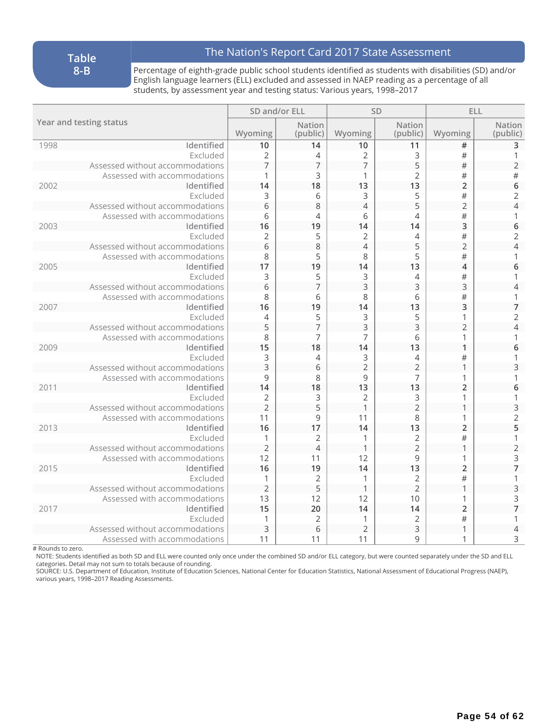**Table 8-B**

### The Nation's Report Card 2017 State Assessment

Percentage of eighth-grade public school students identified as students with disabilities (SD) and/or English language learners (ELL) excluded and assessed in NAEP reading as a percentage of all students, by assessment year and testing status: Various years, 1998–2017

|      |                                 | SD and/or ELL  |                           |                | <b>SD</b>                 | <b>ELL</b>     |                           |
|------|---------------------------------|----------------|---------------------------|----------------|---------------------------|----------------|---------------------------|
|      | Year and testing status         | Wyoming        | <b>Nation</b><br>(public) | Wyoming        | <b>Nation</b><br>(public) | Wyoming        | <b>Nation</b><br>(public) |
| 1998 | Identified                      | 10             | 14                        | 10             | 11                        | $^{\#}$        | 3                         |
|      | Excluded                        | $\overline{2}$ | 4                         | $\overline{2}$ | 3                         | #              | 1                         |
|      | Assessed without accommodations | $\overline{7}$ | $\overline{7}$            | $\overline{7}$ | 5                         | #              | $\overline{2}$            |
|      | Assessed with accommodations    | 1              | 3                         | 1              | 2                         | #              | #                         |
| 2002 | Identified                      | 14             | 18                        | 13             | 13                        | $\overline{2}$ | 6                         |
|      | Excluded                        | 3              | 6                         | 3              | 5                         | #              | 2                         |
|      | Assessed without accommodations | 6              | 8                         | $\overline{4}$ | 5                         | $\overline{2}$ | $\overline{4}$            |
|      | Assessed with accommodations    | 6              | 4                         | 6              | 4                         | #              | 1                         |
| 2003 | Identified                      | 16             | 19                        | 14             | 14                        | 3              | 6                         |
|      | Excluded                        | 2              | 5                         | $\overline{2}$ | 4                         | #              | $\overline{2}$            |
|      | Assessed without accommodations | 6              | 8                         | $\overline{4}$ | 5                         | $\overline{2}$ | $\overline{4}$            |
|      | Assessed with accommodations    | 8              | 5                         | 8              | 5                         | #              |                           |
| 2005 | Identified                      | 17             | 19                        | 14             | 13                        | $\overline{4}$ | 6                         |
|      | Excluded                        | 3              | 5                         | 3              | 4                         | #              | 1                         |
|      | Assessed without accommodations | 6              | $\overline{7}$            | 3              | 3                         | 3              | $\overline{4}$            |
|      | Assessed with accommodations    | 8              | 6                         | 8              | 6                         | $\#$           | 1                         |
| 2007 | Identified                      | 16             | 19                        | 14             | 13                        | 3              | $\overline{7}$            |
|      | Excluded                        | 4              | 5                         | 3              | 5                         | 1              | $\overline{2}$            |
|      | Assessed without accommodations | 5              | $\overline{7}$            | 3              | 3                         | $\overline{2}$ | $\overline{4}$            |
|      | Assessed with accommodations    | 8              | $\overline{7}$            | 7              | 6                         | 1              | 1                         |
| 2009 | Identified                      | 15             | 18                        | 14             | 13                        | 1              | 6                         |
|      | Excluded                        | 3              | 4                         | 3              | 4                         | $\#$           | 1                         |
|      | Assessed without accommodations | 3              | 6                         | $\overline{2}$ | $\overline{2}$            | $\mathbf{1}$   | 3                         |
|      | Assessed with accommodations    | 9              | 8                         | 9              | 7                         | 1              | 1                         |
| 2011 | Identified                      | 14             | 18                        | 13             | 13                        | $\overline{2}$ | 6                         |
|      | Excluded                        | $\overline{2}$ | 3                         | $\overline{2}$ | 3                         | 1              | 1                         |
|      | Assessed without accommodations | $\overline{2}$ | 5                         | $\mathbf{1}$   | $\overline{2}$            | $\mathbf{1}$   | 3                         |
|      | Assessed with accommodations    | 11             | 9                         | 11             | 8                         | 1              | $\mathbf 2$               |
| 2013 | Identified                      | 16             | 17                        | 14             | 13                        | $\overline{2}$ | 5                         |
|      | Excluded                        | $\mathbf{1}$   | 2                         | 1              | 2                         | #              | 1                         |
|      | Assessed without accommodations | $\overline{2}$ | $\overline{4}$            | $\mathbf{1}$   | $\overline{2}$            | 1              | $\overline{2}$            |
|      | Assessed with accommodations    | 12             | 11                        | 12             | 9                         | 1              | 3                         |
| 2015 | Identified                      | 16             | 19                        | 14             | 13                        | $\overline{2}$ | $\overline{7}$            |
|      | Excluded                        | $\mathbf{1}$   | 2                         | 1              | 2                         | #              | 1                         |
|      | Assessed without accommodations | $\overline{2}$ | 5                         | $\mathbf{1}$   | $\overline{2}$            | 1              | 3                         |
|      | Assessed with accommodations    | 13             | 12                        | 12             | 10                        | 1              | 3                         |
| 2017 | Identified                      | 15             | 20                        | 14             | 14                        | $\overline{2}$ | $\overline{7}$            |
|      | Excluded                        | 1              | $\overline{2}$            | 1              | $\overline{2}$            | #              | 1                         |
|      | Assessed without accommodations | 3              | 6                         | $\overline{2}$ | 3                         | 1              | $\overline{4}$            |
|      | Assessed with accommodations    | 11             | 11                        | 11             | 9                         | 1              | 3                         |

# Rounds to zero.

NOTE: Students identified as both SD and ELL were counted only once under the combined SD and/or ELL category, but were counted separately under the SD and ELL categories. Detail may not sum to totals because of rounding.

SOURCE: U.S. Department of Education, Institute of Education Sciences, National Center for Education Statistics, National Assessment of Educational Progress (NAEP), various years, 1998–2017 Reading Assessments.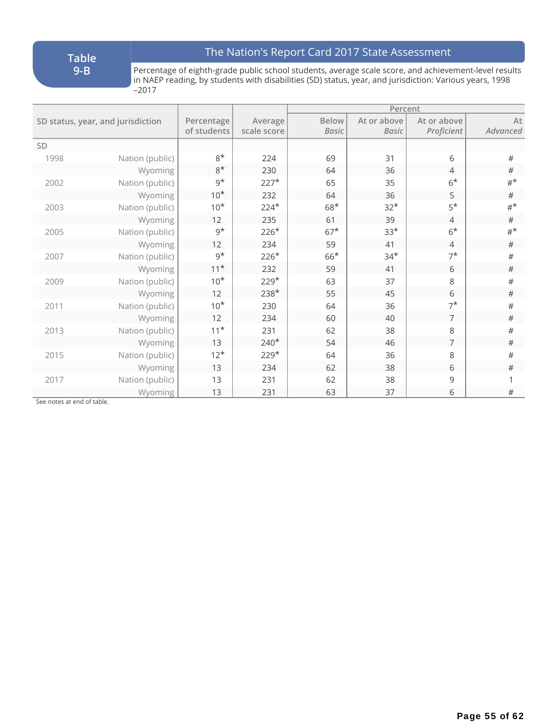**Table 9-B**

## The Nation's Report Card 2017 State Assessment

Percentage of eighth-grade public school students, average scale score, and achievement-level results in NAEP reading, by students with disabilities (SD) status, year, and jurisdiction: Various years, 1998 –2017

|               |                                   |                           |                        |                       | Percent                     |                           |                |
|---------------|-----------------------------------|---------------------------|------------------------|-----------------------|-----------------------------|---------------------------|----------------|
|               | SD status, year, and jurisdiction | Percentage<br>of students | Average<br>scale score | Below<br><b>Basic</b> | At or above<br><b>Basic</b> | At or above<br>Proficient | At<br>Advanced |
| $\mathsf{SD}$ |                                   |                           |                        |                       |                             |                           |                |
| 1998          | Nation (public)                   | $8*$                      | 224                    | 69                    | 31                          | 6                         | #              |
|               | Wyoming                           | $8*$                      | 230                    | 64                    | 36                          | 4                         | $\#$           |
| 2002          | Nation (public)                   | $9^{\star}$               | $227*$                 | 65                    | 35                          | $6*$                      | $\#^{\star}$   |
|               | Wyoming                           | $10*$                     | 232                    | 64                    | 36                          | 5                         | $\#$           |
| 2003          | Nation (public)                   | $10*$                     | $224*$                 | $68*$                 | $32*$                       | $5*$                      | $\#^{\star}$   |
|               | Wyoming                           | 12                        | 235                    | 61                    | 39                          | 4                         | $\#$           |
| 2005          | Nation (public)                   | $9^*$                     | $226*$                 | $67*$                 | $33*$                       | $6*$                      | $\#^{\star}$   |
|               | Wyoming                           | 12                        | 234                    | 59                    | 41                          | 4                         | $\#$           |
| 2007          | Nation (public)                   | $9*$                      | $226*$                 | $66*$                 | $34*$                       | $7^*$                     | $\#$           |
|               | Wyoming                           | $11*$                     | 232                    | 59                    | 41                          | 6                         | $\#$           |
| 2009          | Nation (public)                   | $10*$                     | $229*$                 | 63                    | 37                          | 8                         | $\#$           |
|               | Wyoming                           | 12                        | $238*$                 | 55                    | 45                          | 6                         | $\#$           |
| 2011          | Nation (public)                   | $10*$                     | 230                    | 64                    | 36                          | $7^*$                     | $\#$           |
|               | Wyoming                           | 12                        | 234                    | 60                    | 40                          | 7                         | $\#$           |
| 2013          | Nation (public)                   | $11*$                     | 231                    | 62                    | 38                          | 8                         | $\#$           |
|               | Wyoming                           | 13                        | $240*$                 | 54                    | 46                          | $\overline{7}$            | $\#$           |
| 2015          | Nation (public)                   | $12*$                     | $229*$                 | 64                    | 36                          | 8                         | $\#$           |
|               | Wyoming                           | 13                        | 234                    | 62                    | 38                          | 6                         | $\#$           |
| 2017          | Nation (public)                   | 13                        | 231                    | 62                    | 38                          | $\mathsf 9$               | 1              |
|               | Wyoming                           | 13                        | 231                    | 63                    | 37                          | 6                         | $\#$           |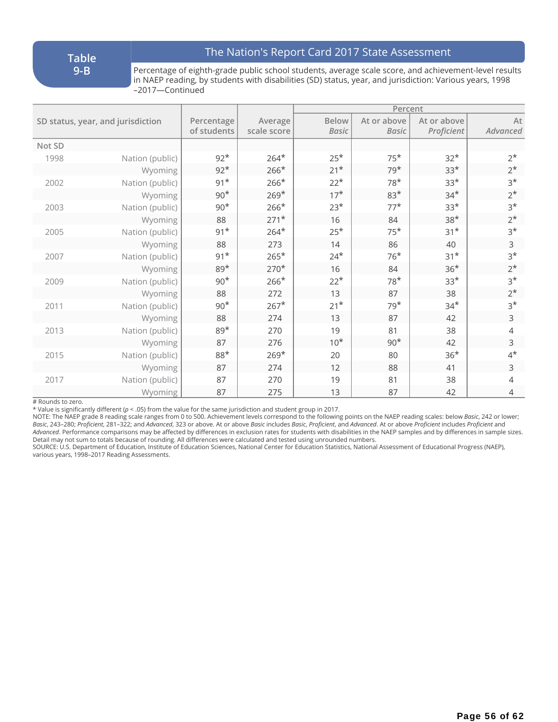**Table 9-B**

### The Nation's Report Card 2017 State Assessment

Percentage of eighth-grade public school students, average scale score, and achievement-level results in NAEP reading, by students with disabilities (SD) status, year, and jurisdiction: Various years, 1998 –2017—Continued

|        |                                   |                           |                        |                              | Percent                     |                           |                |
|--------|-----------------------------------|---------------------------|------------------------|------------------------------|-----------------------------|---------------------------|----------------|
|        | SD status, year, and jurisdiction | Percentage<br>of students | Average<br>scale score | <b>Below</b><br><b>Basic</b> | At or above<br><b>Basic</b> | At or above<br>Proficient | At<br>Advanced |
| Not SD |                                   |                           |                        |                              |                             |                           |                |
| 1998   | Nation (public)                   | $92*$                     | $264*$                 | $25*$                        | $75*$                       | $32*$                     | $2^*$          |
|        | Wyoming                           | $92*$                     | $266*$                 | $21*$                        | $79*$                       | $33*$                     | $2^*$          |
| 2002   | Nation (public)                   | $91*$                     | $266*$                 | $22*$                        | $78*$                       | $33*$                     | $3*$           |
|        | Wyoming                           | $90*$                     | $269*$                 | $17*$                        | $83*$                       | $34*$                     | $2^*$          |
| 2003   | Nation (public)                   | $90*$                     | $266*$                 | $23*$                        | $77*$                       | $33*$                     | $3*$           |
|        | Wyoming                           | 88                        | $271*$                 | 16                           | 84                          | $38*$                     | $2^*$          |
| 2005   | Nation (public)                   | $91*$                     | $264*$                 | $25*$                        | $75*$                       | $31*$                     | $3*$           |
|        | Wyoming                           | 88                        | 273                    | 14                           | 86                          | 40                        | 3              |
| 2007   | Nation (public)                   | $91*$                     | $265*$                 | $24*$                        | $76*$                       | $31*$                     | $3*$           |
|        | Wyoming                           | $89*$                     | $270*$                 | 16                           | 84                          | $36*$                     | $2^*$          |
| 2009   | Nation (public)                   | $90*$                     | $266*$                 | $22*$                        | $78*$                       | $33*$                     | $3*$           |
|        | Wyoming                           | 88                        | 272                    | 13                           | 87                          | 38                        | $2^*$          |
| 2011   | Nation (public)                   | $90*$                     | $267*$                 | $21*$                        | $79*$                       | $34*$                     | $3*$           |
|        | Wyoming                           | 88                        | 274                    | 13                           | 87                          | 42                        | 3              |
| 2013   | Nation (public)                   | $89*$                     | 270                    | 19                           | 81                          | 38                        | 4              |
|        | Wyoming                           | 87                        | 276                    | $10*$                        | $90*$                       | 42                        | $\mathsf{3}$   |
| 2015   | Nation (public)                   | $88*$                     | $269*$                 | 20                           | 80                          | $36*$                     | $4^{\star}$    |
|        | Wyoming                           | 87                        | 274                    | 12                           | 88                          | 41                        | 3              |
| 2017   | Nation (public)                   | 87                        | 270                    | 19                           | 81                          | 38                        | 4              |
|        | Wyoming                           | 87                        | 275                    | 13                           | 87                          | 42                        | 4              |

# Rounds to zero.

\* Value is significantly different (*p* < .05) from the value for the same jurisdiction and student group in 2017.

NOTE: The NAEP grade 8 reading scale ranges from 0 to 500. Achievement levels correspond to the following points on the NAEP reading scales: below *Basic*, 242 or lower; Basic, 243–280; Proficient, 281–322; and Advanced, 323 or above. At or above Basic includes Basic, Proficient, and Advanced. At or above Proficient includes Proficient and *Advanced*. Performance comparisons may be affected by differences in exclusion rates for students with disabilities in the NAEP samples and by differences in sample sizes. Detail may not sum to totals because of rounding. All differences were calculated and tested using unrounded numbers.

SOURCE: U.S. Department of Education, Institute of Education Sciences, National Center for Education Statistics, National Assessment of Educational Progress (NAEP), various years, 1998–2017 Reading Assessments.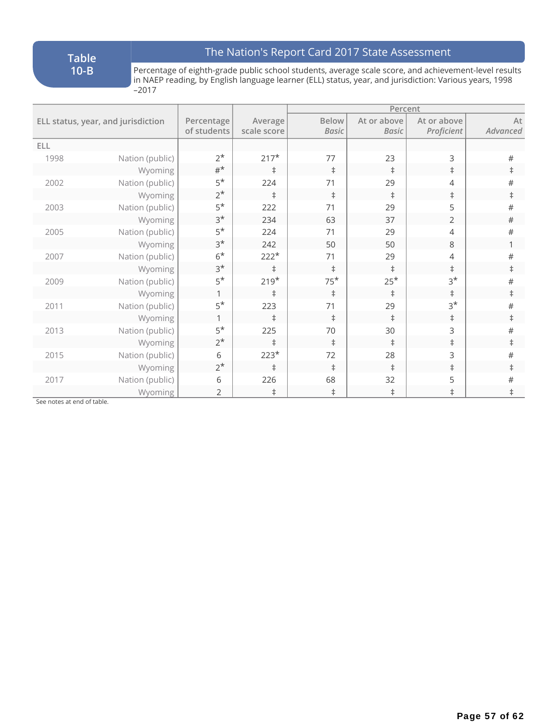**Table 10-B**

## The Nation's Report Card 2017 State Assessment

Percentage of eighth-grade public school students, average scale score, and achievement-level results in NAEP reading, by English language learner (ELL) status, year, and jurisdiction: Various years, 1998 –2017

|      |                                    |                           |                        |                              | Percent                     |                           |                |
|------|------------------------------------|---------------------------|------------------------|------------------------------|-----------------------------|---------------------------|----------------|
|      | ELL status, year, and jurisdiction | Percentage<br>of students | Average<br>scale score | <b>Below</b><br><b>Basic</b> | At or above<br><b>Basic</b> | At or above<br>Proficient | At<br>Advanced |
| ELL  |                                    |                           |                        |                              |                             |                           |                |
| 1998 | Nation (public)                    | $2^*$                     | $217*$                 | 77                           | 23                          | 3                         | $\#$           |
|      | Wyoming                            | $#^{\star}$               | $\pm$                  | $\ddagger$                   | $\ddagger$                  | $\ddagger$                | $\ddagger$     |
| 2002 | Nation (public)                    | $5*$                      | 224                    | 71                           | 29                          | 4                         | $\#$           |
|      | Wyoming                            | $2^*$                     | $\ddagger$             | $\ddagger$                   | $\ddagger$                  | $\ddagger$                | $\ddagger$     |
| 2003 | Nation (public)                    | $5*$                      | 222                    | 71                           | 29                          | 5                         | $\#$           |
|      | Wyoming                            | $3*$                      | 234                    | 63                           | 37                          | $\overline{2}$            | $\#$           |
| 2005 | Nation (public)                    | $5*$                      | 224                    | 71                           | 29                          | 4                         | $\#$           |
|      | Wyoming                            | $3^{\star}$               | 242                    | 50                           | 50                          | 8                         | 1              |
| 2007 | Nation (public)                    | $6*$                      | $222*$                 | 71                           | 29                          | 4                         | $\#$           |
|      | Wyoming                            | $3*$                      | $\ddagger$             | $\ddagger$                   | $\ddagger$                  | $\ddagger$                | $\ddagger$     |
| 2009 | Nation (public)                    | $5*$                      | $219*$                 | $75*$                        | $25*$                       | $3*$                      | $\#$           |
|      | Wyoming                            | 1                         | $\ddagger$             | $\ddagger$                   | $\ddagger$                  | $\ddagger$                | $\ddagger$     |
| 2011 | Nation (public)                    | $5*$                      | 223                    | 71                           | 29                          | $3*$                      | $^{\#}$        |
|      | Wyoming                            | 1                         | $\ddagger$             | $\ddagger$                   | $\ddagger$                  | $\ddagger$                | $\ddagger$     |
| 2013 | Nation (public)                    | $5*$                      | 225                    | 70                           | 30                          | 3                         | $\#$           |
|      | Wyoming                            | $2^*$                     | $\ddagger$             | $\ddagger$                   | $\ddagger$                  | $\ddagger$                | $\ddagger$     |
| 2015 | Nation (public)                    | 6                         | $223*$                 | 72                           | 28                          | 3                         | $\#$           |
|      | Wyoming                            | $2^*$                     | $\ddagger$             | $\ddagger$                   | $\ddagger$                  | $\ddagger$                | $\ddagger$     |
| 2017 | Nation (public)                    | 6                         | 226                    | 68                           | 32                          | 5                         | $\#$           |
|      | Wyoming                            | $\overline{2}$            | $\ddagger$             | $\ddagger$                   | $^\ddag$                    | $\ddagger$                | $\ddagger$     |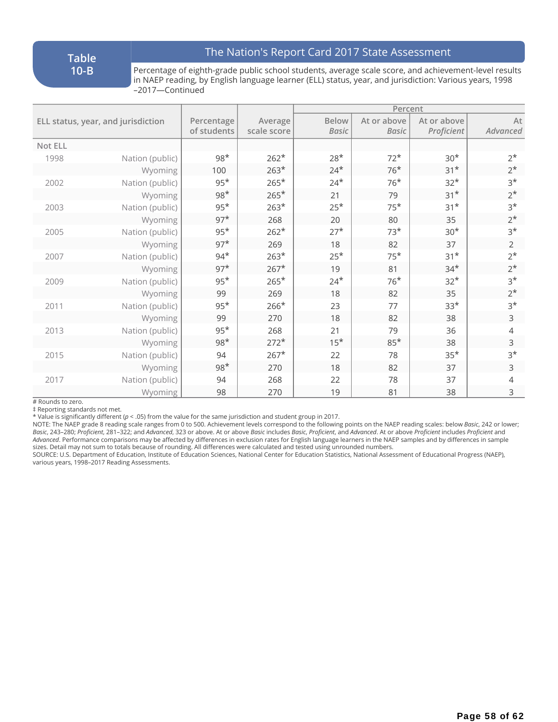**Table 10-B**

### The Nation's Report Card 2017 State Assessment

Percentage of eighth-grade public school students, average scale score, and achievement-level results in NAEP reading, by English language learner (ELL) status, year, and jurisdiction: Various years, 1998 –2017—Continued

|         |                                    |                           |                        | Percent                      |                             |                           |                |
|---------|------------------------------------|---------------------------|------------------------|------------------------------|-----------------------------|---------------------------|----------------|
|         | ELL status, year, and jurisdiction | Percentage<br>of students | Average<br>scale score | <b>Below</b><br><b>Basic</b> | At or above<br><b>Basic</b> | At or above<br>Proficient | At<br>Advanced |
| Not ELL |                                    |                           |                        |                              |                             |                           |                |
| 1998    | Nation (public)                    | $98*$                     | $262*$                 | $28*$                        | $72*$                       | $30*$                     | $2^{\star}$    |
|         | Wyoming                            | 100                       | $263*$                 | $24*$                        | $76*$                       | $31*$                     | $2^*$          |
| 2002    | Nation (public)                    | $95*$                     | $265*$                 | $24*$                        | $76*$                       | $32*$                     | $3*$           |
|         | Wyoming                            | $98*$                     | $265*$                 | 21                           | 79                          | $31*$                     | $2^*$          |
| 2003    | Nation (public)                    | $95*$                     | $263*$                 | $25*$                        | $75*$                       | $31*$                     | $3*$           |
|         | Wyoming                            | $97*$                     | 268                    | 20                           | 80                          | 35                        | $2^*$          |
| 2005    | Nation (public)                    | $95*$                     | $262*$                 | $27*$                        | $73*$                       | $30*$                     | $3*$           |
|         | Wyoming                            | $97*$                     | 269                    | 18                           | 82                          | 37                        | $\overline{2}$ |
| 2007    | Nation (public)                    | $94*$                     | $263*$                 | $25*$                        | $75*$                       | $31*$                     | $2^*$          |
|         | Wyoming                            | $97*$                     | $267*$                 | 19                           | 81                          | $34*$                     | $2^*$          |
| 2009    | Nation (public)                    | $95*$                     | $265*$                 | $24*$                        | $76*$                       | $32*$                     | $3*$           |
|         | Wyoming                            | 99                        | 269                    | 18                           | 82                          | 35                        | $2^*$          |
| 2011    | Nation (public)                    | $95*$                     | 266*                   | 23                           | 77                          | $33*$                     | $3*$           |
|         | Wyoming                            | 99                        | 270                    | 18                           | 82                          | 38                        | 3              |
| 2013    | Nation (public)                    | $95*$                     | 268                    | 21                           | 79                          | 36                        | 4              |
|         | Wyoming                            | $98*$                     | $272*$                 | $15*$                        | $85*$                       | 38                        | $\mathsf{3}$   |
| 2015    | Nation (public)                    | 94                        | $267*$                 | 22                           | 78                          | $35*$                     | $3*$           |
|         | Wyoming                            | $98*$                     | 270                    | 18                           | 82                          | 37                        | 3              |
| 2017    | Nation (public)                    | 94                        | 268                    | 22                           | 78                          | 37                        | 4              |
|         | Wyoming                            | 98                        | 270                    | 19                           | 81                          | 38                        | 3              |

# Rounds to zero.

‡ Reporting standards not met.

\* Value is significantly different (*p* < .05) from the value for the same jurisdiction and student group in 2017.

NOTE: The NAEP grade 8 reading scale ranges from 0 to 500. Achievement levels correspond to the following points on the NAEP reading scales: below *Basic*, 242 or lower; *Basic*, 243–280; *Proficient*, 281–322; and *Advanced*, 323 or above. At or above *Basic* includes *Basic, Proficient*, and *Advanced.* At or above *Proficient* includes *Proficient* and *Advanced*. Performance comparisons may be affected by differences in exclusion rates for English language learners in the NAEP samples and by differences in sample sizes. Detail may not sum to totals because of rounding. All differences were calculated and tested using unrounded numbers.

SOURCE: U.S. Department of Education, Institute of Education Sciences, National Center for Education Statistics, National Assessment of Educational Progress (NAEP), various years, 1998–2017 Reading Assessments.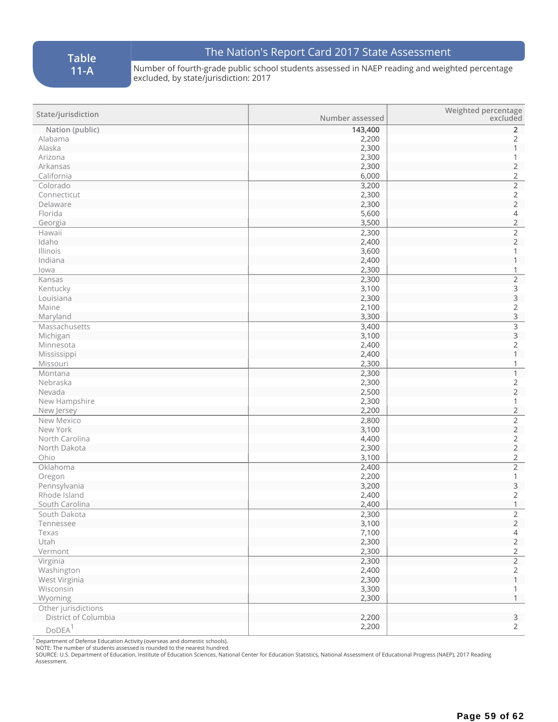## The Nation's Report Card 2017 State Assessment

Number of fourth-grade public school students assessed in NAEP reading and weighted percentage excluded, by state/jurisdiction: 2017

| State/jurisdiction   | Number assessed | Weighted percentage<br>excluded |
|----------------------|-----------------|---------------------------------|
| Nation (public)      | 143,400         | $\overline{2}$                  |
| Alabama              | 2,200           | 2                               |
| Alaska               | 2,300           | $\mathbf{1}$                    |
| Arizona              | 2,300           | 1                               |
| Arkansas             | 2,300           | $\mathbf 2$                     |
| California           | 6,000           | $\overline{2}$                  |
| Colorado             | 3,200           | $\overline{2}$                  |
| Connecticut          | 2,300           | $\overline{c}$                  |
| Delaware             | 2,300           | $\overline{2}$                  |
| Florida              | 5,600           | $\overline{4}$                  |
| Georgia              | 3,500           | $\overline{2}$                  |
| Hawaii               | 2,300           | $\mathbf{2}$                    |
| Idaho                | 2,400           | $\overline{2}$                  |
| Illinois             | 3,600           | 1                               |
| Indiana              | 2,400           | $\mathbf{1}$                    |
| lowa                 | 2,300           | $\mathbf{1}$                    |
| Kansas               | 2,300           | $\overline{2}$                  |
| Kentucky             | 3,100           | 3                               |
| Louisiana            | 2,300           | $\overline{3}$                  |
| Maine                | 2,100           | $\overline{2}$                  |
| Maryland             | 3,300           | $\overline{\mathbf{3}}$         |
| Massachusetts        | 3,400           | $\overline{3}$                  |
| Michigan             | 3,100           | $\mathsf 3$                     |
| Minnesota            | 2,400           | $\overline{c}$                  |
| Mississippi          | 2,400           | $\mathbf{1}$                    |
| Missouri             | 2,300           | $\mathbf{1}$                    |
| Montana              | 2,300           | $\mathbf{1}$                    |
| Nebraska             | 2,300           | $\frac{2}{2}$                   |
| Nevada               | 2,500           |                                 |
| New Hampshire        | 2,300           | $\mathbf{1}$                    |
| New Jersey           | 2,200           | $\overline{2}$                  |
| New Mexico           | 2,800           | $\overline{2}$                  |
| New York             | 3,100           | $\overline{2}$                  |
| North Carolina       | 4,400           | $\overline{2}$                  |
| North Dakota         | 2,300           | $\overline{2}$                  |
| Ohio                 | 3,100           | $\frac{2}{2}$                   |
| Oklahoma             | 2,400           |                                 |
| Oregon               | 2,200           | $\mathbf{1}$                    |
| Pennsylvania         | 3,200           | 3                               |
| Rhode Island         | 2,400           | $\mathbf 2$                     |
| South Carolina       | 2,400           | $\mathbf{1}$                    |
| South Dakota         | 2,300           | 2                               |
| Tennessee            | 3,100           | $\overline{2}$                  |
| Texas                | 7,100           | $\overline{4}$                  |
| Utah                 | 2,300           | $\overline{2}$                  |
| Vermont              | 2,300           | $\overline{2}$                  |
| Virginia             | 2,300           | $\overline{2}$                  |
| Washington           | 2,400           | $\overline{2}$                  |
| West Virginia        | 2,300           | $\mathbf{1}$                    |
| Wisconsin            | 3,300           | 1                               |
| Wyoming              | 2,300           | $\mathbf{1}$                    |
| Other jurisdictions  |                 |                                 |
| District of Columbia | 2,200           | $\mathsf{3}$                    |
| DoDEA <sup>1</sup>   | 2,200           | $\overline{2}$                  |

<sup>1</sup> Department of Defense Education Activity (overseas and domestic schools).<br>NOTE: The number of students assessed is rounded to the nearest hundred.<br>SOURCE: U.S. Department of Education, Institute of Education Sciences, Assessment.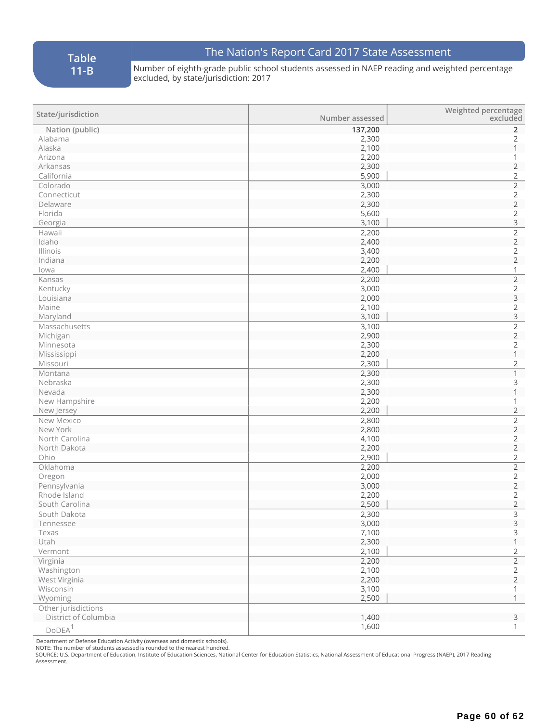## The Nation's Report Card 2017 State Assessment

Number of eighth-grade public school students assessed in NAEP reading and weighted percentage excluded, by state/jurisdiction: 2017

| State/jurisdiction   | Number assessed | Weighted percentage<br>excluded       |
|----------------------|-----------------|---------------------------------------|
| Nation (public)      | 137,200         | $\overline{2}$                        |
| Alabama              | 2,300           | 2                                     |
| Alaska               | 2,100           | $\mathbf{1}$                          |
| Arizona              | 2,200           | 1                                     |
| Arkansas             | 2,300           | $\overline{2}$                        |
| California           | 5,900           | $\overline{2}$                        |
| Colorado             | 3,000           | $\overline{2}$                        |
| Connecticut          | 2,300           |                                       |
| Delaware             | 2,300           | $\begin{array}{c} 2 \\ 2 \end{array}$ |
| Florida              | 5,600           | $\overline{c}$                        |
| Georgia              | 3,100           | $\overline{3}$                        |
| Hawaii               | 2,200           | $\mathsf{2}\,$                        |
| Idaho                | 2,400           | $\overline{2}$                        |
| Illinois             | 3,400           | $\overline{c}$                        |
| Indiana              | 2,200           | $\overline{2}$                        |
| lowa                 | 2,400           | 1                                     |
| Kansas               | 2,200           | $\overline{2}$                        |
| Kentucky             | 3,000           | $\sqrt{2}$                            |
| Louisiana            | 2,000           | 3                                     |
| Maine                | 2,100           | $\overline{c}$                        |
| Maryland             | 3,100           | $\overline{\mathbf{3}}$               |
| Massachusetts        | 3,100           | $\overline{2}$                        |
| Michigan             | 2,900           | $\overline{2}$                        |
| Minnesota            | 2,300           | $\overline{2}$                        |
| Mississippi          | 2,200           | $\mathbf{1}$                          |
| Missouri             | 2,300           | $\overline{2}$                        |
| Montana              | 2,300           | $\mathbf{1}$                          |
| Nebraska             | 2,300           | 3                                     |
| Nevada               | 2,300           | $\mathbf{1}$                          |
| New Hampshire        | 2,200           | 1                                     |
| New Jersey           | 2,200           | $\overline{2}$                        |
| New Mexico           | 2,800           | $\overline{2}$                        |
| New York             | 2,800           | $\sqrt{2}$                            |
| North Carolina       | 4,100           | $\overline{2}$                        |
| North Dakota         | 2,200           | $\overline{2}$                        |
| Ohio                 | 2,900           | $\overline{2}$                        |
| Oklahoma             | 2,200           | $\overline{2}$                        |
| Oregon               | 2,000           | $\overline{2}$                        |
| Pennsylvania         | 3,000           | $\overline{2}$                        |
| Rhode Island         | 2,200           | $\overline{c}$                        |
| South Carolina       | 2,500           | $\overline{2}$                        |
| South Dakota         | 2,300           | 3                                     |
| Tennessee            | 3,000           | $\mathsf{3}$                          |
| Texas                | 7,100           | $\mathsf{3}$                          |
| Utah                 | 2,300           | $\mathbf{1}$                          |
| Vermont              | 2,100           | $\overline{2}$                        |
| Virginia             | 2,200           | $\overline{2}$                        |
| Washington           | 2,100           | $\overline{2}$                        |
| West Virginia        | 2,200           | $\overline{2}$                        |
| Wisconsin            | 3,100           | 1                                     |
| Wyoming              | 2,500           | $\mathbf{1}$                          |
| Other jurisdictions  |                 |                                       |
| District of Columbia | 1,400           | $\mathsf{3}$                          |
| DoDEA <sup>1</sup>   | 1,600           | $\mathbf{1}$                          |
|                      |                 |                                       |

<sup>1</sup> Department of Defense Education Activity (overseas and domestic schools).<br>NOTE: The number of students assessed is rounded to the nearest hundred.<br>SOURCE: U.S. Department of Education, Institute of Education Sciences, Assessment.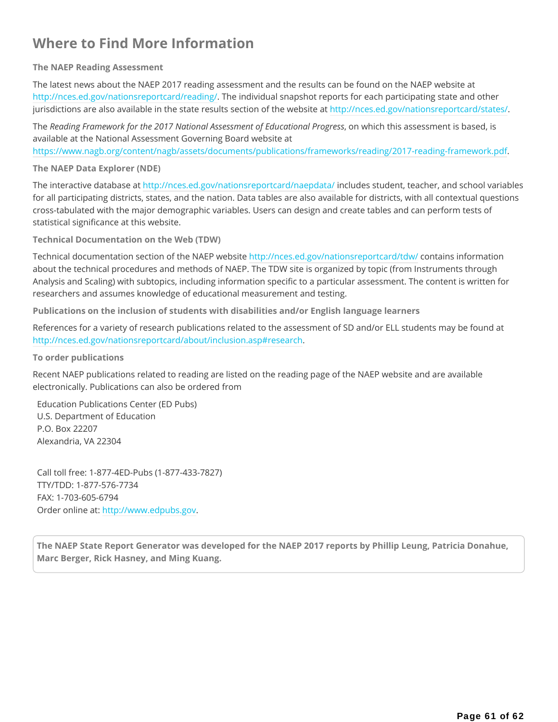# **Where to Find More Information**

#### **The NAEP Reading Assessment**

The latest news about the NAEP 2017 reading assessment and the results can be found on the NAEP website at http://nces.ed.gov/nationsreportcard/reading/. The individual snapshot reports for each participating state and other jurisdictions are also available in the state results section of the website at http://nces.ed.gov/nationsreportcard/states/.

The *Reading Framework for the 2017 National Assessment of Educational Progress*, on which this assessment is based, is available at the National Assessment Governing Board website at https://www.nagb.org/content/nagb/assets/documents/publications/frameworks/reading/2017-reading-framework.pdf.

#### **The NAEP Data Explorer (NDE)**

The interactive database at http://nces.ed.gov/nationsreportcard/naepdata/ includes student, teacher, and school variables for all participating districts, states, and the nation. Data tables are also available for districts, with all contextual questions cross-tabulated with the major demographic variables. Users can design and create tables and can perform tests of statistical significance at this website.

**Technical Documentation on the Web (TDW)**

Technical documentation section of the NAEP website http://nces.ed.gov/nationsreportcard/tdw/ contains information about the technical procedures and methods of NAEP. The TDW site is organized by topic (from Instruments through Analysis and Scaling) with subtopics, including information specific to a particular assessment. The content is written for researchers and assumes knowledge of educational measurement and testing.

**Publications on the inclusion of students with disabilities and/or English language learners**

References for a variety of research publications related to the assessment of SD and/or ELL students may be found at http://nces.ed.gov/nationsreportcard/about/inclusion.asp#research.

#### **To order publications**

Recent NAEP publications related to reading are listed on the reading page of the NAEP website and are available electronically. Publications can also be ordered from

Education Publications Center (ED Pubs) U.S. Department of Education P.O. Box 22207 Alexandria, VA 22304

Call toll free: 1-877-4ED-Pubs (1-877-433-7827) TTY/TDD: 1-877-576-7734 FAX: 1-703-605-6794 Order online at: http://www.edpubs.gov.

**The NAEP State Report Generator was developed for the NAEP 2017 reports by Phillip Leung, Patricia Donahue, Marc Berger, Rick Hasney, and Ming Kuang.**